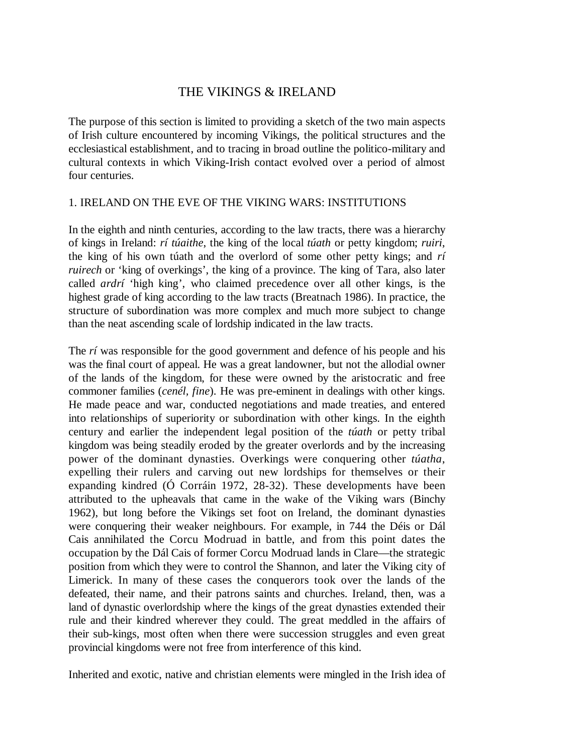# THE VIKINGS & IRELAND

The purpose of this section is limited to providing a sketch of the two main aspects of Irish culture encountered by incoming Vikings, the political structures and the ecclesiastical establishment, and to tracing in broad outline the politico-military and cultural contexts in which Viking-Irish contact evolved over a period of almost four centuries.

### 1. IRELAND ON THE EVE OF THE VIKING WARS: INSTITUTIONS

In the eighth and ninth centuries, according to the law tracts, there was a hierarchy of kings in Ireland: *rí túaithe*, the king of the local *túath* or petty kingdom; *ruiri*, the king of his own túath and the overlord of some other petty kings; and *rí ruirech* or 'king of overkings', the king of a province. The king of Tara, also later called *ardrí* 'high king', who claimed precedence over all other kings, is the highest grade of king according to the law tracts (Breatnach 1986). In practice, the structure of subordination was more complex and much more subject to change than the neat ascending scale of lordship indicated in the law tracts.

The *rí* was responsible for the good government and defence of his people and his was the final court of appeal. He was a great landowner, but not the allodial owner of the lands of the kingdom, for these were owned by the aristocratic and free commoner families (*cenél, fine*). He was pre-eminent in dealings with other kings. He made peace and war, conducted negotiations and made treaties, and entered into relationships of superiority or subordination with other kings. In the eighth century and earlier the independent legal position of the *túath* or petty tribal kingdom was being steadily eroded by the greater overlords and by the increasing power of the dominant dynasties. Overkings were conquering other *túatha*, expelling their rulers and carving out new lordships for themselves or their expanding kindred (Ó Corráin 1972, 28-32). These developments have been attributed to the upheavals that came in the wake of the Viking wars (Binchy 1962), but long before the Vikings set foot on Ireland, the dominant dynasties were conquering their weaker neighbours. For example, in 744 the Déis or Dál Cais annihilated the Corcu Modruad in battle, and from this point dates the occupation by the Dál Cais of former Corcu Modruad lands in Clare—the strategic position from which they were to control the Shannon, and later the Viking city of Limerick. In many of these cases the conquerors took over the lands of the defeated, their name, and their patrons saints and churches. Ireland, then, was a land of dynastic overlordship where the kings of the great dynasties extended their rule and their kindred wherever they could. The great meddled in the affairs of their sub-kings, most often when there were succession struggles and even great provincial kingdoms were not free from interference of this kind.

Inherited and exotic, native and christian elements were mingled in the Irish idea of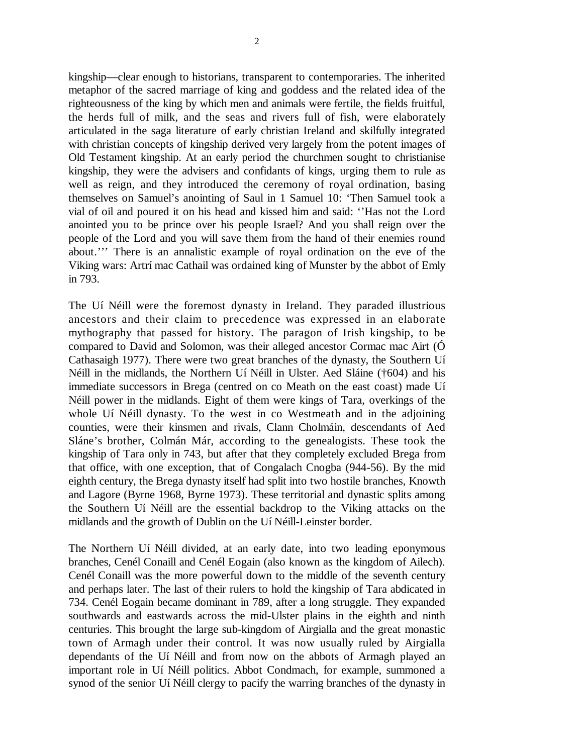2

kingship—clear enough to historians, transparent to contemporaries. The inherited metaphor of the sacred marriage of king and goddess and the related idea of the righteousness of the king by which men and animals were fertile, the fields fruitful, the herds full of milk, and the seas and rivers full of fish, were elaborately articulated in the saga literature of early christian Ireland and skilfully integrated with christian concepts of kingship derived very largely from the potent images of Old Testament kingship. At an early period the churchmen sought to christianise kingship, they were the advisers and confidants of kings, urging them to rule as well as reign, and they introduced the ceremony of royal ordination, basing themselves on Samuel's anointing of Saul in 1 Samuel 10: 'Then Samuel took a vial of oil and poured it on his head and kissed him and said: ''Has not the Lord anointed you to be prince over his people Israel? And you shall reign over the people of the Lord and you will save them from the hand of their enemies round about.''' There is an annalistic example of royal ordination on the eve of the Viking wars: Artrí mac Cathail was ordained king of Munster by the abbot of Emly in 793.

The Uí Néill were the foremost dynasty in Ireland. They paraded illustrious ancestors and their claim to precedence was expressed in an elaborate mythography that passed for history. The paragon of Irish kingship, to be compared to David and Solomon, was their alleged ancestor Cormac mac Airt (Ó Cathasaigh 1977). There were two great branches of the dynasty, the Southern Uí Néill in the midlands, the Northern Uí Néill in Ulster. Aed Sláine (†604) and his immediate successors in Brega (centred on co Meath on the east coast) made Uí Néill power in the midlands. Eight of them were kings of Tara, overkings of the whole Uí Néill dynasty. To the west in co Westmeath and in the adjoining counties, were their kinsmen and rivals, Clann Cholmáin, descendants of Aed Sláne's brother, Colmán Már, according to the genealogists. These took the kingship of Tara only in 743, but after that they completely excluded Brega from that office, with one exception, that of Congalach Cnogba (944-56). By the mid eighth century, the Brega dynasty itself had split into two hostile branches, Knowth and Lagore (Byrne 1968, Byrne 1973). These territorial and dynastic splits among the Southern Uí Néill are the essential backdrop to the Viking attacks on the midlands and the growth of Dublin on the Uí Néill-Leinster border.

The Northern Uí Néill divided, at an early date, into two leading eponymous branches, Cenél Conaill and Cenél Eogain (also known as the kingdom of Ailech). Cenél Conaill was the more powerful down to the middle of the seventh century and perhaps later. The last of their rulers to hold the kingship of Tara abdicated in 734. Cenél Eogain became dominant in 789, after a long struggle. They expanded southwards and eastwards across the mid-Ulster plains in the eighth and ninth centuries. This brought the large sub-kingdom of Airgialla and the great monastic town of Armagh under their control. It was now usually ruled by Airgialla dependants of the Uí Néill and from now on the abbots of Armagh played an important role in Uí Néill politics. Abbot Condmach, for example, summoned a synod of the senior Uí Néill clergy to pacify the warring branches of the dynasty in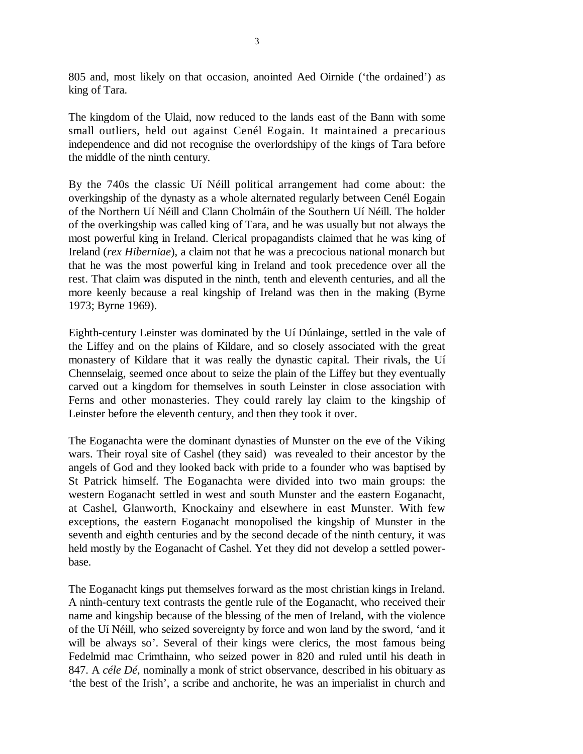805 and, most likely on that occasion, anointed Aed Oirnide ('the ordained') as king of Tara.

The kingdom of the Ulaid, now reduced to the lands east of the Bann with some small outliers, held out against Cenél Eogain. It maintained a precarious independence and did not recognise the overlordshipy of the kings of Tara before the middle of the ninth century.

By the 740s the classic Uí Néill political arrangement had come about: the overkingship of the dynasty as a whole alternated regularly between Cenél Eogain of the Northern Uí Néill and Clann Cholmáin of the Southern Uí Néill. The holder of the overkingship was called king of Tara, and he was usually but not always the most powerful king in Ireland. Clerical propagandists claimed that he was king of Ireland (*rex Hiberniae*), a claim not that he was a precocious national monarch but that he was the most powerful king in Ireland and took precedence over all the rest. That claim was disputed in the ninth, tenth and eleventh centuries, and all the more keenly because a real kingship of Ireland was then in the making (Byrne 1973; Byrne 1969).

Eighth-century Leinster was dominated by the Uí Dúnlainge, settled in the vale of the Liffey and on the plains of Kildare, and so closely associated with the great monastery of Kildare that it was really the dynastic capital. Their rivals, the Uí Chennselaig, seemed once about to seize the plain of the Liffey but they eventually carved out a kingdom for themselves in south Leinster in close association with Ferns and other monasteries. They could rarely lay claim to the kingship of Leinster before the eleventh century, and then they took it over.

The Eoganachta were the dominant dynasties of Munster on the eve of the Viking wars. Their royal site of Cashel (they said) was revealed to their ancestor by the angels of God and they looked back with pride to a founder who was baptised by St Patrick himself. The Eoganachta were divided into two main groups: the western Eoganacht settled in west and south Munster and the eastern Eoganacht, at Cashel, Glanworth, Knockainy and elsewhere in east Munster. With few exceptions, the eastern Eoganacht monopolised the kingship of Munster in the seventh and eighth centuries and by the second decade of the ninth century, it was held mostly by the Eoganacht of Cashel. Yet they did not develop a settled powerbase.

The Eoganacht kings put themselves forward as the most christian kings in Ireland. A ninth-century text contrasts the gentle rule of the Eoganacht, who received their name and kingship because of the blessing of the men of Ireland, with the violence of the Uí Néill, who seized sovereignty by force and won land by the sword, 'and it will be always so'. Several of their kings were clerics, the most famous being Fedelmid mac Crimthainn, who seized power in 820 and ruled until his death in 847. A *céle Dé*, nominally a monk of strict observance, described in his obituary as 'the best of the Irish', a scribe and anchorite, he was an imperialist in church and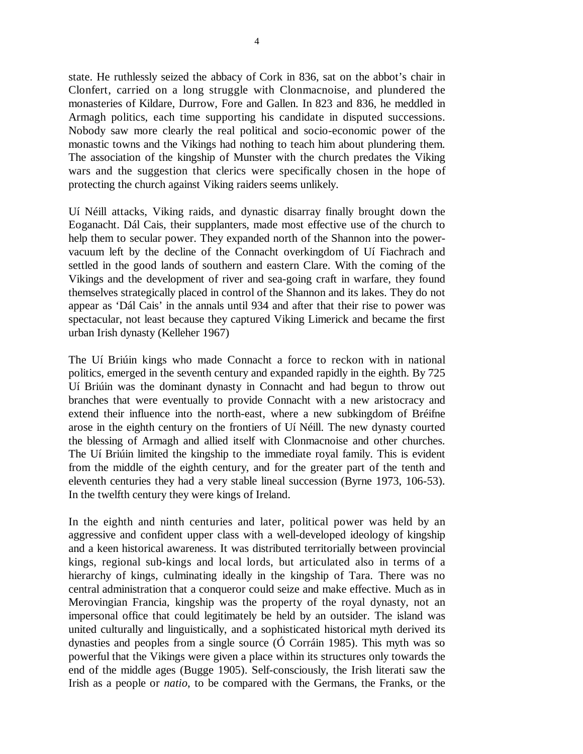state. He ruthlessly seized the abbacy of Cork in 836, sat on the abbot's chair in Clonfert, carried on a long struggle with Clonmacnoise, and plundered the monasteries of Kildare, Durrow, Fore and Gallen. In 823 and 836, he meddled in Armagh politics, each time supporting his candidate in disputed successions. Nobody saw more clearly the real political and socio-economic power of the monastic towns and the Vikings had nothing to teach him about plundering them. The association of the kingship of Munster with the church predates the Viking wars and the suggestion that clerics were specifically chosen in the hope of protecting the church against Viking raiders seems unlikely.

Uí Néill attacks, Viking raids, and dynastic disarray finally brought down the Eoganacht. Dál Cais, their supplanters, made most effective use of the church to help them to secular power. They expanded north of the Shannon into the powervacuum left by the decline of the Connacht overkingdom of Uí Fiachrach and settled in the good lands of southern and eastern Clare. With the coming of the Vikings and the development of river and sea-going craft in warfare, they found themselves strategically placed in control of the Shannon and its lakes. They do not appear as 'Dál Cais' in the annals until 934 and after that their rise to power was spectacular, not least because they captured Viking Limerick and became the first urban Irish dynasty (Kelleher 1967)

The Uí Briúin kings who made Connacht a force to reckon with in national politics, emerged in the seventh century and expanded rapidly in the eighth. By 725 Uí Briúin was the dominant dynasty in Connacht and had begun to throw out branches that were eventually to provide Connacht with a new aristocracy and extend their influence into the north-east, where a new subkingdom of Bréifne arose in the eighth century on the frontiers of Uí Néill. The new dynasty courted the blessing of Armagh and allied itself with Clonmacnoise and other churches. The Uí Briúin limited the kingship to the immediate royal family. This is evident from the middle of the eighth century, and for the greater part of the tenth and eleventh centuries they had a very stable lineal succession (Byrne 1973, 106-53). In the twelfth century they were kings of Ireland.

In the eighth and ninth centuries and later, political power was held by an aggressive and confident upper class with a well-developed ideology of kingship and a keen historical awareness. It was distributed territorially between provincial kings, regional sub-kings and local lords, but articulated also in terms of a hierarchy of kings, culminating ideally in the kingship of Tara. There was no central administration that a conqueror could seize and make effective. Much as in Merovingian Francia, kingship was the property of the royal dynasty, not an impersonal office that could legitimately be held by an outsider. The island was united culturally and linguistically, and a sophisticated historical myth derived its dynasties and peoples from a single source (Ó Corráin 1985). This myth was so powerful that the Vikings were given a place within its structures only towards the end of the middle ages (Bugge 1905). Self-consciously, the Irish literati saw the Irish as a people or *natio*, to be compared with the Germans, the Franks, or the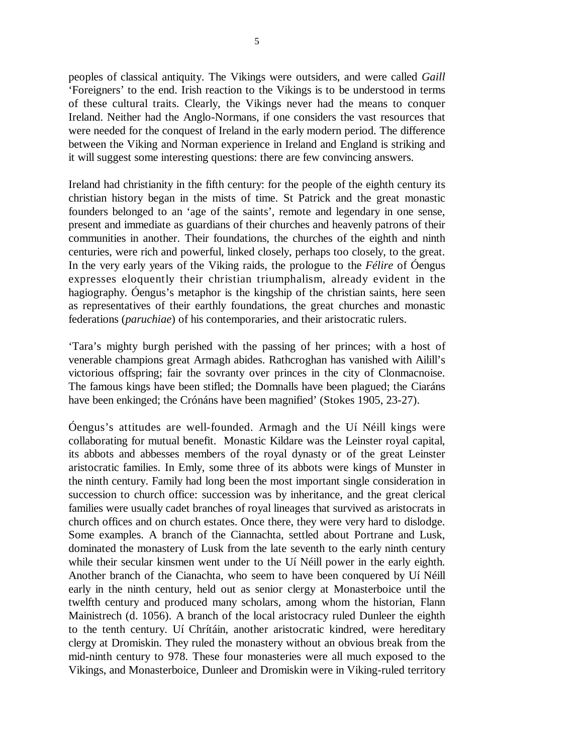peoples of classical antiquity. The Vikings were outsiders, and were called *Gaill* 'Foreigners' to the end. Irish reaction to the Vikings is to be understood in terms of these cultural traits. Clearly, the Vikings never had the means to conquer Ireland. Neither had the Anglo-Normans, if one considers the vast resources that were needed for the conquest of Ireland in the early modern period. The difference between the Viking and Norman experience in Ireland and England is striking and it will suggest some interesting questions: there are few convincing answers.

Ireland had christianity in the fifth century: for the people of the eighth century its christian history began in the mists of time. St Patrick and the great monastic founders belonged to an 'age of the saints', remote and legendary in one sense, present and immediate as guardians of their churches and heavenly patrons of their communities in another. Their foundations, the churches of the eighth and ninth centuries, were rich and powerful, linked closely, perhaps too closely, to the great. In the very early years of the Viking raids, the prologue to the *Félire* of Óengus expresses eloquently their christian triumphalism, already evident in the hagiography. Óengus's metaphor is the kingship of the christian saints, here seen as representatives of their earthly foundations, the great churches and monastic federations (*paruchiae*) of his contemporaries, and their aristocratic rulers.

'Tara's mighty burgh perished with the passing of her princes; with a host of venerable champions great Armagh abides. Rathcroghan has vanished with Ailill's victorious offspring; fair the sovranty over princes in the city of Clonmacnoise. The famous kings have been stifled; the Domnalls have been plagued; the Ciaráns have been enkinged; the Crónáns have been magnified' (Stokes 1905, 23-27).

Óengus's attitudes are well-founded. Armagh and the Uí Néill kings were collaborating for mutual benefit. Monastic Kildare was the Leinster royal capital, its abbots and abbesses members of the royal dynasty or of the great Leinster aristocratic families. In Emly, some three of its abbots were kings of Munster in the ninth century. Family had long been the most important single consideration in succession to church office: succession was by inheritance, and the great clerical families were usually cadet branches of royal lineages that survived as aristocrats in church offices and on church estates. Once there, they were very hard to dislodge. Some examples. A branch of the Ciannachta, settled about Portrane and Lusk, dominated the monastery of Lusk from the late seventh to the early ninth century while their secular kinsmen went under to the Uí Néill power in the early eighth. Another branch of the Cianachta, who seem to have been conquered by Uí Néill early in the ninth century, held out as senior clergy at Monasterboice until the twelfth century and produced many scholars, among whom the historian, Flann Mainistrech (d. 1056). A branch of the local aristocracy ruled Dunleer the eighth to the tenth century. Uí Chrítáin, another aristocratic kindred, were hereditary clergy at Dromiskin. They ruled the monastery without an obvious break from the mid-ninth century to 978. These four monasteries were all much exposed to the Vikings, and Monasterboice, Dunleer and Dromiskin were in Viking-ruled territory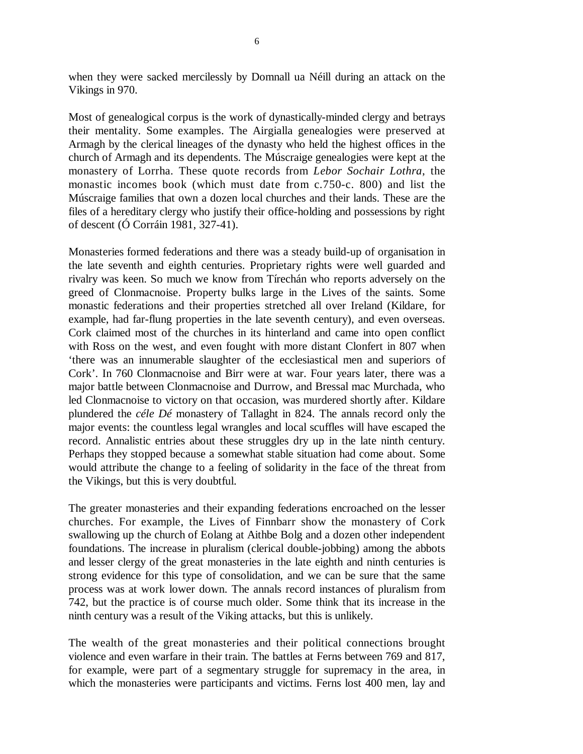when they were sacked mercilessly by Domnall ua Néill during an attack on the Vikings in 970.

Most of genealogical corpus is the work of dynastically-minded clergy and betrays their mentality. Some examples. The Airgialla genealogies were preserved at Armagh by the clerical lineages of the dynasty who held the highest offices in the church of Armagh and its dependents. The Múscraige genealogies were kept at the monastery of Lorrha. These quote records from *Lebor Sochair Lothra*, the monastic incomes book (which must date from c.750-c. 800) and list the Múscraige families that own a dozen local churches and their lands. These are the files of a hereditary clergy who justify their office-holding and possessions by right of descent (Ó Corráin 1981, 327-41).

Monasteries formed federations and there was a steady build-up of organisation in the late seventh and eighth centuries. Proprietary rights were well guarded and rivalry was keen. So much we know from Tírechán who reports adversely on the greed of Clonmacnoise. Property bulks large in the Lives of the saints. Some monastic federations and their properties stretched all over Ireland (Kildare, for example, had far-flung properties in the late seventh century), and even overseas. Cork claimed most of the churches in its hinterland and came into open conflict with Ross on the west, and even fought with more distant Clonfert in 807 when 'there was an innumerable slaughter of the ecclesiastical men and superiors of Cork'. In 760 Clonmacnoise and Birr were at war. Four years later, there was a major battle between Clonmacnoise and Durrow, and Bressal mac Murchada, who led Clonmacnoise to victory on that occasion, was murdered shortly after. Kildare plundered the *céle Dé* monastery of Tallaght in 824. The annals record only the major events: the countless legal wrangles and local scuffles will have escaped the record. Annalistic entries about these struggles dry up in the late ninth century. Perhaps they stopped because a somewhat stable situation had come about. Some would attribute the change to a feeling of solidarity in the face of the threat from the Vikings, but this is very doubtful.

The greater monasteries and their expanding federations encroached on the lesser churches. For example, the Lives of Finnbarr show the monastery of Cork swallowing up the church of Eolang at Aithbe Bolg and a dozen other independent foundations. The increase in pluralism (clerical double-jobbing) among the abbots and lesser clergy of the great monasteries in the late eighth and ninth centuries is strong evidence for this type of consolidation, and we can be sure that the same process was at work lower down. The annals record instances of pluralism from 742, but the practice is of course much older. Some think that its increase in the ninth century was a result of the Viking attacks, but this is unlikely.

The wealth of the great monasteries and their political connections brought violence and even warfare in their train. The battles at Ferns between 769 and 817, for example, were part of a segmentary struggle for supremacy in the area, in which the monasteries were participants and victims. Ferns lost 400 men, lay and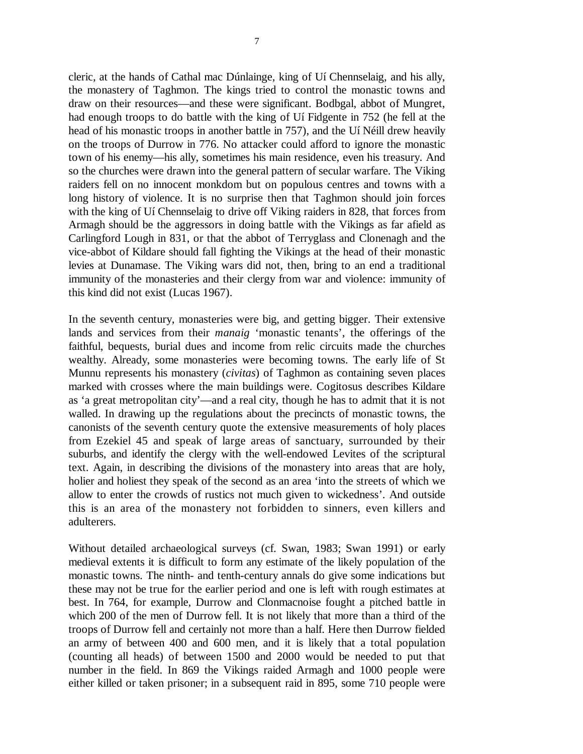cleric, at the hands of Cathal mac Dúnlainge, king of Uí Chennselaig, and his ally, the monastery of Taghmon. The kings tried to control the monastic towns and draw on their resources—and these were significant. Bodbgal, abbot of Mungret, had enough troops to do battle with the king of Uí Fidgente in 752 (he fell at the head of his monastic troops in another battle in 757), and the Uí Néill drew heavily on the troops of Durrow in 776. No attacker could afford to ignore the monastic town of his enemy—his ally, sometimes his main residence, even his treasury. And so the churches were drawn into the general pattern of secular warfare. The Viking raiders fell on no innocent monkdom but on populous centres and towns with a long history of violence. It is no surprise then that Taghmon should join forces with the king of Uí Chennselaig to drive off Viking raiders in 828, that forces from Armagh should be the aggressors in doing battle with the Vikings as far afield as Carlingford Lough in 831, or that the abbot of Terryglass and Clonenagh and the vice-abbot of Kildare should fall fighting the Vikings at the head of their monastic levies at Dunamase. The Viking wars did not, then, bring to an end a traditional immunity of the monasteries and their clergy from war and violence: immunity of this kind did not exist (Lucas 1967).

In the seventh century, monasteries were big, and getting bigger. Their extensive lands and services from their *manaig* 'monastic tenants', the offerings of the faithful, bequests, burial dues and income from relic circuits made the churches wealthy. Already, some monasteries were becoming towns. The early life of St Munnu represents his monastery (*civitas*) of Taghmon as containing seven places marked with crosses where the main buildings were. Cogitosus describes Kildare as 'a great metropolitan city'—and a real city, though he has to admit that it is not walled. In drawing up the regulations about the precincts of monastic towns, the canonists of the seventh century quote the extensive measurements of holy places from Ezekiel 45 and speak of large areas of sanctuary, surrounded by their suburbs, and identify the clergy with the well-endowed Levites of the scriptural text. Again, in describing the divisions of the monastery into areas that are holy, holier and holiest they speak of the second as an area 'into the streets of which we allow to enter the crowds of rustics not much given to wickedness'. And outside this is an area of the monastery not forbidden to sinners, even killers and adulterers.

Without detailed archaeological surveys (cf. Swan, 1983; Swan 1991) or early medieval extents it is difficult to form any estimate of the likely population of the monastic towns. The ninth- and tenth-century annals do give some indications but these may not be true for the earlier period and one is left with rough estimates at best. In 764, for example, Durrow and Clonmacnoise fought a pitched battle in which 200 of the men of Durrow fell. It is not likely that more than a third of the troops of Durrow fell and certainly not more than a half. Here then Durrow fielded an army of between 400 and 600 men, and it is likely that a total population (counting all heads) of between 1500 and 2000 would be needed to put that number in the field. In 869 the Vikings raided Armagh and 1000 people were either killed or taken prisoner; in a subsequent raid in 895, some 710 people were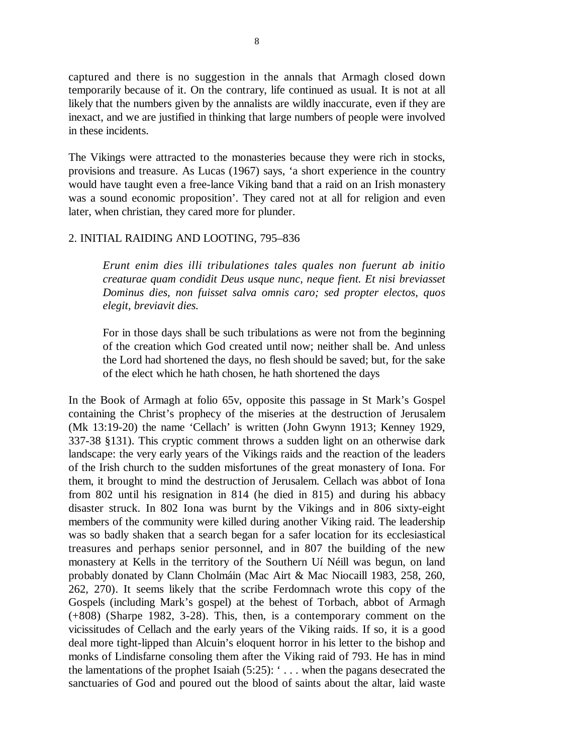captured and there is no suggestion in the annals that Armagh closed down temporarily because of it. On the contrary, life continued as usual. It is not at all likely that the numbers given by the annalists are wildly inaccurate, even if they are inexact, and we are justified in thinking that large numbers of people were involved in these incidents.

The Vikings were attracted to the monasteries because they were rich in stocks, provisions and treasure. As Lucas (1967) says, 'a short experience in the country would have taught even a free-lance Viking band that a raid on an Irish monastery was a sound economic proposition'. They cared not at all for religion and even later, when christian, they cared more for plunder.

#### 2. INITIAL RAIDING AND LOOTING, 795–836

*Erunt enim dies illi tribulationes tales quales non fuerunt ab initio creaturae quam condidit Deus usque nunc, neque fient. Et nisi breviasset Dominus dies, non fuisset salva omnis caro; sed propter electos, quos elegit, breviavit dies.*

For in those days shall be such tribulations as were not from the beginning of the creation which God created until now; neither shall be. And unless the Lord had shortened the days, no flesh should be saved; but, for the sake of the elect which he hath chosen, he hath shortened the days

In the Book of Armagh at folio 65v, opposite this passage in St Mark's Gospel containing the Christ's prophecy of the miseries at the destruction of Jerusalem (Mk 13:19-20) the name 'Cellach' is written (John Gwynn 1913; Kenney 1929, 337-38 §131). This cryptic comment throws a sudden light on an otherwise dark landscape: the very early years of the Vikings raids and the reaction of the leaders of the Irish church to the sudden misfortunes of the great monastery of Iona. For them, it brought to mind the destruction of Jerusalem. Cellach was abbot of Iona from 802 until his resignation in 814 (he died in 815) and during his abbacy disaster struck. In 802 Iona was burnt by the Vikings and in 806 sixty-eight members of the community were killed during another Viking raid. The leadership was so badly shaken that a search began for a safer location for its ecclesiastical treasures and perhaps senior personnel, and in 807 the building of the new monastery at Kells in the territory of the Southern Uí Néill was begun, on land probably donated by Clann Cholmáin (Mac Airt & Mac Niocaill 1983, 258, 260, 262, 270). It seems likely that the scribe Ferdomnach wrote this copy of the Gospels (including Mark's gospel) at the behest of Torbach, abbot of Armagh (+808) (Sharpe 1982, 3-28). This, then, is a contemporary comment on the vicissitudes of Cellach and the early years of the Viking raids. If so, it is a good deal more tight-lipped than Alcuin's eloquent horror in his letter to the bishop and monks of Lindisfarne consoling them after the Viking raid of 793. He has in mind the lamentations of the prophet Isaiah (5:25): ' . . . when the pagans desecrated the sanctuaries of God and poured out the blood of saints about the altar, laid waste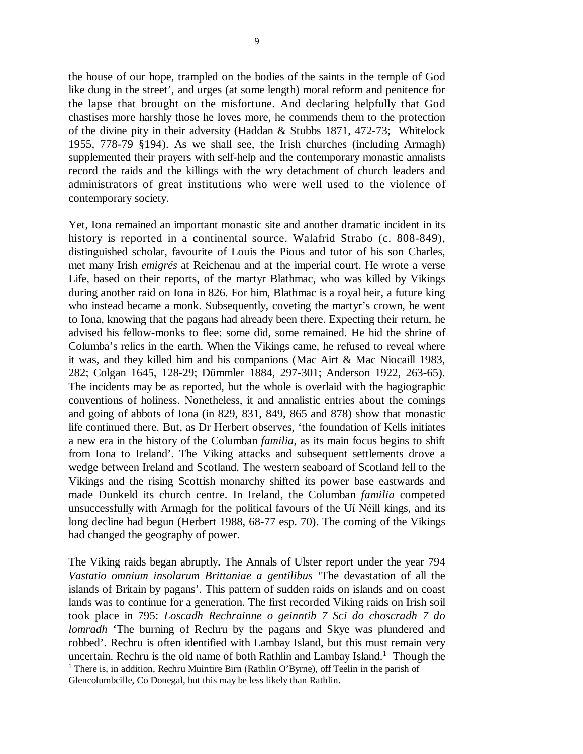the house of our hope, trampled on the bodies of the saints in the temple of God like dung in the street', and urges (at some length) moral reform and penitence for the lapse that brought on the misfortune. And declaring helpfully that God chastises more harshly those he loves more, he commends them to the protection of the divine pity in their adversity (Haddan & Stubbs 1871, 472-73; Whitelock 1955, 778-79 §194). As we shall see, the Irish churches (including Armagh) supplemented their prayers with self-help and the contemporary monastic annalists record the raids and the killings with the wry detachment of church leaders and administrators of great institutions who were well used to the violence of contemporary society.

Yet, Iona remained an important monastic site and another dramatic incident in its history is reported in a continental source. Walafrid Strabo (c. 808-849), distinguished scholar, favourite of Louis the Pious and tutor of his son Charles, met many Irish *emigrés* at Reichenau and at the imperial court. He wrote a verse Life, based on their reports, of the martyr Blathmac, who was killed by Vikings during another raid on Iona in 826. For him, Blathmac is a royal heir, a future king who instead became a monk. Subsequently, coveting the martyr's crown, he went to Iona, knowing that the pagans had already been there. Expecting their return, he advised his fellow-monks to flee: some did, some remained. He hid the shrine of Columba's relics in the earth. When the Vikings came, he refused to reveal where it was, and they killed him and his companions (Mac Airt & Mac Niocaill 1983, 282; Colgan 1645, 128-29; Dümmler 1884, 297-301; Anderson 1922, 263-65). The incidents may be as reported, but the whole is overlaid with the hagiographic conventions of holiness. Nonetheless, it and annalistic entries about the comings and going of abbots of Iona (in 829, 831, 849, 865 and 878) show that monastic life continued there. But, as Dr Herbert observes, 'the foundation of Kells initiates a new era in the history of the Columban *familia*, as its main focus begins to shift from Iona to Ireland'. The Viking attacks and subsequent settlements drove a wedge between Ireland and Scotland. The western seaboard of Scotland fell to the Vikings and the rising Scottish monarchy shifted its power base eastwards and made Dunkeld its church centre. In Ireland, the Columban *familia* competed unsuccessfully with Armagh for the political favours of the Uí Néill kings, and its long decline had begun (Herbert 1988, 68-77 esp. 70). The coming of the Vikings had changed the geography of power.

The Viking raids began abruptly. The Annals of Ulster report under the year 794 *Vastatio omnium insolarum Brittaniae a gentilibus* 'The devastation of all the islands of Britain by pagans'. This pattern of sudden raids on islands and on coast lands was to continue for a generation. The first recorded Viking raids on Irish soil took place in 795: *Loscadh Rechrainne o geinntib 7 Sci do choscradh 7 do lomradh* 'The burning of Rechru by the pagans and Skye was plundered and robbed'. Rechru is often identified with Lambay Island, but this must remain very uncertain. Rechru is the old name of both Rathlin and Lambay Island.<sup>1</sup> Though the <sup>1</sup> There is, in addition, Rechru Muintire Birn (Rathlin O'Byrne), off Teelin in the parish of Glencolumbcille, Co Donegal, but this may be less likely than Rathlin.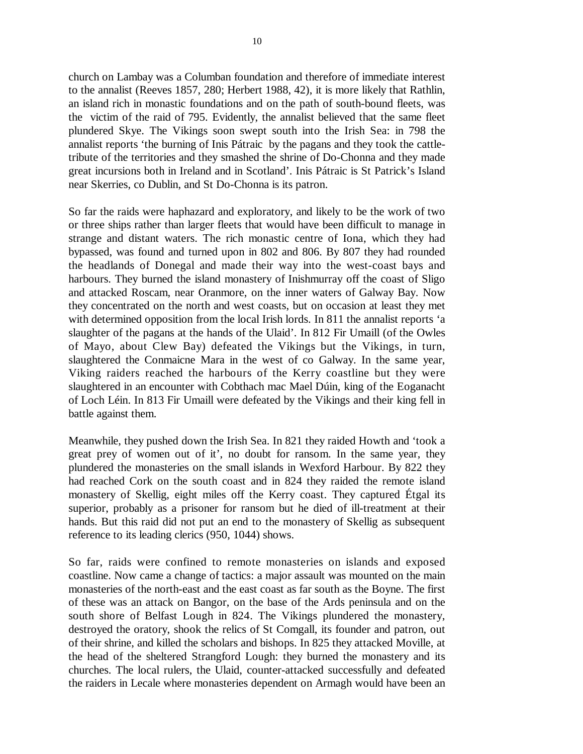church on Lambay was a Columban foundation and therefore of immediate interest to the annalist (Reeves 1857, 280; Herbert 1988, 42), it is more likely that Rathlin, an island rich in monastic foundations and on the path of south-bound fleets, was the victim of the raid of 795. Evidently, the annalist believed that the same fleet plundered Skye. The Vikings soon swept south into the Irish Sea: in 798 the annalist reports 'the burning of Inis Pátraic by the pagans and they took the cattletribute of the territories and they smashed the shrine of Do-Chonna and they made great incursions both in Ireland and in Scotland'. Inis Pátraic is St Patrick's Island near Skerries, co Dublin, and St Do-Chonna is its patron.

So far the raids were haphazard and exploratory, and likely to be the work of two or three ships rather than larger fleets that would have been difficult to manage in strange and distant waters. The rich monastic centre of Iona, which they had bypassed, was found and turned upon in 802 and 806. By 807 they had rounded the headlands of Donegal and made their way into the west-coast bays and harbours. They burned the island monastery of Inishmurray off the coast of Sligo and attacked Roscam, near Oranmore, on the inner waters of Galway Bay. Now they concentrated on the north and west coasts, but on occasion at least they met with determined opposition from the local Irish lords. In 811 the annalist reports 'a slaughter of the pagans at the hands of the Ulaid'. In 812 Fir Umaill (of the Owles of Mayo, about Clew Bay) defeated the Vikings but the Vikings, in turn, slaughtered the Conmaicne Mara in the west of co Galway. In the same year, Viking raiders reached the harbours of the Kerry coastline but they were slaughtered in an encounter with Cobthach mac Mael Dúin, king of the Eoganacht of Loch Léin. In 813 Fir Umaill were defeated by the Vikings and their king fell in battle against them.

Meanwhile, they pushed down the Irish Sea. In 821 they raided Howth and 'took a great prey of women out of it', no doubt for ransom. In the same year, they plundered the monasteries on the small islands in Wexford Harbour. By 822 they had reached Cork on the south coast and in 824 they raided the remote island monastery of Skellig, eight miles off the Kerry coast. They captured Étgal its superior, probably as a prisoner for ransom but he died of ill-treatment at their hands. But this raid did not put an end to the monastery of Skellig as subsequent reference to its leading clerics (950, 1044) shows.

So far, raids were confined to remote monasteries on islands and exposed coastline. Now came a change of tactics: a major assault was mounted on the main monasteries of the north-east and the east coast as far south as the Boyne. The first of these was an attack on Bangor, on the base of the Ards peninsula and on the south shore of Belfast Lough in 824. The Vikings plundered the monastery, destroyed the oratory, shook the relics of St Comgall, its founder and patron, out of their shrine, and killed the scholars and bishops. In 825 they attacked Moville, at the head of the sheltered Strangford Lough: they burned the monastery and its churches. The local rulers, the Ulaid, counter-attacked successfully and defeated the raiders in Lecale where monasteries dependent on Armagh would have been an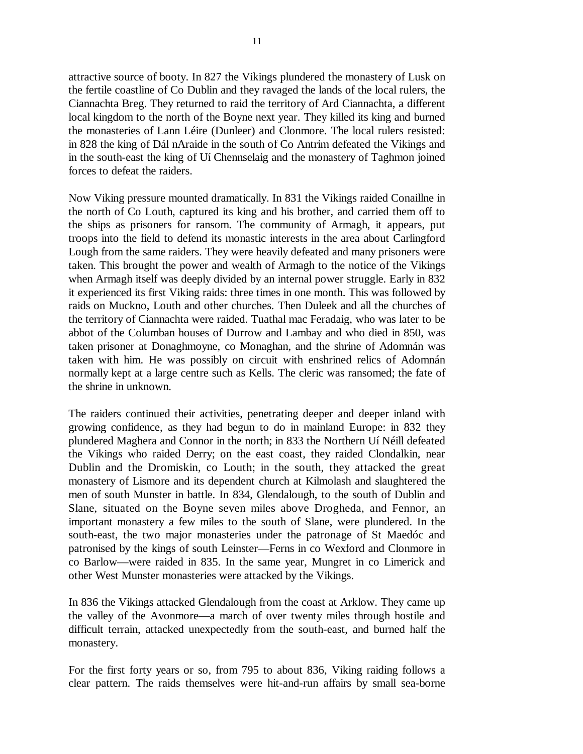attractive source of booty. In 827 the Vikings plundered the monastery of Lusk on the fertile coastline of Co Dublin and they ravaged the lands of the local rulers, the Ciannachta Breg. They returned to raid the territory of Ard Ciannachta, a different local kingdom to the north of the Boyne next year. They killed its king and burned the monasteries of Lann Léire (Dunleer) and Clonmore. The local rulers resisted: in 828 the king of Dál nAraide in the south of Co Antrim defeated the Vikings and in the south-east the king of Uí Chennselaig and the monastery of Taghmon joined forces to defeat the raiders.

Now Viking pressure mounted dramatically. In 831 the Vikings raided Conaillne in the north of Co Louth, captured its king and his brother, and carried them off to the ships as prisoners for ransom. The community of Armagh, it appears, put troops into the field to defend its monastic interests in the area about Carlingford Lough from the same raiders. They were heavily defeated and many prisoners were taken. This brought the power and wealth of Armagh to the notice of the Vikings when Armagh itself was deeply divided by an internal power struggle. Early in 832 it experienced its first Viking raids: three times in one month. This was followed by raids on Muckno, Louth and other churches. Then Duleek and all the churches of the territory of Ciannachta were raided. Tuathal mac Feradaig, who was later to be abbot of the Columban houses of Durrow and Lambay and who died in 850, was taken prisoner at Donaghmoyne, co Monaghan, and the shrine of Adomnán was taken with him. He was possibly on circuit with enshrined relics of Adomnán normally kept at a large centre such as Kells. The cleric was ransomed; the fate of the shrine in unknown.

The raiders continued their activities, penetrating deeper and deeper inland with growing confidence, as they had begun to do in mainland Europe: in 832 they plundered Maghera and Connor in the north; in 833 the Northern Uí Néill defeated the Vikings who raided Derry; on the east coast, they raided Clondalkin, near Dublin and the Dromiskin, co Louth; in the south, they attacked the great monastery of Lismore and its dependent church at Kilmolash and slaughtered the men of south Munster in battle. In 834, Glendalough, to the south of Dublin and Slane, situated on the Boyne seven miles above Drogheda, and Fennor, an important monastery a few miles to the south of Slane, were plundered. In the south-east, the two major monasteries under the patronage of St Maedóc and patronised by the kings of south Leinster—Ferns in co Wexford and Clonmore in co Barlow—were raided in 835. In the same year, Mungret in co Limerick and other West Munster monasteries were attacked by the Vikings.

In 836 the Vikings attacked Glendalough from the coast at Arklow. They came up the valley of the Avonmore—a march of over twenty miles through hostile and difficult terrain, attacked unexpectedly from the south-east, and burned half the monastery.

For the first forty years or so, from 795 to about 836, Viking raiding follows a clear pattern. The raids themselves were hit-and-run affairs by small sea-borne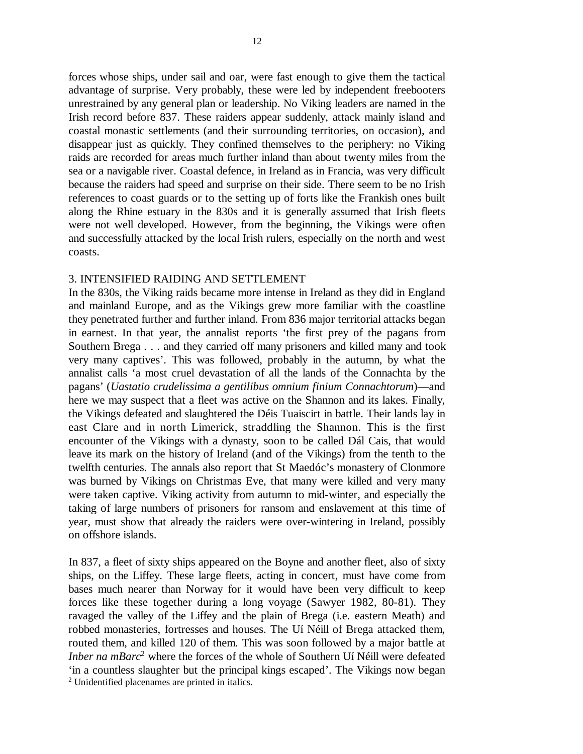forces whose ships, under sail and oar, were fast enough to give them the tactical advantage of surprise. Very probably, these were led by independent freebooters unrestrained by any general plan or leadership. No Viking leaders are named in the Irish record before 837. These raiders appear suddenly, attack mainly island and coastal monastic settlements (and their surrounding territories, on occasion), and disappear just as quickly. They confined themselves to the periphery: no Viking raids are recorded for areas much further inland than about twenty miles from the sea or a navigable river. Coastal defence, in Ireland as in Francia, was very difficult because the raiders had speed and surprise on their side. There seem to be no Irish references to coast guards or to the setting up of forts like the Frankish ones built along the Rhine estuary in the 830s and it is generally assumed that Irish fleets were not well developed. However, from the beginning, the Vikings were often and successfully attacked by the local Irish rulers, especially on the north and west coasts.

#### 3. INTENSIFIED RAIDING AND SETTLEMENT

In the 830s, the Viking raids became more intense in Ireland as they did in England and mainland Europe, and as the Vikings grew more familiar with the coastline they penetrated further and further inland. From 836 major territorial attacks began in earnest. In that year, the annalist reports 'the first prey of the pagans from Southern Brega . . . and they carried off many prisoners and killed many and took very many captives'. This was followed, probably in the autumn, by what the annalist calls 'a most cruel devastation of all the lands of the Connachta by the pagans' (*Uastatio crudelissima a gentilibus omnium finium Connachtorum*)—and here we may suspect that a fleet was active on the Shannon and its lakes. Finally, the Vikings defeated and slaughtered the Déis Tuaiscirt in battle. Their lands lay in east Clare and in north Limerick, straddling the Shannon. This is the first encounter of the Vikings with a dynasty, soon to be called Dál Cais, that would leave its mark on the history of Ireland (and of the Vikings) from the tenth to the twelfth centuries. The annals also report that St Maedóc's monastery of Clonmore was burned by Vikings on Christmas Eve, that many were killed and very many were taken captive. Viking activity from autumn to mid-winter, and especially the taking of large numbers of prisoners for ransom and enslavement at this time of year, must show that already the raiders were over-wintering in Ireland, possibly on offshore islands.

In 837, a fleet of sixty ships appeared on the Boyne and another fleet, also of sixty ships, on the Liffey. These large fleets, acting in concert, must have come from bases much nearer than Norway for it would have been very difficult to keep forces like these together during a long voyage (Sawyer 1982, 80-81). They ravaged the valley of the Liffey and the plain of Brega (i.e. eastern Meath) and robbed monasteries, fortresses and houses. The Uí Néill of Brega attacked them, routed them, and killed 120 of them. This was soon followed by a major battle at *Inber na mBarc*<sup>2</sup> where the forces of the whole of Southern Uí Néill were defeated 'in a countless slaughter but the principal kings escaped'. The Vikings now began <sup>2</sup> Unidentified placenames are printed in italics.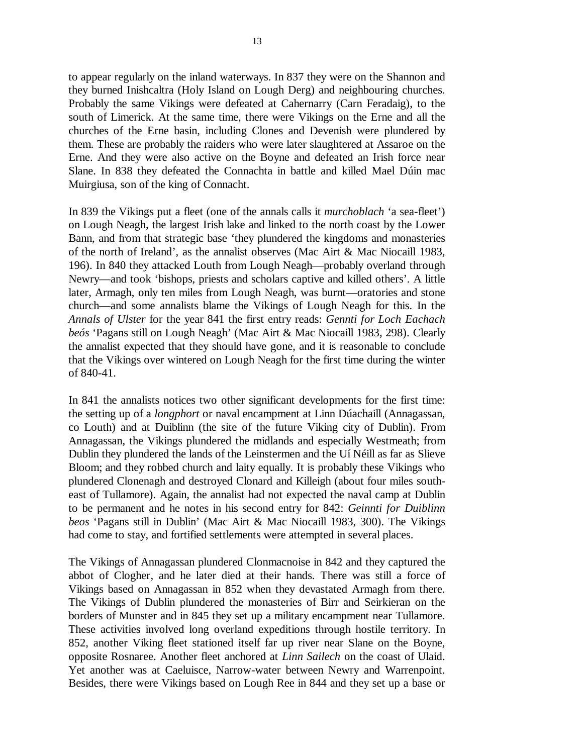to appear regularly on the inland waterways. In 837 they were on the Shannon and they burned Inishcaltra (Holy Island on Lough Derg) and neighbouring churches. Probably the same Vikings were defeated at Cahernarry (Carn Feradaig), to the south of Limerick. At the same time, there were Vikings on the Erne and all the churches of the Erne basin, including Clones and Devenish were plundered by them. These are probably the raiders who were later slaughtered at Assaroe on the Erne. And they were also active on the Boyne and defeated an Irish force near Slane. In 838 they defeated the Connachta in battle and killed Mael Dúin mac Muirgiusa, son of the king of Connacht.

In 839 the Vikings put a fleet (one of the annals calls it *murchoblach* 'a sea-fleet') on Lough Neagh, the largest Irish lake and linked to the north coast by the Lower Bann, and from that strategic base 'they plundered the kingdoms and monasteries of the north of Ireland', as the annalist observes (Mac Airt & Mac Niocaill 1983, 196). In 840 they attacked Louth from Lough Neagh—probably overland through Newry—and took 'bishops, priests and scholars captive and killed others'. A little later, Armagh, only ten miles from Lough Neagh, was burnt—oratories and stone church—and some annalists blame the Vikings of Lough Neagh for this. In the *Annals of Ulster* for the year 841 the first entry reads: *Gennti for Loch Eachach beós* 'Pagans still on Lough Neagh' (Mac Airt & Mac Niocaill 1983, 298). Clearly the annalist expected that they should have gone, and it is reasonable to conclude that the Vikings over wintered on Lough Neagh for the first time during the winter of 840-41.

In 841 the annalists notices two other significant developments for the first time: the setting up of a *longphort* or naval encampment at Linn Dúachaill (Annagassan, co Louth) and at Duiblinn (the site of the future Viking city of Dublin). From Annagassan, the Vikings plundered the midlands and especially Westmeath; from Dublin they plundered the lands of the Leinstermen and the Uí Néill as far as Slieve Bloom; and they robbed church and laity equally. It is probably these Vikings who plundered Clonenagh and destroyed Clonard and Killeigh (about four miles southeast of Tullamore). Again, the annalist had not expected the naval camp at Dublin to be permanent and he notes in his second entry for 842: *Geinnti for Duiblinn beos* 'Pagans still in Dublin' (Mac Airt & Mac Niocaill 1983, 300). The Vikings had come to stay, and fortified settlements were attempted in several places.

The Vikings of Annagassan plundered Clonmacnoise in 842 and they captured the abbot of Clogher, and he later died at their hands. There was still a force of Vikings based on Annagassan in 852 when they devastated Armagh from there. The Vikings of Dublin plundered the monasteries of Birr and Seirkieran on the borders of Munster and in 845 they set up a military encampment near Tullamore. These activities involved long overland expeditions through hostile territory. In 852, another Viking fleet stationed itself far up river near Slane on the Boyne, opposite Rosnaree. Another fleet anchored at *Linn Sailech* on the coast of Ulaid. Yet another was at Caeluisce, Narrow-water between Newry and Warrenpoint. Besides, there were Vikings based on Lough Ree in 844 and they set up a base or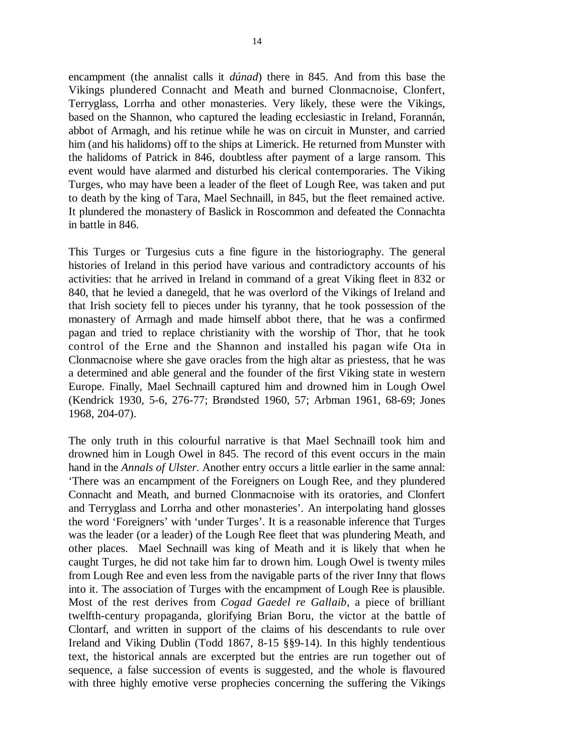encampment (the annalist calls it *dúnad*) there in 845. And from this base the Vikings plundered Connacht and Meath and burned Clonmacnoise, Clonfert, Terryglass, Lorrha and other monasteries. Very likely, these were the Vikings, based on the Shannon, who captured the leading ecclesiastic in Ireland, Forannán, abbot of Armagh, and his retinue while he was on circuit in Munster, and carried him (and his halidoms) off to the ships at Limerick. He returned from Munster with the halidoms of Patrick in 846, doubtless after payment of a large ransom. This event would have alarmed and disturbed his clerical contemporaries. The Viking Turges, who may have been a leader of the fleet of Lough Ree, was taken and put to death by the king of Tara, Mael Sechnaill, in 845, but the fleet remained active. It plundered the monastery of Baslick in Roscommon and defeated the Connachta in battle in 846.

This Turges or Turgesius cuts a fine figure in the historiography. The general histories of Ireland in this period have various and contradictory accounts of his activities: that he arrived in Ireland in command of a great Viking fleet in 832 or 840, that he levied a danegeld, that he was overlord of the Vikings of Ireland and that Irish society fell to pieces under his tyranny, that he took possession of the monastery of Armagh and made himself abbot there, that he was a confirmed pagan and tried to replace christianity with the worship of Thor, that he took control of the Erne and the Shannon and installed his pagan wife Ota in Clonmacnoise where she gave oracles from the high altar as priestess, that he was a determined and able general and the founder of the first Viking state in western Europe. Finally, Mael Sechnaill captured him and drowned him in Lough Owel (Kendrick 1930, 5-6, 276-77; Brøndsted 1960, 57; Arbman 1961, 68-69; Jones 1968, 204-07).

The only truth in this colourful narrative is that Mael Sechnaill took him and drowned him in Lough Owel in 845. The record of this event occurs in the main hand in the *Annals of Ulster*. Another entry occurs a little earlier in the same annal: 'There was an encampment of the Foreigners on Lough Ree, and they plundered Connacht and Meath, and burned Clonmacnoise with its oratories, and Clonfert and Terryglass and Lorrha and other monasteries'. An interpolating hand glosses the word 'Foreigners' with 'under Turges'. It is a reasonable inference that Turges was the leader (or a leader) of the Lough Ree fleet that was plundering Meath, and other places. Mael Sechnaill was king of Meath and it is likely that when he caught Turges, he did not take him far to drown him. Lough Owel is twenty miles from Lough Ree and even less from the navigable parts of the river Inny that flows into it. The association of Turges with the encampment of Lough Ree is plausible. Most of the rest derives from *Cogad Gaedel re Gallaib*, a piece of brilliant twelfth-century propaganda, glorifying Brian Boru, the victor at the battle of Clontarf, and written in support of the claims of his descendants to rule over Ireland and Viking Dublin (Todd 1867, 8-15 §§9-14). In this highly tendentious text, the historical annals are excerpted but the entries are run together out of sequence, a false succession of events is suggested, and the whole is flavoured with three highly emotive verse prophecies concerning the suffering the Vikings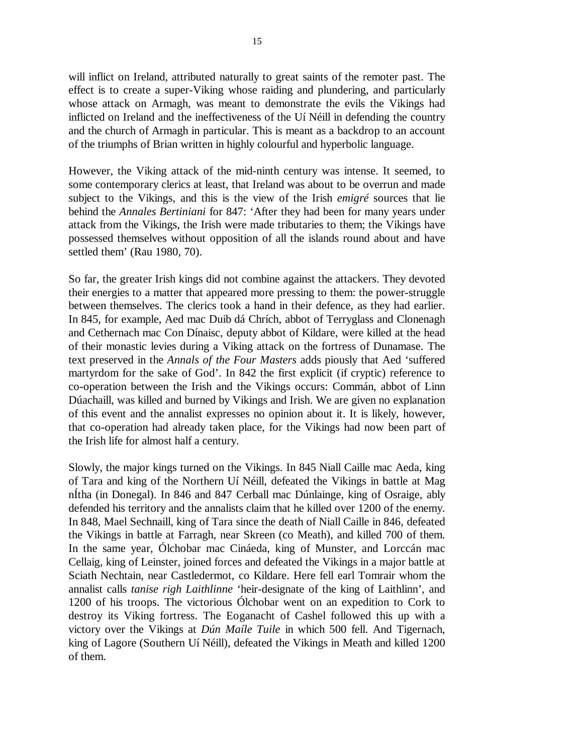will inflict on Ireland, attributed naturally to great saints of the remoter past. The effect is to create a super-Viking whose raiding and plundering, and particularly whose attack on Armagh, was meant to demonstrate the evils the Vikings had inflicted on Ireland and the ineffectiveness of the Uí Néill in defending the country and the church of Armagh in particular. This is meant as a backdrop to an account of the triumphs of Brian written in highly colourful and hyperbolic language.

However, the Viking attack of the mid-ninth century was intense. It seemed, to some contemporary clerics at least, that Ireland was about to be overrun and made subject to the Vikings, and this is the view of the Irish *emigré* sources that lie behind the *Annales Bertiniani* for 847: 'After they had been for many years under attack from the Vikings, the Irish were made tributaries to them; the Vikings have possessed themselves without opposition of all the islands round about and have settled them' (Rau 1980, 70).

So far, the greater Irish kings did not combine against the attackers. They devoted their energies to a matter that appeared more pressing to them: the power-struggle between themselves. The clerics took a hand in their defence, as they had earlier. In 845, for example, Aed mac Duib dá Chrích, abbot of Terryglass and Clonenagh and Cethernach mac Con Dínaisc, deputy abbot of Kildare, were killed at the head of their monastic levies during a Viking attack on the fortress of Dunamase. The text preserved in the *Annals of the Four Masters* adds piously that Aed 'suffered martyrdom for the sake of God'. In 842 the first explicit (if cryptic) reference to co-operation between the Irish and the Vikings occurs: Commán, abbot of Linn Dúachaill, was killed and burned by Vikings and Irish. We are given no explanation of this event and the annalist expresses no opinion about it. It is likely, however, that co-operation had already taken place, for the Vikings had now been part of the Irish life for almost half a century.

Slowly, the major kings turned on the Vikings. In 845 Niall Caille mac Aeda, king of Tara and king of the Northern Uí Néill, defeated the Vikings in battle at Mag nÍtha (in Donegal). In 846 and 847 Cerball mac Dúnlainge, king of Osraige, ably defended his territory and the annalists claim that he killed over 1200 of the enemy. In 848, Mael Sechnaill, king of Tara since the death of Niall Caille in 846, defeated the Vikings in battle at Farragh, near Skreen (co Meath), and killed 700 of them. In the same year, Ólchobar mac Cináeda, king of Munster, and Lorccán mac Cellaig, king of Leinster, joined forces and defeated the Vikings in a major battle at Sciath Nechtain, near Castledermot, co Kildare. Here fell earl Tomrair whom the annalist calls *tanise righ Laithlinne* 'heir-designate of the king of Laithlinn', and 1200 of his troops. The victorious Ólchobar went on an expedition to Cork to destroy its Viking fortress. The Eoganacht of Cashel followed this up with a victory over the Vikings at *Dún Maíle Tuile* in which 500 fell. And Tigernach, king of Lagore (Southern Uí Néill), defeated the Vikings in Meath and killed 1200 of them.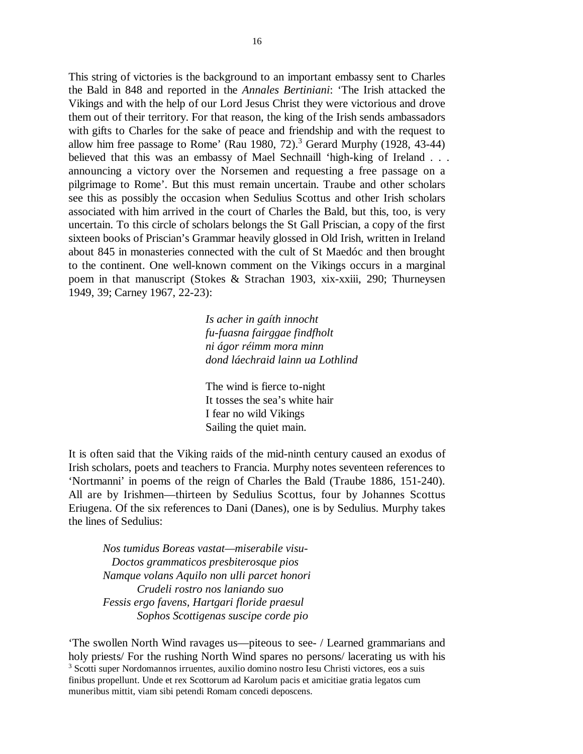This string of victories is the background to an important embassy sent to Charles the Bald in 848 and reported in the *Annales Bertiniani*: 'The Irish attacked the Vikings and with the help of our Lord Jesus Christ they were victorious and drove them out of their territory. For that reason, the king of the Irish sends ambassadors with gifts to Charles for the sake of peace and friendship and with the request to allow him free passage to Rome' (Rau 1980, 72).<sup>3</sup> Gerard Murphy (1928, 43-44) believed that this was an embassy of Mael Sechnaill 'high-king of Ireland . . . announcing a victory over the Norsemen and requesting a free passage on a pilgrimage to Rome'. But this must remain uncertain. Traube and other scholars see this as possibly the occasion when Sedulius Scottus and other Irish scholars associated with him arrived in the court of Charles the Bald, but this, too, is very uncertain. To this circle of scholars belongs the St Gall Priscian, a copy of the first sixteen books of Priscian's Grammar heavily glossed in Old Irish, written in Ireland about 845 in monasteries connected with the cult of St Maedóc and then brought to the continent. One well-known comment on the Vikings occurs in a marginal poem in that manuscript (Stokes & Strachan 1903, xix-xxiii, 290; Thurneysen 1949, 39; Carney 1967, 22-23):

> *Is acher in gaíth innocht fu-fuasna fairggae findfholt ni ágor réimm mora minn dond láechraid lainn ua Lothlind*

The wind is fierce to-night It tosses the sea's white hair I fear no wild Vikings Sailing the quiet main.

It is often said that the Viking raids of the mid-ninth century caused an exodus of Irish scholars, poets and teachers to Francia. Murphy notes seventeen references to 'Nortmanni' in poems of the reign of Charles the Bald (Traube 1886, 151-240). All are by Irishmen—thirteen by Sedulius Scottus, four by Johannes Scottus Eriugena. Of the six references to Dani (Danes), one is by Sedulius. Murphy takes the lines of Sedulius:

*Nos tumidus Boreas vastat—miserabile visu- Doctos grammaticos presbiterosque pios Namque volans Aquilo non ulli parcet honori Crudeli rostro nos laniando suo Fessis ergo favens, Hartgari floride praesul Sophos Scottigenas suscipe corde pio*

'The swollen North Wind ravages us—piteous to see- / Learned grammarians and holy priests/ For the rushing North Wind spares no persons/ lacerating us with his <sup>3</sup> Scotti super Nordomannos irruentes, auxilio domino nostro Iesu Christi victores, eos a suis finibus propellunt. Unde et rex Scottorum ad Karolum pacis et amicitiae gratia legatos cum muneribus mittit, viam sibi petendi Romam concedi deposcens.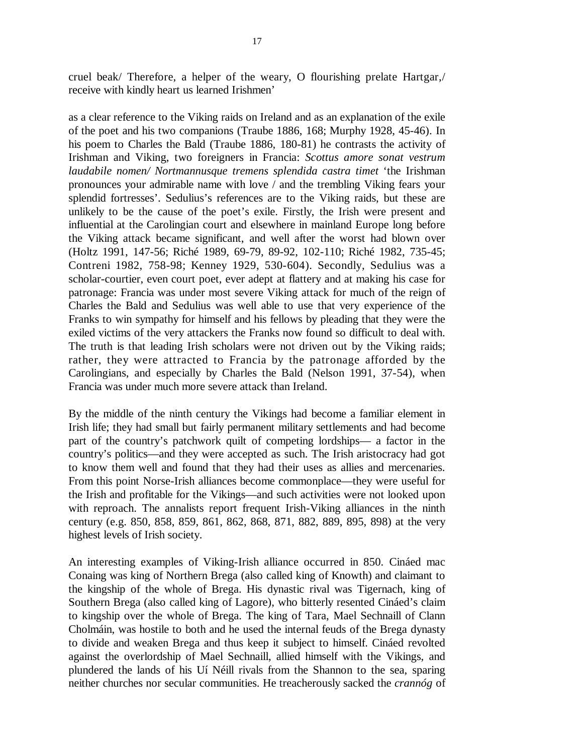cruel beak/ Therefore, a helper of the weary, O flourishing prelate Hartgar,/ receive with kindly heart us learned Irishmen'

as a clear reference to the Viking raids on Ireland and as an explanation of the exile of the poet and his two companions (Traube 1886, 168; Murphy 1928, 45-46). In his poem to Charles the Bald (Traube 1886, 180-81) he contrasts the activity of Irishman and Viking, two foreigners in Francia: *Scottus amore sonat vestrum laudabile nomen/ Nortmannusque tremens splendida castra timet* 'the Irishman pronounces your admirable name with love / and the trembling Viking fears your splendid fortresses'. Sedulius's references are to the Viking raids, but these are unlikely to be the cause of the poet's exile. Firstly, the Irish were present and influential at the Carolingian court and elsewhere in mainland Europe long before the Viking attack became significant, and well after the worst had blown over (Holtz 1991, 147-56; Riché 1989, 69-79, 89-92, 102-110; Riché 1982, 735-45; Contreni 1982, 758-98; Kenney 1929, 530-604). Secondly, Sedulius was a scholar-courtier, even court poet, ever adept at flattery and at making his case for patronage: Francia was under most severe Viking attack for much of the reign of Charles the Bald and Sedulius was well able to use that very experience of the Franks to win sympathy for himself and his fellows by pleading that they were the exiled victims of the very attackers the Franks now found so difficult to deal with. The truth is that leading Irish scholars were not driven out by the Viking raids; rather, they were attracted to Francia by the patronage afforded by the Carolingians, and especially by Charles the Bald (Nelson 1991, 37-54), when Francia was under much more severe attack than Ireland.

By the middle of the ninth century the Vikings had become a familiar element in Irish life; they had small but fairly permanent military settlements and had become part of the country's patchwork quilt of competing lordships— a factor in the country's politics—and they were accepted as such. The Irish aristocracy had got to know them well and found that they had their uses as allies and mercenaries. From this point Norse-Irish alliances become commonplace—they were useful for the Irish and profitable for the Vikings—and such activities were not looked upon with reproach. The annalists report frequent Irish-Viking alliances in the ninth century (e.g. 850, 858, 859, 861, 862, 868, 871, 882, 889, 895, 898) at the very highest levels of Irish society.

An interesting examples of Viking-Irish alliance occurred in 850. Cináed mac Conaing was king of Northern Brega (also called king of Knowth) and claimant to the kingship of the whole of Brega. His dynastic rival was Tigernach, king of Southern Brega (also called king of Lagore), who bitterly resented Cináed's claim to kingship over the whole of Brega. The king of Tara, Mael Sechnaill of Clann Cholmáin, was hostile to both and he used the internal feuds of the Brega dynasty to divide and weaken Brega and thus keep it subject to himself. Cináed revolted against the overlordship of Mael Sechnaill, allied himself with the Vikings, and plundered the lands of his Uí Néill rivals from the Shannon to the sea, sparing neither churches nor secular communities. He treacherously sacked the *crannóg* of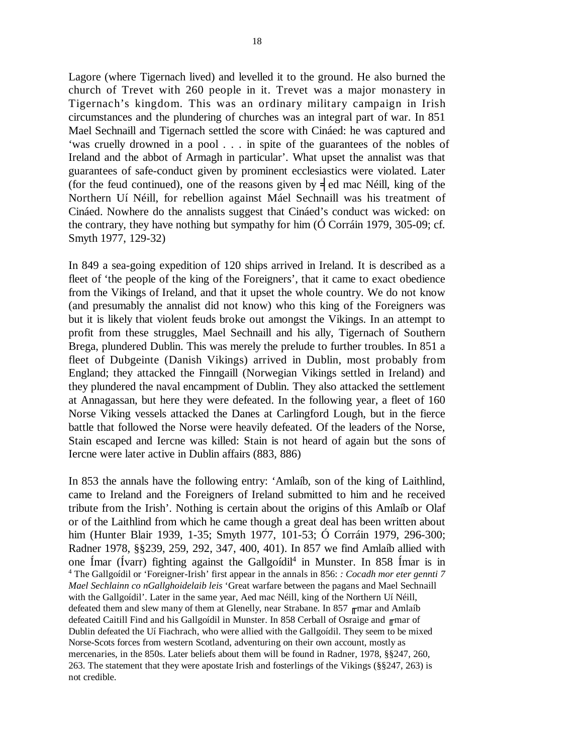Lagore (where Tigernach lived) and levelled it to the ground. He also burned the church of Trevet with 260 people in it. Trevet was a major monastery in Tigernach's kingdom. This was an ordinary military campaign in Irish circumstances and the plundering of churches was an integral part of war. In 851 Mael Sechnaill and Tigernach settled the score with Cináed: he was captured and 'was cruelly drowned in a pool . . . in spite of the guarantees of the nobles of Ireland and the abbot of Armagh in particular'. What upset the annalist was that guarantees of safe-conduct given by prominent ecclesiastics were violated. Later (for the feud continued), one of the reasons given by  $\frac{1}{2}$  ed mac Néill, king of the Northern Uí Néill, for rebellion against Máel Sechnaill was his treatment of Cináed. Nowhere do the annalists suggest that Cináed's conduct was wicked: on the contrary, they have nothing but sympathy for him  $(Ó$  Corráin 1979, 305-09; cf. Smyth 1977, 129-32)

In 849 a sea-going expedition of 120 ships arrived in Ireland. It is described as a fleet of 'the people of the king of the Foreigners', that it came to exact obedience from the Vikings of Ireland, and that it upset the whole country. We do not know (and presumably the annalist did not know) who this king of the Foreigners was but it is likely that violent feuds broke out amongst the Vikings. In an attempt to profit from these struggles, Mael Sechnaill and his ally, Tigernach of Southern Brega, plundered Dublin. This was merely the prelude to further troubles. In 851 a fleet of Dubgeinte (Danish Vikings) arrived in Dublin, most probably from England; they attacked the Finngaill (Norwegian Vikings settled in Ireland) and they plundered the naval encampment of Dublin. They also attacked the settlement at Annagassan, but here they were defeated. In the following year, a fleet of 160 Norse Viking vessels attacked the Danes at Carlingford Lough, but in the fierce battle that followed the Norse were heavily defeated. Of the leaders of the Norse, Stain escaped and Iercne was killed: Stain is not heard of again but the sons of Iercne were later active in Dublin affairs (883, 886)

In 853 the annals have the following entry: 'Amlaíb, son of the king of Laithlind, came to Ireland and the Foreigners of Ireland submitted to him and he received tribute from the Irish'. Nothing is certain about the origins of this Amlaíb or Olaf or of the Laithlind from which he came though a great deal has been written about him (Hunter Blair 1939, 1-35; Smyth 1977, 101-53; Ó Corráin 1979, 296-300; Radner 1978, §§239, 259, 292, 347, 400, 401). In 857 we find Amlaíb allied with one Ímar (Ívarr) fighting against the Gallgoídil<sup>4</sup> in Munster. In 858 Ímar is in <sup>4</sup> The Gallgoídil or 'Foreigner-Irish' first appear in the annals in 856: *: Cocadh mor eter gennti 7 Mael Sechlainn co nGallghoidelaib leis* 'Great warfare between the pagans and Mael Sechnaill with the Gallgoídil'. Later in the same year, Aed mac Néill, king of the Northern Uí Néill, defeated them and slew many of them at Glenelly, near Strabane. In 857  $<sub>π</sub>$ mar and Amlaíb</sub> defeated Caitill Find and his Gallgoídil in Munster. In 858 Cerball of Osraige and  $<sub>π</sub>$ mar of</sub> Dublin defeated the Uí Fiachrach, who were allied with the Gallgoídil. They seem to be mixed Norse-Scots forces from western Scotland, adventuring on their own account, mostly as mercenaries, in the 850s. Later beliefs about them will be found in Radner, 1978, §§247, 260, 263. The statement that they were apostate Irish and fosterlings of the Vikings (§§247, 263) is not credible.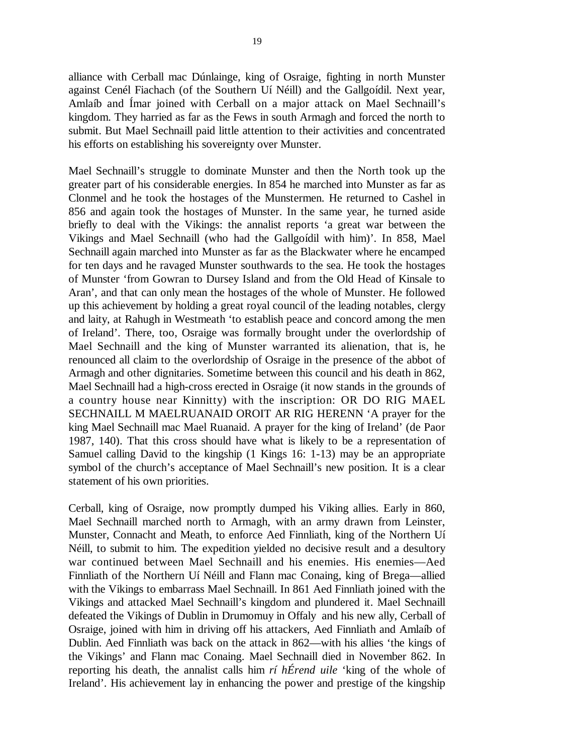alliance with Cerball mac Dúnlainge, king of Osraige, fighting in north Munster against Cenél Fiachach (of the Southern Uí Néill) and the Gallgoídil. Next year, Amlaíb and Ímar joined with Cerball on a major attack on Mael Sechnaill's kingdom. They harried as far as the Fews in south Armagh and forced the north to submit. But Mael Sechnaill paid little attention to their activities and concentrated his efforts on establishing his sovereignty over Munster.

Mael Sechnaill's struggle to dominate Munster and then the North took up the greater part of his considerable energies. In 854 he marched into Munster as far as Clonmel and he took the hostages of the Munstermen. He returned to Cashel in 856 and again took the hostages of Munster. In the same year, he turned aside briefly to deal with the Vikings: the annalist reports 'a great war between the Vikings and Mael Sechnaill (who had the Gallgoídil with him)'. In 858, Mael Sechnaill again marched into Munster as far as the Blackwater where he encamped for ten days and he ravaged Munster southwards to the sea. He took the hostages of Munster 'from Gowran to Dursey Island and from the Old Head of Kinsale to Aran', and that can only mean the hostages of the whole of Munster. He followed up this achievement by holding a great royal council of the leading notables, clergy and laity, at Rahugh in Westmeath 'to establish peace and concord among the men of Ireland'. There, too, Osraige was formally brought under the overlordship of Mael Sechnaill and the king of Munster warranted its alienation, that is, he renounced all claim to the overlordship of Osraige in the presence of the abbot of Armagh and other dignitaries. Sometime between this council and his death in 862, Mael Sechnaill had a high-cross erected in Osraige (it now stands in the grounds of a country house near Kinnitty) with the inscription: OR DO RIG MAEL SECHNAILL M MAELRUANAID OROIT AR RIG HERENN 'A prayer for the king Mael Sechnaill mac Mael Ruanaid. A prayer for the king of Ireland' (de Paor 1987, 140). That this cross should have what is likely to be a representation of Samuel calling David to the kingship (1 Kings 16: 1-13) may be an appropriate symbol of the church's acceptance of Mael Sechnaill's new position. It is a clear statement of his own priorities.

Cerball, king of Osraige, now promptly dumped his Viking allies. Early in 860, Mael Sechnaill marched north to Armagh, with an army drawn from Leinster, Munster, Connacht and Meath, to enforce Aed Finnliath, king of the Northern Uí Néill, to submit to him. The expedition yielded no decisive result and a desultory war continued between Mael Sechnaill and his enemies. His enemies—Aed Finnliath of the Northern Uí Néill and Flann mac Conaing, king of Brega—allied with the Vikings to embarrass Mael Sechnaill. In 861 Aed Finnliath joined with the Vikings and attacked Mael Sechnaill's kingdom and plundered it. Mael Sechnaill defeated the Vikings of Dublin in Drumomuy in Offaly and his new ally, Cerball of Osraige, joined with him in driving off his attackers, Aed Finnliath and Amlaíb of Dublin. Aed Finnliath was back on the attack in 862—with his allies 'the kings of the Vikings' and Flann mac Conaing. Mael Sechnaill died in November 862. In reporting his death, the annalist calls him *rí hÉrend uile* 'king of the whole of Ireland'. His achievement lay in enhancing the power and prestige of the kingship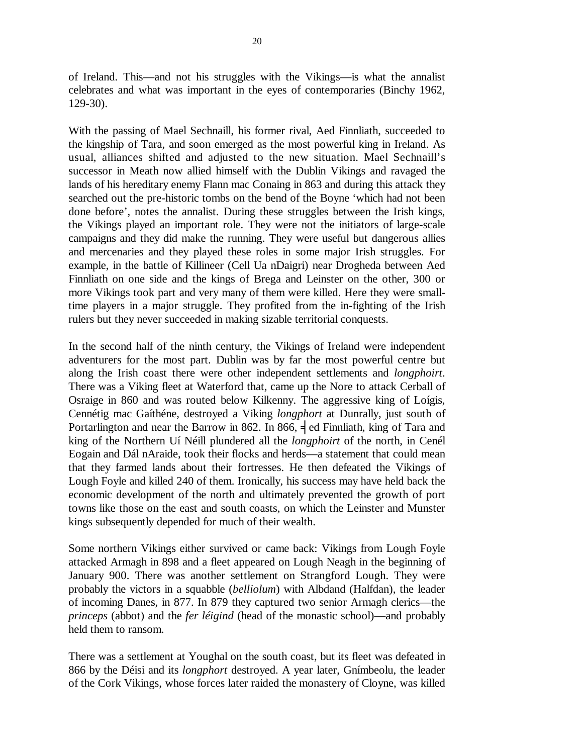of Ireland. This—and not his struggles with the Vikings—is what the annalist celebrates and what was important in the eyes of contemporaries (Binchy 1962, 129-30).

With the passing of Mael Sechnaill, his former rival, Aed Finnliath, succeeded to the kingship of Tara, and soon emerged as the most powerful king in Ireland. As usual, alliances shifted and adjusted to the new situation. Mael Sechnaill's successor in Meath now allied himself with the Dublin Vikings and ravaged the lands of his hereditary enemy Flann mac Conaing in 863 and during this attack they searched out the pre-historic tombs on the bend of the Boyne 'which had not been done before', notes the annalist. During these struggles between the Irish kings, the Vikings played an important role. They were not the initiators of large-scale campaigns and they did make the running. They were useful but dangerous allies and mercenaries and they played these roles in some major Irish struggles. For example, in the battle of Killineer (Cell Ua nDaigri) near Drogheda between Aed Finnliath on one side and the kings of Brega and Leinster on the other, 300 or more Vikings took part and very many of them were killed. Here they were smalltime players in a major struggle. They profited from the in-fighting of the Irish rulers but they never succeeded in making sizable territorial conquests.

In the second half of the ninth century, the Vikings of Ireland were independent adventurers for the most part. Dublin was by far the most powerful centre but along the Irish coast there were other independent settlements and *longphoirt*. There was a Viking fleet at Waterford that, came up the Nore to attack Cerball of Osraige in 860 and was routed below Kilkenny. The aggressive king of Loígis, Cennétig mac Gaíthéne, destroyed a Viking *longphort* at Dunrally, just south of Portarlington and near the Barrow in 862. In 866,  $\frac{1}{2}$  ed Finnliath, king of Tara and king of the Northern Uí Néill plundered all the *longphoirt* of the north, in Cenél Eogain and Dál nAraide, took their flocks and herds—a statement that could mean that they farmed lands about their fortresses. He then defeated the Vikings of Lough Foyle and killed 240 of them. Ironically, his success may have held back the economic development of the north and ultimately prevented the growth of port towns like those on the east and south coasts, on which the Leinster and Munster kings subsequently depended for much of their wealth.

Some northern Vikings either survived or came back: Vikings from Lough Foyle attacked Armagh in 898 and a fleet appeared on Lough Neagh in the beginning of January 900. There was another settlement on Strangford Lough. They were probably the victors in a squabble (*belliolum*) with Albdand (Halfdan), the leader of incoming Danes, in 877. In 879 they captured two senior Armagh clerics—the *princeps* (abbot) and the *fer léigind* (head of the monastic school)—and probably held them to ransom.

There was a settlement at Youghal on the south coast, but its fleet was defeated in 866 by the Déisi and its *longphort* destroyed. A year later, Gnímbeolu, the leader of the Cork Vikings, whose forces later raided the monastery of Cloyne, was killed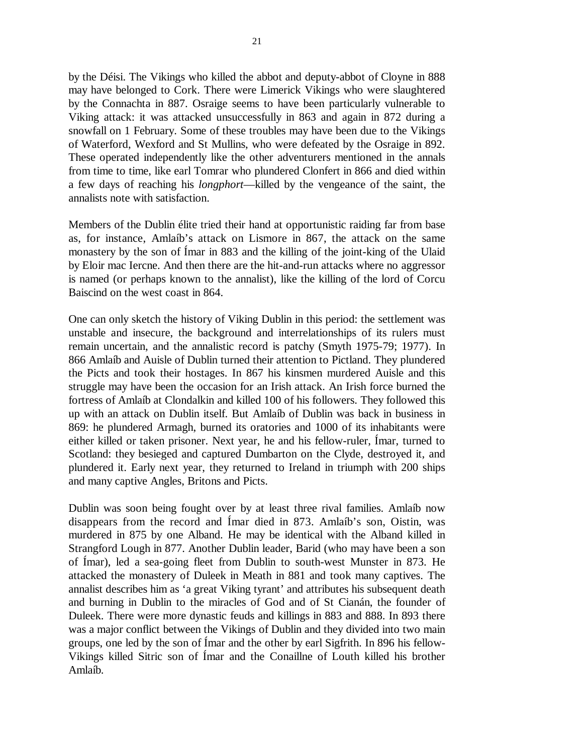by the Déisi. The Vikings who killed the abbot and deputy-abbot of Cloyne in 888 may have belonged to Cork. There were Limerick Vikings who were slaughtered by the Connachta in 887. Osraige seems to have been particularly vulnerable to Viking attack: it was attacked unsuccessfully in 863 and again in 872 during a snowfall on 1 February. Some of these troubles may have been due to the Vikings of Waterford, Wexford and St Mullins, who were defeated by the Osraige in 892.

These operated independently like the other adventurers mentioned in the annals from time to time, like earl Tomrar who plundered Clonfert in 866 and died within a few days of reaching his *longphort*—killed by the vengeance of the saint, the annalists note with satisfaction.

Members of the Dublin élite tried their hand at opportunistic raiding far from base as, for instance, Amlaíb's attack on Lismore in 867, the attack on the same monastery by the son of Ímar in 883 and the killing of the joint-king of the Ulaid by Eloir mac Iercne. And then there are the hit-and-run attacks where no aggressor is named (or perhaps known to the annalist), like the killing of the lord of Corcu Baiscind on the west coast in 864.

One can only sketch the history of Viking Dublin in this period: the settlement was unstable and insecure, the background and interrelationships of its rulers must remain uncertain, and the annalistic record is patchy (Smyth 1975-79; 1977). In 866 Amlaíb and Auisle of Dublin turned their attention to Pictland. They plundered the Picts and took their hostages. In 867 his kinsmen murdered Auisle and this struggle may have been the occasion for an Irish attack. An Irish force burned the fortress of Amlaíb at Clondalkin and killed 100 of his followers. They followed this up with an attack on Dublin itself. But Amlaíb of Dublin was back in business in 869: he plundered Armagh, burned its oratories and 1000 of its inhabitants were either killed or taken prisoner. Next year, he and his fellow-ruler, Ímar, turned to Scotland: they besieged and captured Dumbarton on the Clyde, destroyed it, and plundered it. Early next year, they returned to Ireland in triumph with 200 ships and many captive Angles, Britons and Picts.

Dublin was soon being fought over by at least three rival families. Amlaíb now disappears from the record and Ímar died in 873. Amlaíb's son, Oistin, was murdered in 875 by one Alband. He may be identical with the Alband killed in Strangford Lough in 877. Another Dublin leader, Barid (who may have been a son of Ímar), led a sea-going fleet from Dublin to south-west Munster in 873. He attacked the monastery of Duleek in Meath in 881 and took many captives. The annalist describes him as 'a great Viking tyrant' and attributes his subsequent death and burning in Dublin to the miracles of God and of St Cianán, the founder of Duleek. There were more dynastic feuds and killings in 883 and 888. In 893 there was a major conflict between the Vikings of Dublin and they divided into two main groups, one led by the son of Ímar and the other by earl Sigfrith. In 896 his fellow-Vikings killed Sitric son of Ímar and the Conaillne of Louth killed his brother Amlaíb.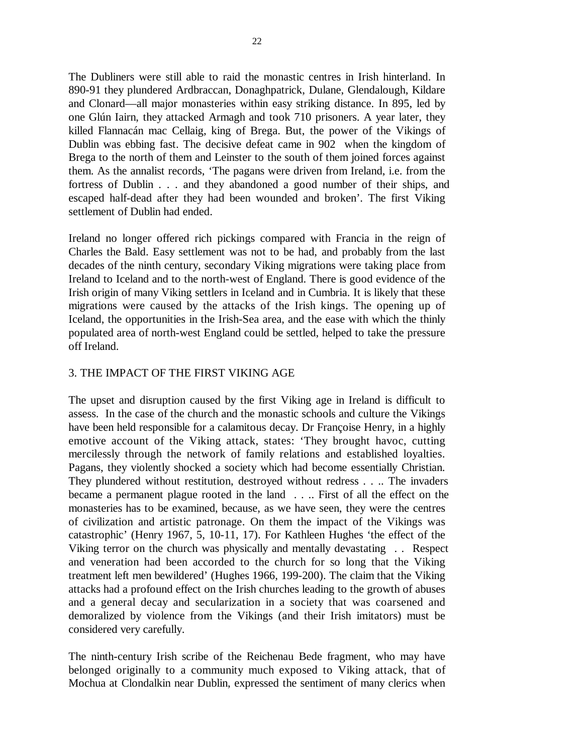The Dubliners were still able to raid the monastic centres in Irish hinterland. In 890-91 they plundered Ardbraccan, Donaghpatrick, Dulane, Glendalough, Kildare and Clonard—all major monasteries within easy striking distance. In 895, led by one Glún Iairn, they attacked Armagh and took 710 prisoners. A year later, they killed Flannacán mac Cellaig, king of Brega. But, the power of the Vikings of Dublin was ebbing fast. The decisive defeat came in 902 when the kingdom of Brega to the north of them and Leinster to the south of them joined forces against them. As the annalist records, 'The pagans were driven from Ireland, i.e. from the fortress of Dublin . . . and they abandoned a good number of their ships, and escaped half-dead after they had been wounded and broken'. The first Viking settlement of Dublin had ended.

Ireland no longer offered rich pickings compared with Francia in the reign of Charles the Bald. Easy settlement was not to be had, and probably from the last decades of the ninth century, secondary Viking migrations were taking place from Ireland to Iceland and to the north-west of England. There is good evidence of the Irish origin of many Viking settlers in Iceland and in Cumbria. It is likely that these migrations were caused by the attacks of the Irish kings. The opening up of Iceland, the opportunities in the Irish-Sea area, and the ease with which the thinly populated area of north-west England could be settled, helped to take the pressure off Ireland.

### 3. THE IMPACT OF THE FIRST VIKING AGE

The upset and disruption caused by the first Viking age in Ireland is difficult to assess. In the case of the church and the monastic schools and culture the Vikings have been held responsible for a calamitous decay. Dr Françoise Henry, in a highly emotive account of the Viking attack, states: 'They brought havoc, cutting mercilessly through the network of family relations and established loyalties. Pagans, they violently shocked a society which had become essentially Christian. They plundered without restitution, destroyed without redress . . .. The invaders became a permanent plague rooted in the land . . .. First of all the effect on the monasteries has to be examined, because, as we have seen, they were the centres of civilization and artistic patronage. On them the impact of the Vikings was catastrophic' (Henry 1967, 5, 10-11, 17). For Kathleen Hughes 'the effect of the Viking terror on the church was physically and mentally devastating . . Respect and veneration had been accorded to the church for so long that the Viking treatment left men bewildered' (Hughes 1966, 199-200). The claim that the Viking attacks had a profound effect on the Irish churches leading to the growth of abuses and a general decay and secularization in a society that was coarsened and demoralized by violence from the Vikings (and their Irish imitators) must be considered very carefully.

The ninth-century Irish scribe of the Reichenau Bede fragment, who may have belonged originally to a community much exposed to Viking attack, that of Mochua at Clondalkin near Dublin, expressed the sentiment of many clerics when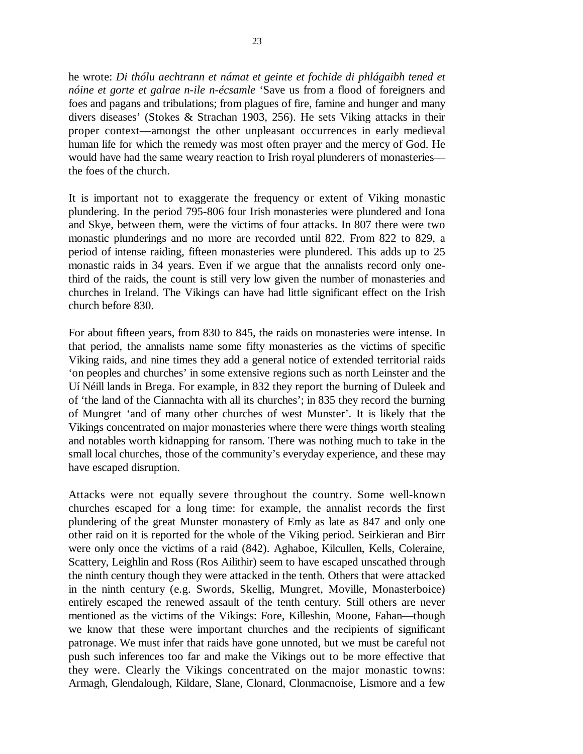he wrote: *Di thólu aechtrann et námat et geinte et fochide di phlágaibh tened et nóine et gorte et galrae n-ile n-écsamle* 'Save us from a flood of foreigners and foes and pagans and tribulations; from plagues of fire, famine and hunger and many divers diseases' (Stokes & Strachan 1903, 256). He sets Viking attacks in their proper context—amongst the other unpleasant occurrences in early medieval human life for which the remedy was most often prayer and the mercy of God. He would have had the same weary reaction to Irish royal plunderers of monasteries the foes of the church.

It is important not to exaggerate the frequency or extent of Viking monastic plundering. In the period 795-806 four Irish monasteries were plundered and Iona and Skye, between them, were the victims of four attacks. In 807 there were two monastic plunderings and no more are recorded until 822. From 822 to 829, a period of intense raiding, fifteen monasteries were plundered. This adds up to 25 monastic raids in 34 years. Even if we argue that the annalists record only onethird of the raids, the count is still very low given the number of monasteries and churches in Ireland. The Vikings can have had little significant effect on the Irish church before 830.

For about fifteen years, from 830 to 845, the raids on monasteries were intense. In that period, the annalists name some fifty monasteries as the victims of specific Viking raids, and nine times they add a general notice of extended territorial raids 'on peoples and churches' in some extensive regions such as north Leinster and the Uí Néill lands in Brega. For example, in 832 they report the burning of Duleek and of 'the land of the Ciannachta with all its churches'; in 835 they record the burning of Mungret 'and of many other churches of west Munster'. It is likely that the Vikings concentrated on major monasteries where there were things worth stealing and notables worth kidnapping for ransom. There was nothing much to take in the small local churches, those of the community's everyday experience, and these may have escaped disruption.

Attacks were not equally severe throughout the country. Some well-known churches escaped for a long time: for example, the annalist records the first plundering of the great Munster monastery of Emly as late as 847 and only one other raid on it is reported for the whole of the Viking period. Seirkieran and Birr were only once the victims of a raid (842). Aghaboe, Kilcullen, Kells, Coleraine, Scattery, Leighlin and Ross (Ros Ailithir) seem to have escaped unscathed through the ninth century though they were attacked in the tenth. Others that were attacked in the ninth century (e.g. Swords, Skellig, Mungret, Moville, Monasterboice) entirely escaped the renewed assault of the tenth century. Still others are never mentioned as the victims of the Vikings: Fore, Killeshin, Moone, Fahan—though we know that these were important churches and the recipients of significant patronage. We must infer that raids have gone unnoted, but we must be careful not push such inferences too far and make the Vikings out to be more effective that they were. Clearly the Vikings concentrated on the major monastic towns: Armagh, Glendalough, Kildare, Slane, Clonard, Clonmacnoise, Lismore and a few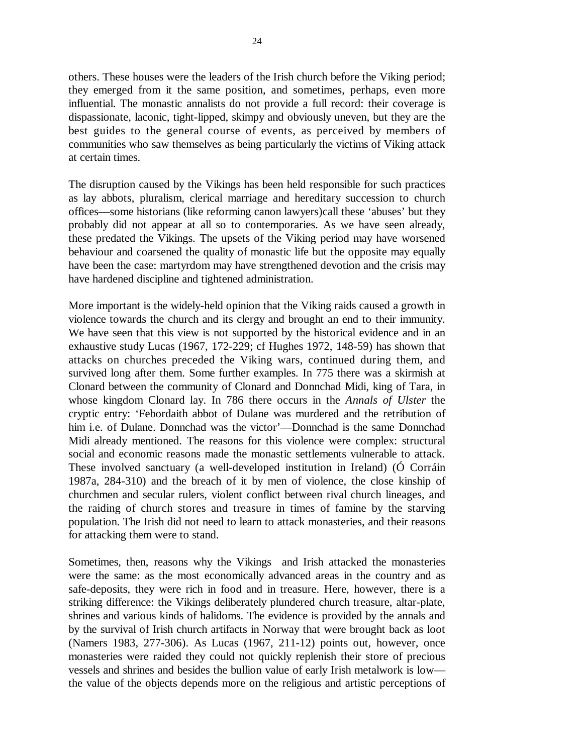others. These houses were the leaders of the Irish church before the Viking period; they emerged from it the same position, and sometimes, perhaps, even more influential. The monastic annalists do not provide a full record: their coverage is dispassionate, laconic, tight-lipped, skimpy and obviously uneven, but they are the best guides to the general course of events, as perceived by members of communities who saw themselves as being particularly the victims of Viking attack at certain times.

The disruption caused by the Vikings has been held responsible for such practices as lay abbots, pluralism, clerical marriage and hereditary succession to church offices—some historians (like reforming canon lawyers)call these 'abuses' but they probably did not appear at all so to contemporaries. As we have seen already, these predated the Vikings. The upsets of the Viking period may have worsened behaviour and coarsened the quality of monastic life but the opposite may equally have been the case: martyrdom may have strengthened devotion and the crisis may have hardened discipline and tightened administration.

More important is the widely-held opinion that the Viking raids caused a growth in violence towards the church and its clergy and brought an end to their immunity. We have seen that this view is not supported by the historical evidence and in an exhaustive study Lucas (1967, 172-229; cf Hughes 1972, 148-59) has shown that attacks on churches preceded the Viking wars, continued during them, and survived long after them. Some further examples. In 775 there was a skirmish at Clonard between the community of Clonard and Donnchad Midi, king of Tara, in whose kingdom Clonard lay. In 786 there occurs in the *Annals of Ulster* the cryptic entry: 'Febordaith abbot of Dulane was murdered and the retribution of him i.e. of Dulane. Donnchad was the victor'—Donnchad is the same Donnchad Midi already mentioned. The reasons for this violence were complex: structural social and economic reasons made the monastic settlements vulnerable to attack. These involved sanctuary (a well-developed institution in Ireland) (Ó Corráin 1987a, 284-310) and the breach of it by men of violence, the close kinship of churchmen and secular rulers, violent conflict between rival church lineages, and the raiding of church stores and treasure in times of famine by the starving population. The Irish did not need to learn to attack monasteries, and their reasons for attacking them were to stand.

Sometimes, then, reasons why the Vikings and Irish attacked the monasteries were the same: as the most economically advanced areas in the country and as safe-deposits, they were rich in food and in treasure. Here, however, there is a striking difference: the Vikings deliberately plundered church treasure, altar-plate, shrines and various kinds of halidoms. The evidence is provided by the annals and by the survival of Irish church artifacts in Norway that were brought back as loot (Namers 1983, 277-306). As Lucas (1967, 211-12) points out, however, once monasteries were raided they could not quickly replenish their store of precious vessels and shrines and besides the bullion value of early Irish metalwork is low the value of the objects depends more on the religious and artistic perceptions of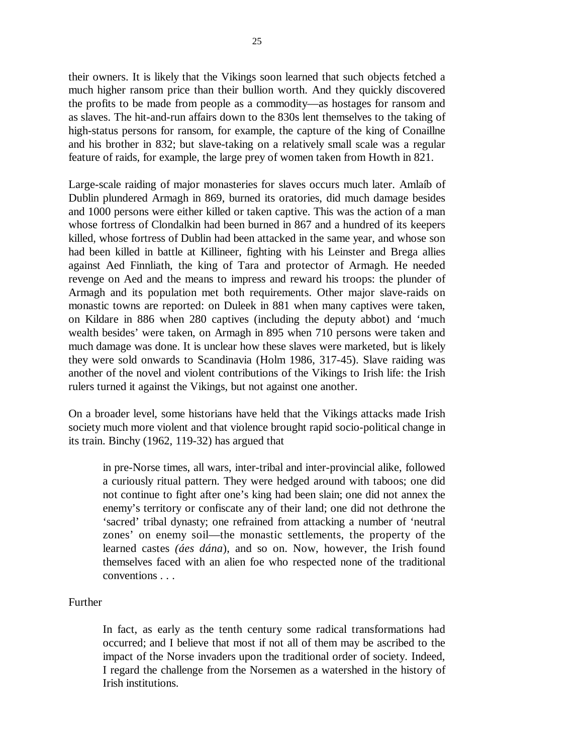their owners. It is likely that the Vikings soon learned that such objects fetched a much higher ransom price than their bullion worth. And they quickly discovered the profits to be made from people as a commodity—as hostages for ransom and as slaves. The hit-and-run affairs down to the 830s lent themselves to the taking of high-status persons for ransom, for example, the capture of the king of Conaillne and his brother in 832; but slave-taking on a relatively small scale was a regular feature of raids, for example, the large prey of women taken from Howth in 821.

Large-scale raiding of major monasteries for slaves occurs much later. Amlaíb of Dublin plundered Armagh in 869, burned its oratories, did much damage besides and 1000 persons were either killed or taken captive. This was the action of a man whose fortress of Clondalkin had been burned in 867 and a hundred of its keepers killed, whose fortress of Dublin had been attacked in the same year, and whose son had been killed in battle at Killineer, fighting with his Leinster and Brega allies against Aed Finnliath, the king of Tara and protector of Armagh. He needed revenge on Aed and the means to impress and reward his troops: the plunder of Armagh and its population met both requirements. Other major slave-raids on monastic towns are reported: on Duleek in 881 when many captives were taken, on Kildare in 886 when 280 captives (including the deputy abbot) and 'much wealth besides' were taken, on Armagh in 895 when 710 persons were taken and much damage was done. It is unclear how these slaves were marketed, but is likely they were sold onwards to Scandinavia (Holm 1986, 317-45). Slave raiding was another of the novel and violent contributions of the Vikings to Irish life: the Irish rulers turned it against the Vikings, but not against one another.

On a broader level, some historians have held that the Vikings attacks made Irish society much more violent and that violence brought rapid socio-political change in its train. Binchy (1962, 119-32) has argued that

in pre-Norse times, all wars, inter-tribal and inter-provincial alike, followed a curiously ritual pattern. They were hedged around with taboos; one did not continue to fight after one's king had been slain; one did not annex the enemy's territory or confiscate any of their land; one did not dethrone the 'sacred' tribal dynasty; one refrained from attacking a number of 'neutral zones' on enemy soil—the monastic settlements, the property of the learned castes *(áes dána*), and so on. Now, however, the Irish found themselves faced with an alien foe who respected none of the traditional conventions . . .

## Further

In fact, as early as the tenth century some radical transformations had occurred; and I believe that most if not all of them may be ascribed to the impact of the Norse invaders upon the traditional order of society. Indeed, I regard the challenge from the Norsemen as a watershed in the history of Irish institutions.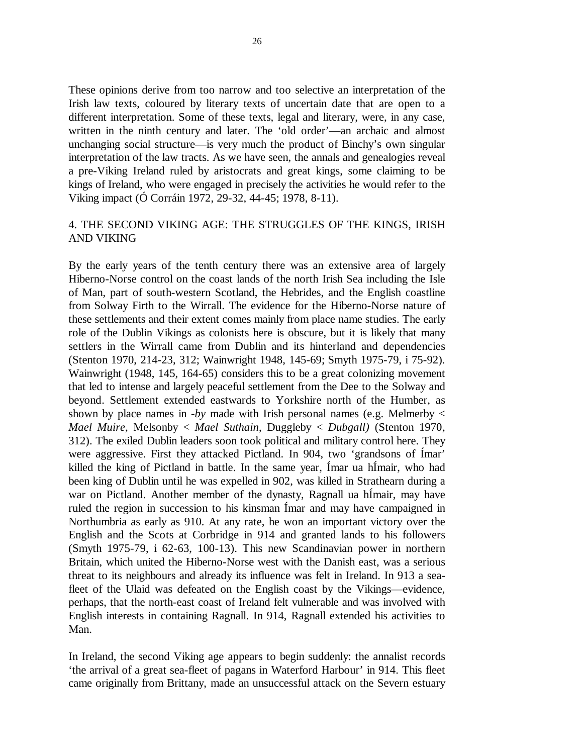These opinions derive from too narrow and too selective an interpretation of the Irish law texts, coloured by literary texts of uncertain date that are open to a different interpretation. Some of these texts, legal and literary, were, in any case, written in the ninth century and later. The 'old order'—an archaic and almost unchanging social structure—is very much the product of Binchy's own singular interpretation of the law tracts. As we have seen, the annals and genealogies reveal a pre-Viking Ireland ruled by aristocrats and great kings, some claiming to be kings of Ireland, who were engaged in precisely the activities he would refer to the Viking impact (Ó Corráin 1972, 29-32, 44-45; 1978, 8-11).

# 4. THE SECOND VIKING AGE: THE STRUGGLES OF THE KINGS, IRISH AND VIKING

By the early years of the tenth century there was an extensive area of largely Hiberno-Norse control on the coast lands of the north Irish Sea including the Isle of Man, part of south-western Scotland, the Hebrides, and the English coastline from Solway Firth to the Wirrall. The evidence for the Hiberno-Norse nature of these settlements and their extent comes mainly from place name studies. The early role of the Dublin Vikings as colonists here is obscure, but it is likely that many settlers in the Wirrall came from Dublin and its hinterland and dependencies (Stenton 1970, 214-23, 312; Wainwright 1948, 145-69; Smyth 1975-79, i 75-92). Wainwright (1948, 145, 164-65) considers this to be a great colonizing movement that led to intense and largely peaceful settlement from the Dee to the Solway and beyond. Settlement extended eastwards to Yorkshire north of the Humber, as shown by place names in -*by* made with Irish personal names (e.g. Melmerby < *Mael Muire*, Melsonby < *Mael Suthain*, Duggleby < *Dubgall)* (Stenton 1970, 312). The exiled Dublin leaders soon took political and military control here. They were aggressive. First they attacked Pictland. In 904, two 'grandsons of Ímar' killed the king of Pictland in battle. In the same year, Ímar ua hÍmair, who had been king of Dublin until he was expelled in 902, was killed in Strathearn during a war on Pictland. Another member of the dynasty, Ragnall ua hÍmair, may have ruled the region in succession to his kinsman Ímar and may have campaigned in Northumbria as early as 910. At any rate, he won an important victory over the English and the Scots at Corbridge in 914 and granted lands to his followers (Smyth 1975-79, i 62-63, 100-13). This new Scandinavian power in northern Britain, which united the Hiberno-Norse west with the Danish east, was a serious threat to its neighbours and already its influence was felt in Ireland. In 913 a seafleet of the Ulaid was defeated on the English coast by the Vikings—evidence, perhaps, that the north-east coast of Ireland felt vulnerable and was involved with English interests in containing Ragnall. In 914, Ragnall extended his activities to Man.

In Ireland, the second Viking age appears to begin suddenly: the annalist records 'the arrival of a great sea-fleet of pagans in Waterford Harbour' in 914. This fleet came originally from Brittany, made an unsuccessful attack on the Severn estuary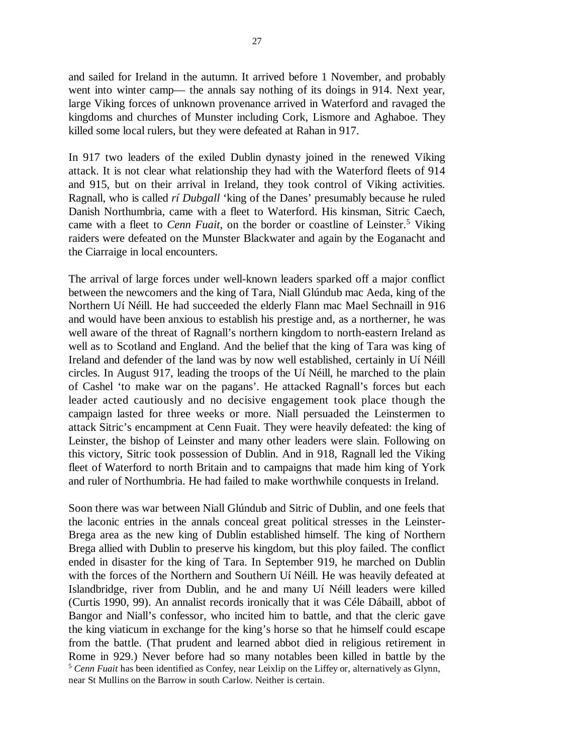and sailed for Ireland in the autumn. It arrived before 1 November, and probably went into winter camp— the annals say nothing of its doings in 914. Next year, large Viking forces of unknown provenance arrived in Waterford and ravaged the kingdoms and churches of Munster including Cork, Lismore and Aghaboe. They killed some local rulers, but they were defeated at Rahan in 917.

In 917 two leaders of the exiled Dublin dynasty joined in the renewed Viking attack. It is not clear what relationship they had with the Waterford fleets of 914 and 915, but on their arrival in Ireland, they took control of Viking activities. Ragnall, who is called *rí Dubgall* 'king of the Danes' presumably because he ruled Danish Northumbria, came with a fleet to Waterford. His kinsman, Sitric Caech, came with a fleet to *Cenn Fuait*, on the border or coastline of Leinster.<sup>5</sup> Viking raiders were defeated on the Munster Blackwater and again by the Eoganacht and the Ciarraige in local encounters.

The arrival of large forces under well-known leaders sparked off a major conflict between the newcomers and the king of Tara, Niall Glúndub mac Aeda, king of the Northern Uí Néill. He had succeeded the elderly Flann mac Mael Sechnaill in 916 and would have been anxious to establish his prestige and, as a northerner, he was well aware of the threat of Ragnall's northern kingdom to north-eastern Ireland as well as to Scotland and England. And the belief that the king of Tara was king of Ireland and defender of the land was by now well established, certainly in Uí Néill circles. In August 917, leading the troops of the Uí Néill, he marched to the plain of Cashel 'to make war on the pagans'. He attacked Ragnall's forces but each leader acted cautiously and no decisive engagement took place though the campaign lasted for three weeks or more. Niall persuaded the Leinstermen to attack Sitric's encampment at Cenn Fuait. They were heavily defeated: the king of Leinster, the bishop of Leinster and many other leaders were slain. Following on this victory, Sitric took possession of Dublin. And in 918, Ragnall led the Viking fleet of Waterford to north Britain and to campaigns that made him king of York and ruler of Northumbria. He had failed to make worthwhile conquests in Ireland.

Soon there was war between Niall Glúndub and Sitric of Dublin, and one feels that the laconic entries in the annals conceal great political stresses in the Leinster-Brega area as the new king of Dublin established himself. The king of Northern Brega allied with Dublin to preserve his kingdom, but this ploy failed. The conflict ended in disaster for the king of Tara. In September 919, he marched on Dublin with the forces of the Northern and Southern Uí Néill. He was heavily defeated at Islandbridge, river from Dublin, and he and many Uí Néill leaders were killed (Curtis 1990, 99). An annalist records ironically that it was Céle Dábaill, abbot of Bangor and Niall's confessor, who incited him to battle, and that the cleric gave the king viaticum in exchange for the king's horse so that he himself could escape from the battle. (That prudent and learned abbot died in religious retirement in Rome in 929.) Never before had so many notables been killed in battle by the <sup>5</sup> *Cenn Fuait* has been identified as Confey, near Leixlip on the Liffey or, alternatively as Glynn, near St Mullins on the Barrow in south Carlow. Neither is certain.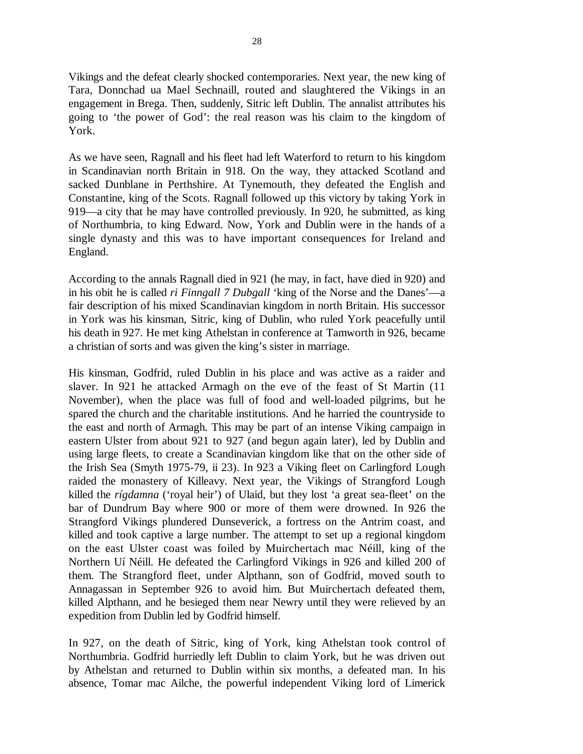Vikings and the defeat clearly shocked contemporaries. Next year, the new king of Tara, Donnchad ua Mael Sechnaill, routed and slaughtered the Vikings in an engagement in Brega. Then, suddenly, Sitric left Dublin. The annalist attributes his going to 'the power of God': the real reason was his claim to the kingdom of York.

As we have seen, Ragnall and his fleet had left Waterford to return to his kingdom in Scandinavian north Britain in 918. On the way, they attacked Scotland and sacked Dunblane in Perthshire. At Tynemouth, they defeated the English and Constantine, king of the Scots. Ragnall followed up this victory by taking York in 919—a city that he may have controlled previously. In 920, he submitted, as king of Northumbria, to king Edward. Now, York and Dublin were in the hands of a single dynasty and this was to have important consequences for Ireland and England.

According to the annals Ragnall died in 921 (he may, in fact, have died in 920) and in his obit he is called *ri Finngall 7 Dubgall* 'king of the Norse and the Danes'—a fair description of his mixed Scandinavian kingdom in north Britain. His successor in York was his kinsman, Sitric, king of Dublin, who ruled York peacefully until his death in 927. He met king Athelstan in conference at Tamworth in 926, became a christian of sorts and was given the king's sister in marriage.

His kinsman, Godfrid, ruled Dublin in his place and was active as a raider and slaver. In 921 he attacked Armagh on the eve of the feast of St Martin (11 November), when the place was full of food and well-loaded pilgrims, but he spared the church and the charitable institutions. And he harried the countryside to the east and north of Armagh. This may be part of an intense Viking campaign in eastern Ulster from about 921 to 927 (and begun again later), led by Dublin and using large fleets, to create a Scandinavian kingdom like that on the other side of the Irish Sea (Smyth 1975-79, ii 23). In 923 a Viking fleet on Carlingford Lough raided the monastery of Killeavy. Next year, the Vikings of Strangford Lough killed the *rígdamna* ('royal heir') of Ulaid, but they lost 'a great sea-fleet' on the bar of Dundrum Bay where 900 or more of them were drowned. In 926 the Strangford Vikings plundered Dunseverick, a fortress on the Antrim coast, and killed and took captive a large number. The attempt to set up a regional kingdom on the east Ulster coast was foiled by Muirchertach mac Néill, king of the Northern Uí Néill. He defeated the Carlingford Vikings in 926 and killed 200 of them. The Strangford fleet, under Alpthann, son of Godfrid, moved south to Annagassan in September 926 to avoid him. But Muirchertach defeated them, killed Alpthann, and he besieged them near Newry until they were relieved by an expedition from Dublin led by Godfrid himself.

In 927, on the death of Sitric, king of York, king Athelstan took control of Northumbria. Godfrid hurriedly left Dublin to claim York, but he was driven out by Athelstan and returned to Dublin within six months, a defeated man. In his absence, Tomar mac Ailche, the powerful independent Viking lord of Limerick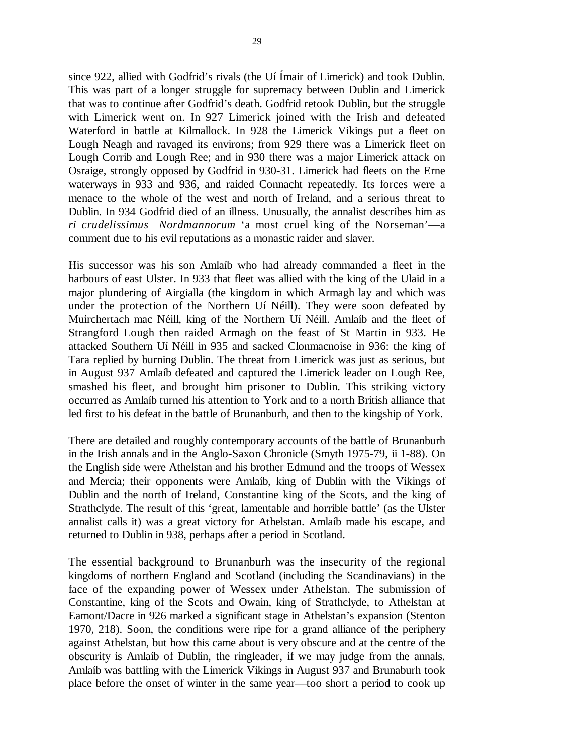since 922, allied with Godfrid's rivals (the Uí Ímair of Limerick) and took Dublin. This was part of a longer struggle for supremacy between Dublin and Limerick that was to continue after Godfrid's death. Godfrid retook Dublin, but the struggle with Limerick went on. In 927 Limerick joined with the Irish and defeated Waterford in battle at Kilmallock. In 928 the Limerick Vikings put a fleet on Lough Neagh and ravaged its environs; from 929 there was a Limerick fleet on Lough Corrib and Lough Ree; and in 930 there was a major Limerick attack on Osraige, strongly opposed by Godfrid in 930-31. Limerick had fleets on the Erne waterways in 933 and 936, and raided Connacht repeatedly. Its forces were a menace to the whole of the west and north of Ireland, and a serious threat to Dublin. In 934 Godfrid died of an illness. Unusually, the annalist describes him as *ri crudelissimus Nordmannorum* 'a most cruel king of the Norseman'—a comment due to his evil reputations as a monastic raider and slaver.

His successor was his son Amlaíb who had already commanded a fleet in the harbours of east Ulster. In 933 that fleet was allied with the king of the Ulaid in a major plundering of Airgialla (the kingdom in which Armagh lay and which was under the protection of the Northern Uí Néill). They were soon defeated by Muirchertach mac Néill, king of the Northern Uí Néill. Amlaíb and the fleet of Strangford Lough then raided Armagh on the feast of St Martin in 933. He attacked Southern Uí Néill in 935 and sacked Clonmacnoise in 936: the king of Tara replied by burning Dublin. The threat from Limerick was just as serious, but in August 937 Amlaíb defeated and captured the Limerick leader on Lough Ree, smashed his fleet, and brought him prisoner to Dublin. This striking victory occurred as Amlaíb turned his attention to York and to a north British alliance that led first to his defeat in the battle of Brunanburh, and then to the kingship of York.

There are detailed and roughly contemporary accounts of the battle of Brunanburh in the Irish annals and in the Anglo-Saxon Chronicle (Smyth 1975-79, ii 1-88). On the English side were Athelstan and his brother Edmund and the troops of Wessex and Mercia; their opponents were Amlaíb, king of Dublin with the Vikings of Dublin and the north of Ireland, Constantine king of the Scots, and the king of Strathclyde. The result of this 'great, lamentable and horrible battle' (as the Ulster annalist calls it) was a great victory for Athelstan. Amlaíb made his escape, and returned to Dublin in 938, perhaps after a period in Scotland.

The essential background to Brunanburh was the insecurity of the regional kingdoms of northern England and Scotland (including the Scandinavians) in the face of the expanding power of Wessex under Athelstan. The submission of Constantine, king of the Scots and Owain, king of Strathclyde, to Athelstan at Eamont/Dacre in 926 marked a significant stage in Athelstan's expansion (Stenton 1970, 218). Soon, the conditions were ripe for a grand alliance of the periphery against Athelstan, but how this came about is very obscure and at the centre of the obscurity is Amlaíb of Dublin, the ringleader, if we may judge from the annals. Amlaíb was battling with the Limerick Vikings in August 937 and Brunaburh took place before the onset of winter in the same year—too short a period to cook up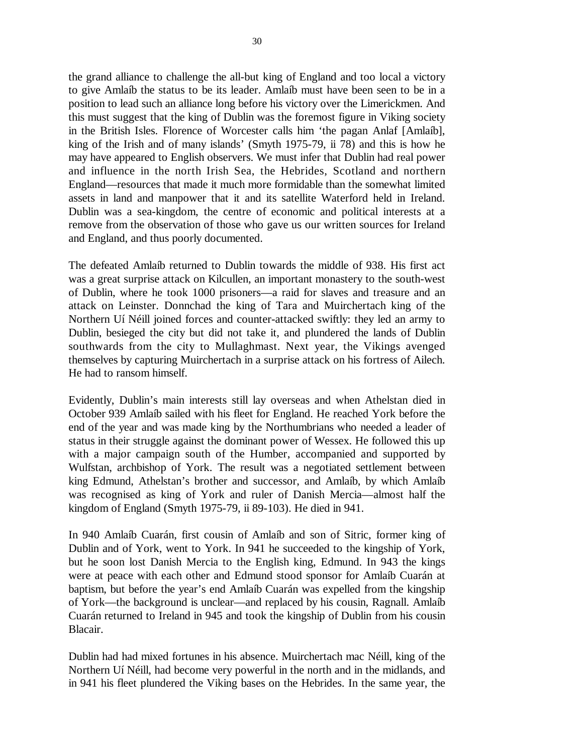the grand alliance to challenge the all-but king of England and too local a victory to give Amlaíb the status to be its leader. Amlaíb must have been seen to be in a position to lead such an alliance long before his victory over the Limerickmen. And this must suggest that the king of Dublin was the foremost figure in Viking society in the British Isles. Florence of Worcester calls him 'the pagan Anlaf [Amlaíb], king of the Irish and of many islands' (Smyth 1975-79, ii 78) and this is how he may have appeared to English observers. We must infer that Dublin had real power and influence in the north Irish Sea, the Hebrides, Scotland and northern England—resources that made it much more formidable than the somewhat limited assets in land and manpower that it and its satellite Waterford held in Ireland. Dublin was a sea-kingdom, the centre of economic and political interests at a remove from the observation of those who gave us our written sources for Ireland and England, and thus poorly documented.

The defeated Amlaíb returned to Dublin towards the middle of 938. His first act was a great surprise attack on Kilcullen, an important monastery to the south-west of Dublin, where he took 1000 prisoners—a raid for slaves and treasure and an attack on Leinster. Donnchad the king of Tara and Muirchertach king of the Northern Uí Néill joined forces and counter-attacked swiftly: they led an army to Dublin, besieged the city but did not take it, and plundered the lands of Dublin southwards from the city to Mullaghmast. Next year, the Vikings avenged themselves by capturing Muirchertach in a surprise attack on his fortress of Ailech. He had to ransom himself.

Evidently, Dublin's main interests still lay overseas and when Athelstan died in October 939 Amlaíb sailed with his fleet for England. He reached York before the end of the year and was made king by the Northumbrians who needed a leader of status in their struggle against the dominant power of Wessex. He followed this up with a major campaign south of the Humber, accompanied and supported by Wulfstan, archbishop of York. The result was a negotiated settlement between king Edmund, Athelstan's brother and successor, and Amlaíb, by which Amlaíb was recognised as king of York and ruler of Danish Mercia—almost half the kingdom of England (Smyth 1975-79, ii 89-103). He died in 941.

In 940 Amlaíb Cuarán, first cousin of Amlaíb and son of Sitric, former king of Dublin and of York, went to York. In 941 he succeeded to the kingship of York, but he soon lost Danish Mercia to the English king, Edmund. In 943 the kings were at peace with each other and Edmund stood sponsor for Amlaíb Cuarán at baptism, but before the year's end Amlaíb Cuarán was expelled from the kingship of York—the background is unclear—and replaced by his cousin, Ragnall. Amlaíb Cuarán returned to Ireland in 945 and took the kingship of Dublin from his cousin Blacair.

Dublin had had mixed fortunes in his absence. Muirchertach mac Néill, king of the Northern Uí Néill, had become very powerful in the north and in the midlands, and in 941 his fleet plundered the Viking bases on the Hebrides. In the same year, the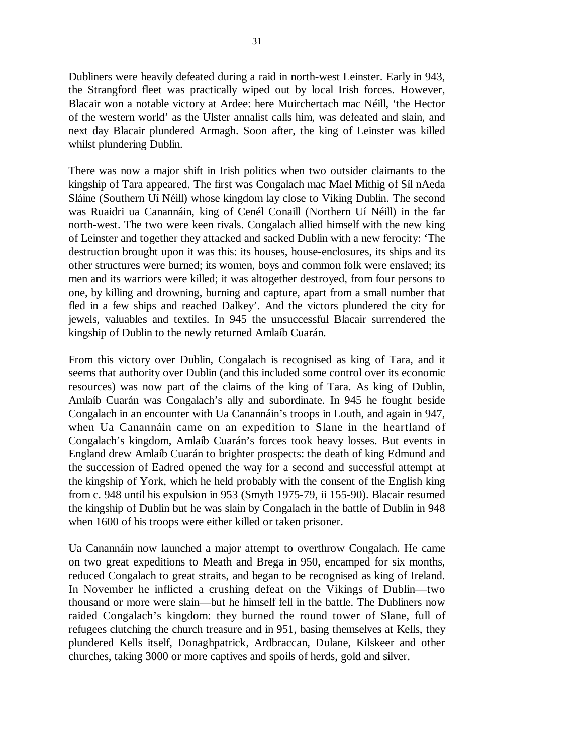Dubliners were heavily defeated during a raid in north-west Leinster. Early in 943, the Strangford fleet was practically wiped out by local Irish forces. However, Blacair won a notable victory at Ardee: here Muirchertach mac Néill, 'the Hector of the western world' as the Ulster annalist calls him, was defeated and slain, and next day Blacair plundered Armagh. Soon after, the king of Leinster was killed whilst plundering Dublin.

There was now a major shift in Irish politics when two outsider claimants to the kingship of Tara appeared. The first was Congalach mac Mael Mithig of Síl nAeda Sláine (Southern Uí Néill) whose kingdom lay close to Viking Dublin. The second was Ruaidri ua Canannáin, king of Cenél Conaill (Northern Uí Néill) in the far north-west. The two were keen rivals. Congalach allied himself with the new king of Leinster and together they attacked and sacked Dublin with a new ferocity: 'The destruction brought upon it was this: its houses, house-enclosures, its ships and its other structures were burned; its women, boys and common folk were enslaved; its men and its warriors were killed; it was altogether destroyed, from four persons to one, by killing and drowning, burning and capture, apart from a small number that fled in a few ships and reached Dalkey'. And the victors plundered the city for jewels, valuables and textiles. In 945 the unsuccessful Blacair surrendered the kingship of Dublin to the newly returned Amlaíb Cuarán.

From this victory over Dublin, Congalach is recognised as king of Tara, and it seems that authority over Dublin (and this included some control over its economic resources) was now part of the claims of the king of Tara. As king of Dublin, Amlaíb Cuarán was Congalach's ally and subordinate. In 945 he fought beside Congalach in an encounter with Ua Canannáin's troops in Louth, and again in 947, when Ua Canannáin came on an expedition to Slane in the heartland of Congalach's kingdom, Amlaíb Cuarán's forces took heavy losses. But events in England drew Amlaíb Cuarán to brighter prospects: the death of king Edmund and the succession of Eadred opened the way for a second and successful attempt at the kingship of York, which he held probably with the consent of the English king from c. 948 until his expulsion in 953 (Smyth 1975-79, ii 155-90). Blacair resumed the kingship of Dublin but he was slain by Congalach in the battle of Dublin in 948 when 1600 of his troops were either killed or taken prisoner.

Ua Canannáin now launched a major attempt to overthrow Congalach. He came on two great expeditions to Meath and Brega in 950, encamped for six months, reduced Congalach to great straits, and began to be recognised as king of Ireland. In November he inflicted a crushing defeat on the Vikings of Dublin—two thousand or more were slain—but he himself fell in the battle. The Dubliners now raided Congalach's kingdom: they burned the round tower of Slane, full of refugees clutching the church treasure and in 951, basing themselves at Kells, they plundered Kells itself, Donaghpatrick, Ardbraccan, Dulane, Kilskeer and other churches, taking 3000 or more captives and spoils of herds, gold and silver.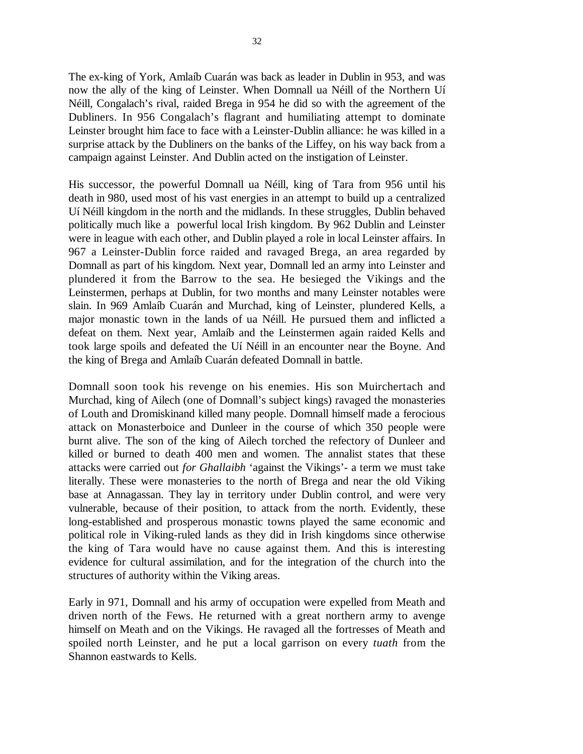The ex-king of York, Amlaíb Cuarán was back as leader in Dublin in 953, and was now the ally of the king of Leinster. When Domnall ua Néill of the Northern Uí Néill, Congalach's rival, raided Brega in 954 he did so with the agreement of the Dubliners. In 956 Congalach's flagrant and humiliating attempt to dominate Leinster brought him face to face with a Leinster-Dublin alliance: he was killed in a surprise attack by the Dubliners on the banks of the Liffey, on his way back from a campaign against Leinster. And Dublin acted on the instigation of Leinster.

His successor, the powerful Domnall ua Néill, king of Tara from 956 until his death in 980, used most of his vast energies in an attempt to build up a centralized Uí Néill kingdom in the north and the midlands. In these struggles, Dublin behaved politically much like a powerful local Irish kingdom. By 962 Dublin and Leinster were in league with each other, and Dublin played a role in local Leinster affairs. In 967 a Leinster-Dublin force raided and ravaged Brega, an area regarded by Domnall as part of his kingdom. Next year, Domnall led an army into Leinster and plundered it from the Barrow to the sea. He besieged the Vikings and the Leinstermen, perhaps at Dublin, for two months and many Leinster notables were slain. In 969 Amlaíb Cuarán and Murchad, king of Leinster, plundered Kells, a major monastic town in the lands of ua Néill. He pursued them and inflicted a defeat on them. Next year, Amlaíb and the Leinstermen again raided Kells and took large spoils and defeated the Uí Néill in an encounter near the Boyne. And the king of Brega and Amlaíb Cuarán defeated Domnall in battle.

Domnall soon took his revenge on his enemies. His son Muirchertach and Murchad, king of Ailech (one of Domnall's subject kings) ravaged the monasteries of Louth and Dromiskinand killed many people. Domnall himself made a ferocious attack on Monasterboice and Dunleer in the course of which 350 people were burnt alive. The son of the king of Ailech torched the refectory of Dunleer and killed or burned to death 400 men and women. The annalist states that these attacks were carried out *for Ghallaibh* 'against the Vikings'- a term we must take literally. These were monasteries to the north of Brega and near the old Viking base at Annagassan. They lay in territory under Dublin control, and were very vulnerable, because of their position, to attack from the north. Evidently, these long-established and prosperous monastic towns played the same economic and political role in Viking-ruled lands as they did in Irish kingdoms since otherwise the king of Tara would have no cause against them. And this is interesting evidence for cultural assimilation, and for the integration of the church into the structures of authority within the Viking areas.

Early in 971, Domnall and his army of occupation were expelled from Meath and driven north of the Fews. He returned with a great northern army to avenge himself on Meath and on the Vikings. He ravaged all the fortresses of Meath and spoiled north Leinster, and he put a local garrison on every *tuath* from the Shannon eastwards to Kells.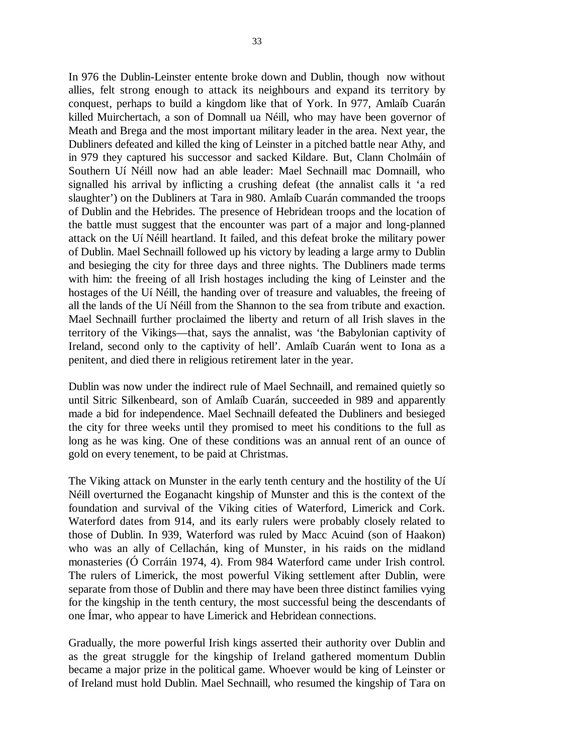In 976 the Dublin-Leinster entente broke down and Dublin, though now without allies, felt strong enough to attack its neighbours and expand its territory by conquest, perhaps to build a kingdom like that of York. In 977, Amlaíb Cuarán killed Muirchertach, a son of Domnall ua Néill, who may have been governor of Meath and Brega and the most important military leader in the area. Next year, the Dubliners defeated and killed the king of Leinster in a pitched battle near Athy, and in 979 they captured his successor and sacked Kildare. But, Clann Cholmáin of Southern Uí Néill now had an able leader: Mael Sechnaill mac Domnaill, who signalled his arrival by inflicting a crushing defeat (the annalist calls it 'a red slaughter') on the Dubliners at Tara in 980. Amlaíb Cuarán commanded the troops of Dublin and the Hebrides. The presence of Hebridean troops and the location of the battle must suggest that the encounter was part of a major and long-planned attack on the Uí Néill heartland. It failed, and this defeat broke the military power of Dublin. Mael Sechnaill followed up his victory by leading a large army to Dublin and besieging the city for three days and three nights. The Dubliners made terms with him: the freeing of all Irish hostages including the king of Leinster and the hostages of the Uí Néill, the handing over of treasure and valuables, the freeing of all the lands of the Uí Néill from the Shannon to the sea from tribute and exaction. Mael Sechnaill further proclaimed the liberty and return of all Irish slaves in the territory of the Vikings—that, says the annalist, was 'the Babylonian captivity of Ireland, second only to the captivity of hell'. Amlaíb Cuarán went to Iona as a penitent, and died there in religious retirement later in the year.

Dublin was now under the indirect rule of Mael Sechnaill, and remained quietly so until Sitric Silkenbeard, son of Amlaíb Cuarán, succeeded in 989 and apparently made a bid for independence. Mael Sechnaill defeated the Dubliners and besieged the city for three weeks until they promised to meet his conditions to the full as long as he was king. One of these conditions was an annual rent of an ounce of gold on every tenement, to be paid at Christmas.

The Viking attack on Munster in the early tenth century and the hostility of the Uí Néill overturned the Eoganacht kingship of Munster and this is the context of the foundation and survival of the Viking cities of Waterford, Limerick and Cork. Waterford dates from 914, and its early rulers were probably closely related to those of Dublin. In 939, Waterford was ruled by Macc Acuind (son of Haakon) who was an ally of Cellachán, king of Munster, in his raids on the midland monasteries (Ó Corráin 1974, 4). From 984 Waterford came under Irish control. The rulers of Limerick, the most powerful Viking settlement after Dublin, were separate from those of Dublin and there may have been three distinct families vying for the kingship in the tenth century, the most successful being the descendants of one Ímar, who appear to have Limerick and Hebridean connections.

Gradually, the more powerful Irish kings asserted their authority over Dublin and as the great struggle for the kingship of Ireland gathered momentum Dublin became a major prize in the political game. Whoever would be king of Leinster or of Ireland must hold Dublin. Mael Sechnaill, who resumed the kingship of Tara on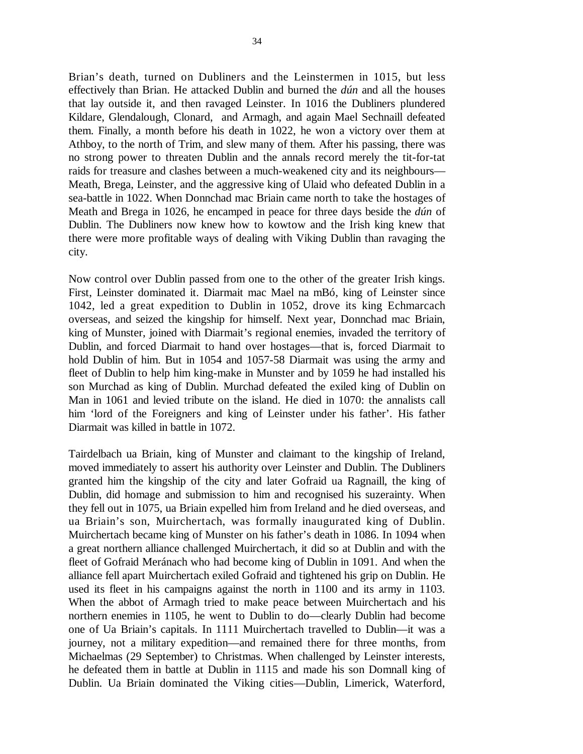Brian's death, turned on Dubliners and the Leinstermen in 1015, but less effectively than Brian. He attacked Dublin and burned the *dún* and all the houses that lay outside it, and then ravaged Leinster. In 1016 the Dubliners plundered Kildare, Glendalough, Clonard, and Armagh, and again Mael Sechnaill defeated them. Finally, a month before his death in 1022, he won a victory over them at Athboy, to the north of Trim, and slew many of them. After his passing, there was no strong power to threaten Dublin and the annals record merely the tit-for-tat raids for treasure and clashes between a much-weakened city and its neighbours— Meath, Brega, Leinster, and the aggressive king of Ulaid who defeated Dublin in a sea-battle in 1022. When Donnchad mac Briain came north to take the hostages of Meath and Brega in 1026, he encamped in peace for three days beside the *dún* of Dublin. The Dubliners now knew how to kowtow and the Irish king knew that there were more profitable ways of dealing with Viking Dublin than ravaging the city.

Now control over Dublin passed from one to the other of the greater Irish kings. First, Leinster dominated it. Diarmait mac Mael na mBó, king of Leinster since 1042, led a great expedition to Dublin in 1052, drove its king Echmarcach overseas, and seized the kingship for himself. Next year, Donnchad mac Briain, king of Munster, joined with Diarmait's regional enemies, invaded the territory of Dublin, and forced Diarmait to hand over hostages—that is, forced Diarmait to hold Dublin of him. But in 1054 and 1057-58 Diarmait was using the army and fleet of Dublin to help him king-make in Munster and by 1059 he had installed his son Murchad as king of Dublin. Murchad defeated the exiled king of Dublin on Man in 1061 and levied tribute on the island. He died in 1070: the annalists call him 'lord of the Foreigners and king of Leinster under his father'. His father Diarmait was killed in battle in 1072.

Tairdelbach ua Briain, king of Munster and claimant to the kingship of Ireland, moved immediately to assert his authority over Leinster and Dublin. The Dubliners granted him the kingship of the city and later Gofraid ua Ragnaill, the king of Dublin, did homage and submission to him and recognised his suzerainty. When they fell out in 1075, ua Briain expelled him from Ireland and he died overseas, and ua Briain's son, Muirchertach, was formally inaugurated king of Dublin. Muirchertach became king of Munster on his father's death in 1086. In 1094 when a great northern alliance challenged Muirchertach, it did so at Dublin and with the fleet of Gofraid Meránach who had become king of Dublin in 1091. And when the alliance fell apart Muirchertach exiled Gofraid and tightened his grip on Dublin. He used its fleet in his campaigns against the north in 1100 and its army in 1103. When the abbot of Armagh tried to make peace between Muirchertach and his northern enemies in 1105, he went to Dublin to do—clearly Dublin had become one of Ua Briain's capitals. In 1111 Muirchertach travelled to Dublin—it was a journey, not a military expedition—and remained there for three months, from Michaelmas (29 September) to Christmas. When challenged by Leinster interests, he defeated them in battle at Dublin in 1115 and made his son Domnall king of Dublin. Ua Briain dominated the Viking cities—Dublin, Limerick, Waterford,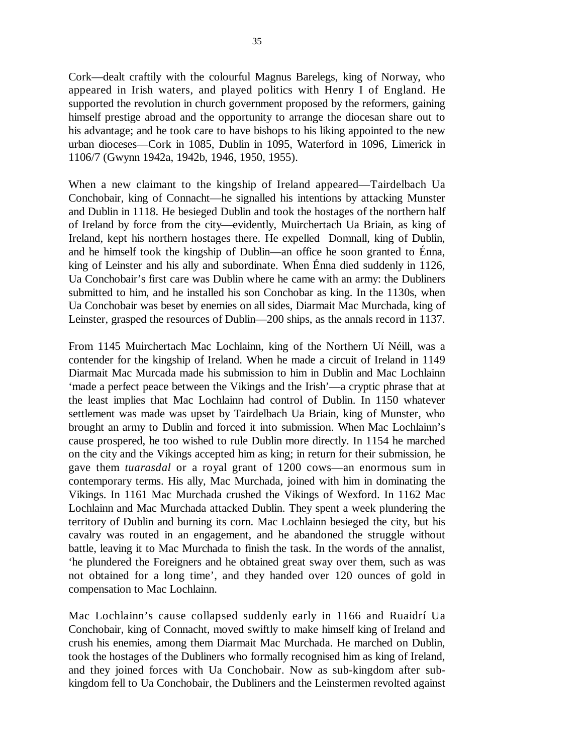Cork—dealt craftily with the colourful Magnus Barelegs, king of Norway, who appeared in Irish waters, and played politics with Henry I of England. He supported the revolution in church government proposed by the reformers, gaining himself prestige abroad and the opportunity to arrange the diocesan share out to his advantage; and he took care to have bishops to his liking appointed to the new urban dioceses—Cork in 1085, Dublin in 1095, Waterford in 1096, Limerick in 1106/7 (Gwynn 1942a, 1942b, 1946, 1950, 1955).

When a new claimant to the kingship of Ireland appeared—Tairdelbach Ua Conchobair, king of Connacht—he signalled his intentions by attacking Munster and Dublin in 1118. He besieged Dublin and took the hostages of the northern half of Ireland by force from the city—evidently, Muirchertach Ua Briain, as king of Ireland, kept his northern hostages there. He expelled Domnall, king of Dublin, and he himself took the kingship of Dublin—an office he soon granted to Énna, king of Leinster and his ally and subordinate. When Énna died suddenly in 1126, Ua Conchobair's first care was Dublin where he came with an army: the Dubliners submitted to him, and he installed his son Conchobar as king. In the 1130s, when Ua Conchobair was beset by enemies on all sides, Diarmait Mac Murchada, king of Leinster, grasped the resources of Dublin—200 ships, as the annals record in 1137.

From 1145 Muirchertach Mac Lochlainn, king of the Northern Uí Néill, was a contender for the kingship of Ireland. When he made a circuit of Ireland in 1149 Diarmait Mac Murcada made his submission to him in Dublin and Mac Lochlainn 'made a perfect peace between the Vikings and the Irish'—a cryptic phrase that at the least implies that Mac Lochlainn had control of Dublin. In 1150 whatever settlement was made was upset by Tairdelbach Ua Briain, king of Munster, who brought an army to Dublin and forced it into submission. When Mac Lochlainn's cause prospered, he too wished to rule Dublin more directly. In 1154 he marched on the city and the Vikings accepted him as king; in return for their submission, he gave them *tuarasdal* or a royal grant of 1200 cows—an enormous sum in contemporary terms. His ally, Mac Murchada, joined with him in dominating the Vikings. In 1161 Mac Murchada crushed the Vikings of Wexford. In 1162 Mac Lochlainn and Mac Murchada attacked Dublin. They spent a week plundering the territory of Dublin and burning its corn. Mac Lochlainn besieged the city, but his cavalry was routed in an engagement, and he abandoned the struggle without battle, leaving it to Mac Murchada to finish the task. In the words of the annalist, 'he plundered the Foreigners and he obtained great sway over them, such as was not obtained for a long time', and they handed over 120 ounces of gold in compensation to Mac Lochlainn.

Mac Lochlainn's cause collapsed suddenly early in 1166 and Ruaidrí Ua Conchobair, king of Connacht, moved swiftly to make himself king of Ireland and crush his enemies, among them Diarmait Mac Murchada. He marched on Dublin, took the hostages of the Dubliners who formally recognised him as king of Ireland, and they joined forces with Ua Conchobair. Now as sub-kingdom after subkingdom fell to Ua Conchobair, the Dubliners and the Leinstermen revolted against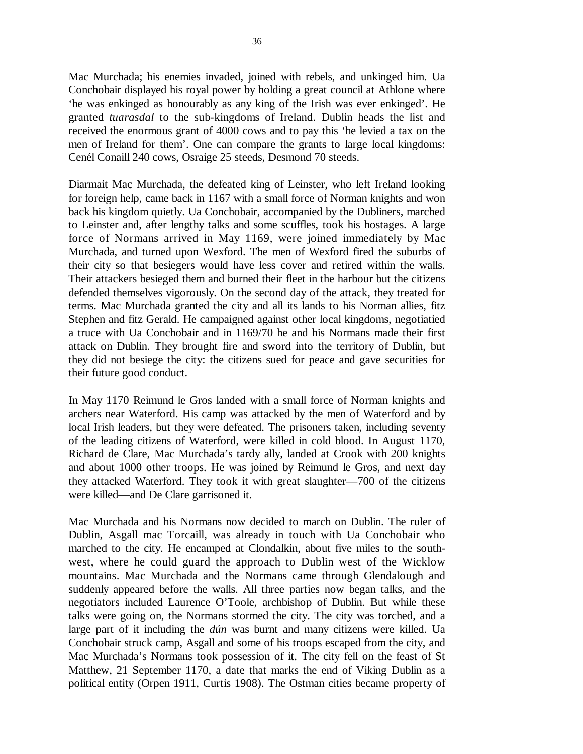Mac Murchada; his enemies invaded, joined with rebels, and unkinged him. Ua Conchobair displayed his royal power by holding a great council at Athlone where 'he was enkinged as honourably as any king of the Irish was ever enkinged'. He granted *tuarasdal* to the sub-kingdoms of Ireland. Dublin heads the list and received the enormous grant of 4000 cows and to pay this 'he levied a tax on the men of Ireland for them'. One can compare the grants to large local kingdoms: Cenél Conaill 240 cows, Osraige 25 steeds, Desmond 70 steeds.

Diarmait Mac Murchada, the defeated king of Leinster, who left Ireland looking for foreign help, came back in 1167 with a small force of Norman knights and won back his kingdom quietly. Ua Conchobair, accompanied by the Dubliners, marched to Leinster and, after lengthy talks and some scuffles, took his hostages. A large force of Normans arrived in May 1169, were joined immediately by Mac Murchada, and turned upon Wexford. The men of Wexford fired the suburbs of their city so that besiegers would have less cover and retired within the walls. Their attackers besieged them and burned their fleet in the harbour but the citizens defended themselves vigorously. On the second day of the attack, they treated for terms. Mac Murchada granted the city and all its lands to his Norman allies, fitz Stephen and fitz Gerald. He campaigned against other local kingdoms, negotiatied a truce with Ua Conchobair and in 1169/70 he and his Normans made their first attack on Dublin. They brought fire and sword into the territory of Dublin, but they did not besiege the city: the citizens sued for peace and gave securities for their future good conduct.

In May 1170 Reimund le Gros landed with a small force of Norman knights and archers near Waterford. His camp was attacked by the men of Waterford and by local Irish leaders, but they were defeated. The prisoners taken, including seventy of the leading citizens of Waterford, were killed in cold blood. In August 1170, Richard de Clare, Mac Murchada's tardy ally, landed at Crook with 200 knights and about 1000 other troops. He was joined by Reimund le Gros, and next day they attacked Waterford. They took it with great slaughter—700 of the citizens were killed—and De Clare garrisoned it.

Mac Murchada and his Normans now decided to march on Dublin. The ruler of Dublin, Asgall mac Torcaill, was already in touch with Ua Conchobair who marched to the city. He encamped at Clondalkin, about five miles to the southwest, where he could guard the approach to Dublin west of the Wicklow mountains. Mac Murchada and the Normans came through Glendalough and suddenly appeared before the walls. All three parties now began talks, and the negotiators included Laurence O'Toole, archbishop of Dublin. But while these talks were going on, the Normans stormed the city. The city was torched, and a large part of it including the *dún* was burnt and many citizens were killed. Ua Conchobair struck camp, Asgall and some of his troops escaped from the city, and Mac Murchada's Normans took possession of it. The city fell on the feast of St Matthew, 21 September 1170, a date that marks the end of Viking Dublin as a political entity (Orpen 1911, Curtis 1908). The Ostman cities became property of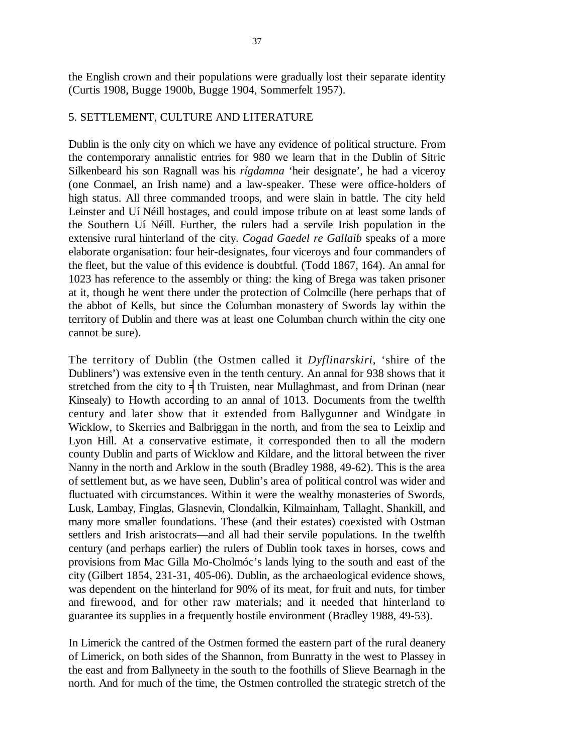the English crown and their populations were gradually lost their separate identity (Curtis 1908, Bugge 1900b, Bugge 1904, Sommerfelt 1957).

### 5. SETTLEMENT, CULTURE AND LITERATURE

Dublin is the only city on which we have any evidence of political structure. From the contemporary annalistic entries for 980 we learn that in the Dublin of Sitric Silkenbeard his son Ragnall was his *rígdamna* 'heir designate', he had a viceroy (one Conmael, an Irish name) and a law-speaker. These were office-holders of high status. All three commanded troops, and were slain in battle. The city held Leinster and Uí Néill hostages, and could impose tribute on at least some lands of the Southern Uí Néill. Further, the rulers had a servile Irish population in the extensive rural hinterland of the city. *Cogad Gaedel re Gallaib* speaks of a more elaborate organisation: four heir-designates, four viceroys and four commanders of the fleet, but the value of this evidence is doubtful. (Todd 1867, 164). An annal for 1023 has reference to the assembly or thing: the king of Brega was taken prisoner at it, though he went there under the protection of Colmcille (here perhaps that of the abbot of Kells, but since the Columban monastery of Swords lay within the territory of Dublin and there was at least one Columban church within the city one cannot be sure).

The territory of Dublin (the Ostmen called it *Dyflinarskiri*, 'shire of the Dubliners') was extensive even in the tenth century. An annal for 938 shows that it stretched from the city to  $\frac{1}{3}$  th Truisten, near Mullaghmast, and from Drinan (near Kinsealy) to Howth according to an annal of 1013. Documents from the twelfth century and later show that it extended from Ballygunner and Windgate in Wicklow, to Skerries and Balbriggan in the north, and from the sea to Leixlip and Lyon Hill. At a conservative estimate, it corresponded then to all the modern county Dublin and parts of Wicklow and Kildare, and the littoral between the river Nanny in the north and Arklow in the south (Bradley 1988, 49-62). This is the area of settlement but, as we have seen, Dublin's area of political control was wider and fluctuated with circumstances. Within it were the wealthy monasteries of Swords, Lusk, Lambay, Finglas, Glasnevin, Clondalkin, Kilmainham, Tallaght, Shankill, and many more smaller foundations. These (and their estates) coexisted with Ostman settlers and Irish aristocrats—and all had their servile populations. In the twelfth century (and perhaps earlier) the rulers of Dublin took taxes in horses, cows and provisions from Mac Gilla Mo-Cholmóc's lands lying to the south and east of the city (Gilbert 1854, 231-31, 405-06). Dublin, as the archaeological evidence shows, was dependent on the hinterland for 90% of its meat, for fruit and nuts, for timber and firewood, and for other raw materials; and it needed that hinterland to guarantee its supplies in a frequently hostile environment (Bradley 1988, 49-53).

In Limerick the cantred of the Ostmen formed the eastern part of the rural deanery of Limerick, on both sides of the Shannon, from Bunratty in the west to Plassey in the east and from Ballyneety in the south to the foothills of Slieve Bearnagh in the north. And for much of the time, the Ostmen controlled the strategic stretch of the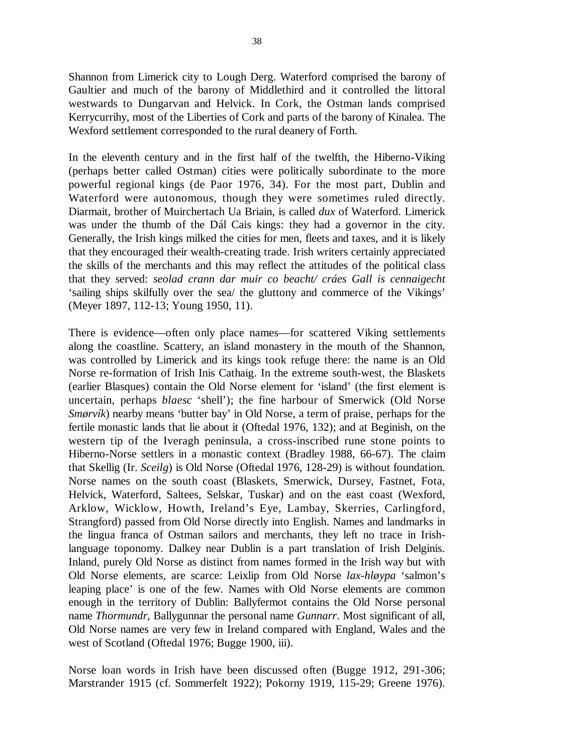Shannon from Limerick city to Lough Derg. Waterford comprised the barony of Gaultier and much of the barony of Middlethird and it controlled the littoral westwards to Dungarvan and Helvick. In Cork, the Ostman lands comprised Kerrycurrihy, most of the Liberties of Cork and parts of the barony of Kinalea. The Wexford settlement corresponded to the rural deanery of Forth.

In the eleventh century and in the first half of the twelfth, the Hiberno-Viking (perhaps better called Ostman) cities were politically subordinate to the more powerful regional kings (de Paor 1976, 34). For the most part, Dublin and Waterford were autonomous, though they were sometimes ruled directly. Diarmait, brother of Muirchertach Ua Briain, is called *dux* of Waterford. Limerick was under the thumb of the Dál Cais kings: they had a governor in the city. Generally, the Irish kings milked the cities for men, fleets and taxes, and it is likely that they encouraged their wealth-creating trade. Irish writers certainly appreciated the skills of the merchants and this may reflect the attitudes of the political class that they served: *seolad crann dar muir co beacht/ cráes Gall is cennaigecht* 'sailing ships skilfully over the sea/ the gluttony and commerce of the Vikings' (Meyer 1897, 112-13; Young 1950, 11).

There is evidence—often only place names—for scattered Viking settlements along the coastline. Scattery, an island monastery in the mouth of the Shannon, was controlled by Limerick and its kings took refuge there: the name is an Old Norse re-formation of Irish Inis Cathaig. In the extreme south-west, the Blaskets (earlier Blasques) contain the Old Norse element for 'island' (the first element is uncertain, perhaps *blaesc* 'shell'); the fine harbour of Smerwick (Old Norse *Smørvík*) nearby means 'butter bay' in Old Norse, a term of praise, perhaps for the fertile monastic lands that lie about it (Oftedal 1976, 132); and at Beginish, on the western tip of the Iveragh peninsula, a cross-inscribed rune stone points to Hiberno-Norse settlers in a monastic context (Bradley 1988, 66-67). The claim that Skellig (Ir. *Sceilg*) is Old Norse (Oftedal 1976, 128-29) is without foundation. Norse names on the south coast (Blaskets, Smerwick, Dursey, Fastnet, Fota, Helvick, Waterford, Saltees, Selskar, Tuskar) and on the east coast (Wexford, Arklow, Wicklow, Howth, Ireland's Eye, Lambay, Skerries, Carlingford, Strangford) passed from Old Norse directly into English. Names and landmarks in the lingua franca of Ostman sailors and merchants, they left no trace in Irishlanguage toponomy. Dalkey near Dublin is a part translation of Irish Delginis. Inland, purely Old Norse as distinct from names formed in the Irish way but with Old Norse elements, are scarce: Leixlip from Old Norse *lax-hløypa* 'salmon's leaping place' is one of the few. Names with Old Norse elements are common enough in the territory of Dublin: Ballyfermot contains the Old Norse personal name *Thormundr*, Ballygunnar the personal name *Gunnarr*. Most significant of all, Old Norse names are very few in Ireland compared with England, Wales and the west of Scotland (Oftedal 1976; Bugge 1900, iii).

Norse loan words in Irish have been discussed often (Bugge 1912, 291-306; Marstrander 1915 (cf. Sommerfelt 1922); Pokorny 1919, 115-29; Greene 1976).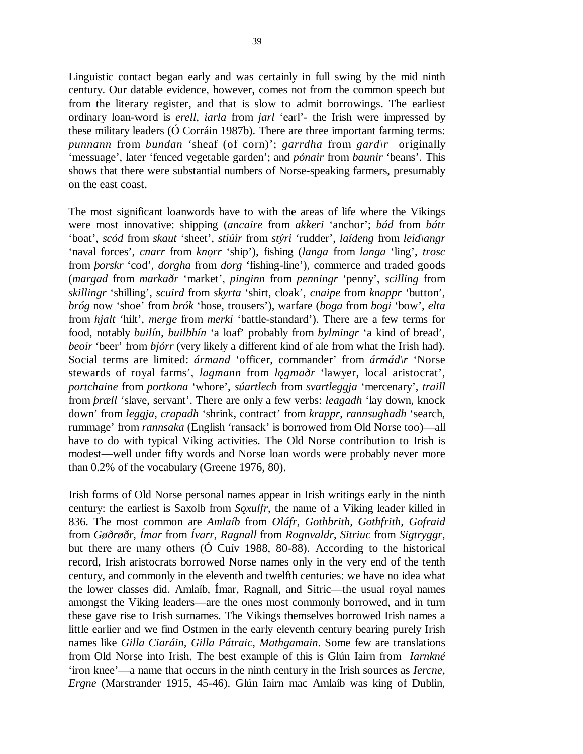Linguistic contact began early and was certainly in full swing by the mid ninth century. Our datable evidence, however, comes not from the common speech but from the literary register, and that is slow to admit borrowings. The earliest ordinary loan-word is *erell, iarla* from *jarl* 'earl'- the Irish were impressed by these military leaders (Ó Corráin 1987b). There are three important farming terms: *punnann* from *bundan* 'sheaf (of corn)'; *garrdha* from *gard\r* originally 'messuage', later 'fenced vegetable garden'; and *pónair* from *baunir* 'beans'. This shows that there were substantial numbers of Norse-speaking farmers, presumably on the east coast.

The most significant loanwords have to with the areas of life where the Vikings were most innovative: shipping (*ancaire* from *akkeri* 'anchor'; *bád* from *bátr* 'boat', *scód* from *skaut* 'sheet', *stiúir* from *stýri* 'rudder', *laídeng* from *leid\angr* 'naval forces', *cnarr* from *kno˛rr* 'ship'), fishing (*langa* from *langa* 'ling', *trosc* from *þorskr* 'cod', *dorgha* from *dorg* 'fishing-line'), commerce and traded goods (*margad* from *markaðr* 'market', *pinginn* from *penningr* 'penny', *scilling* from *skillingr* 'shilling', *scuird* from *skyrta* 'shirt, cloak', *cnaipe* from *knappr* 'button', *bróg* now 'shoe' from *brók* 'hose, trousers'), warfare (*boga* from *bogi* 'bow', *elta* from *hjalt* 'hilt', *merge* from *merki* 'battle-standard'). There are a few terms for food, notably *builín, builbhín* 'a loaf' probably from *bylmingr* 'a kind of bread', *beoir* 'beer' from *bjórr* (very likely a different kind of ale from what the Irish had). Social terms are limited: *ármand* 'officer, commander' from *ármád\r* 'Norse stewards of royal farms', *lagmann* from *logmaðr* 'lawyer, local aristocrat', *portchaine* from *portkona* 'whore', *súartlech* from *svartleggja* 'mercenary', *traill* from *þræll* 'slave, servant'. There are only a few verbs: *leagadh* 'lay down, knock down' from *leggja*, *crapadh* 'shrink, contract' from *krappr*, *rannsughadh* 'search, rummage' from *rannsaka* (English 'ransack' is borrowed from Old Norse too)—all have to do with typical Viking activities. The Old Norse contribution to Irish is modest—well under fifty words and Norse loan words were probably never more than 0.2% of the vocabulary (Greene 1976, 80).

Irish forms of Old Norse personal names appear in Irish writings early in the ninth century: the earliest is Saxolb from *Soxulfr*, the name of a Viking leader killed in 836. The most common are *Amlaíb* from *Oláfr*, *Gothbrith, Gothfrith, Gofraid* from *Gøðrøðr*, *Ímar* from *Ívarr*, *Ragnall* from *Rognvaldr*, *Sitriuc* from *Sigtryggr*, but there are many others (Ó Cuív 1988, 80-88). According to the historical record, Irish aristocrats borrowed Norse names only in the very end of the tenth century, and commonly in the eleventh and twelfth centuries: we have no idea what the lower classes did. Amlaíb, Ímar, Ragnall, and Sitric—the usual royal names amongst the Viking leaders—are the ones most commonly borrowed, and in turn these gave rise to Irish surnames. The Vikings themselves borrowed Irish names a little earlier and we find Ostmen in the early eleventh century bearing purely Irish names like *Gilla Ciaráin, Gilla Pátraic, Mathgamain*. Some few are translations from Old Norse into Irish. The best example of this is Glún Iairn from *Iarnkné* 'iron knee'—a name that occurs in the ninth century in the Irish sources as *Iercne, Ergne* (Marstrander 1915, 45-46). Glún Iairn mac Amlaíb was king of Dublin,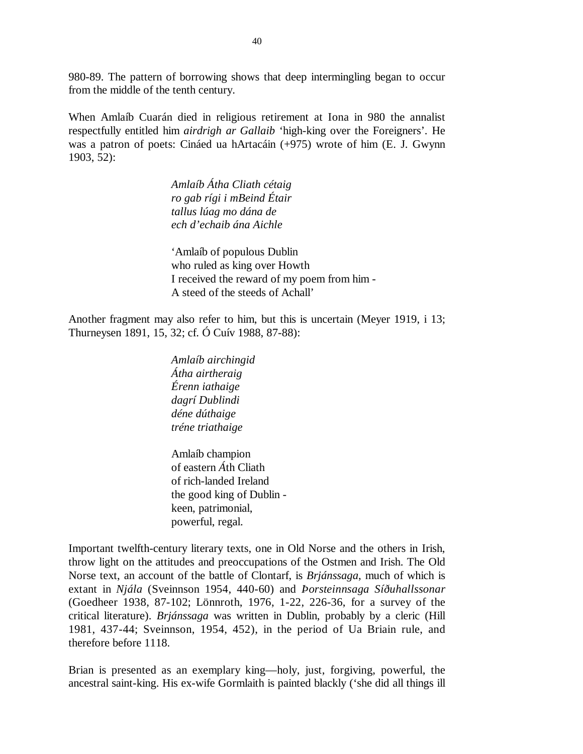980-89. The pattern of borrowing shows that deep intermingling began to occur from the middle of the tenth century.

When Amlaíb Cuarán died in religious retirement at Iona in 980 the annalist respectfully entitled him *airdrigh ar Gallaib* 'high-king over the Foreigners'. He was a patron of poets: Cináed ua hArtacáin (+975) wrote of him (E. J. Gwynn 1903, 52):

> *Amlaíb Átha Cliath cétaig ro gab rígi i mBeind Étair tallus lúag mo dána de ech d'echaib ána Aichle*

'Amlaíb of populous Dublin who ruled as king over Howth I received the reward of my poem from him - A steed of the steeds of Achall'

Another fragment may also refer to him, but this is uncertain (Meyer 1919, i 13; Thurneysen 1891, 15, 32; cf. Ó Cuív 1988, 87-88):

> *Amlaíb airchingid Átha airtheraig Érenn iathaige dagrí Dublindi déne dúthaige tréne triathaige*

Amlaíb champion of eastern *Á*th Cliath of rich-landed Ireland the good king of Dublin keen, patrimonial, powerful, regal.

Important twelfth-century literary texts, one in Old Norse and the others in Irish, throw light on the attitudes and preoccupations of the Ostmen and Irish. The Old Norse text, an account of the battle of Clontarf, is *Brjánssaga*, much of which is extant in *Njála* (Sveinnson 1954, 440-60) and *Þorsteinnsaga Síðuhallssonar* (Goedheer 1938, 87-102; Lönnroth, 1976, 1-22, 226-36, for a survey of the critical literature). *Brjánssaga* was written in Dublin, probably by a cleric (Hill 1981, 437-44; Sveinnson, 1954, 452), in the period of Ua Briain rule, and therefore before 1118.

Brian is presented as an exemplary king—holy, just, forgiving, powerful, the ancestral saint-king. His ex-wife Gormlaith is painted blackly ('she did all things ill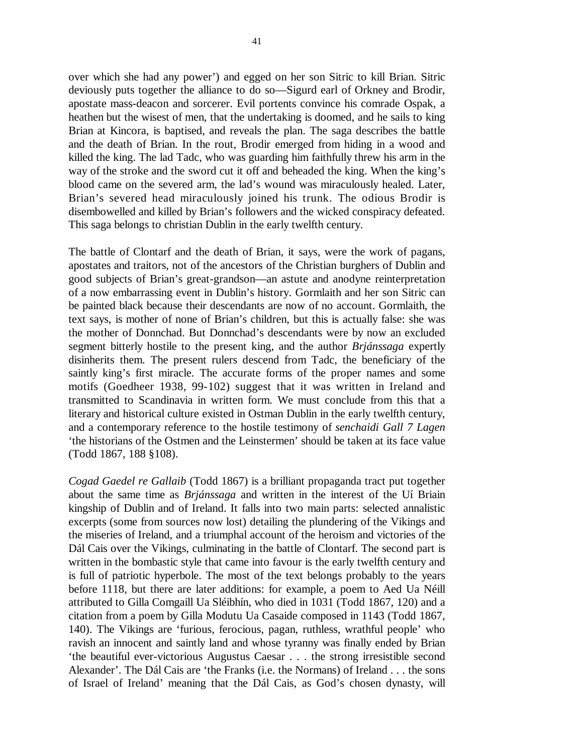over which she had any power') and egged on her son Sitric to kill Brian. Sitric deviously puts together the alliance to do so—Sigurd earl of Orkney and Brodir, apostate mass-deacon and sorcerer. Evil portents convince his comrade Ospak, a heathen but the wisest of men, that the undertaking is doomed, and he sails to king Brian at Kincora, is baptised, and reveals the plan. The saga describes the battle and the death of Brian. In the rout, Brodir emerged from hiding in a wood and killed the king. The lad Tadc, who was guarding him faithfully threw his arm in the way of the stroke and the sword cut it off and beheaded the king. When the king's blood came on the severed arm, the lad's wound was miraculously healed. Later, Brian's severed head miraculously joined his trunk. The odious Brodir is disembowelled and killed by Brian's followers and the wicked conspiracy defeated. This saga belongs to christian Dublin in the early twelfth century.

The battle of Clontarf and the death of Brian, it says, were the work of pagans, apostates and traitors, not of the ancestors of the Christian burghers of Dublin and good subjects of Brian's great-grandson—an astute and anodyne reinterpretation of a now embarrassing event in Dublin's history. Gormlaith and her son Sitric can be painted black because their descendants are now of no account. Gormlaith, the text says, is mother of none of Brian's children, but this is actually false: she was the mother of Donnchad. But Donnchad's descendants were by now an excluded segment bitterly hostile to the present king, and the author *Brjánssaga* expertly disinherits them. The present rulers descend from Tadc, the beneficiary of the saintly king's first miracle. The accurate forms of the proper names and some motifs (Goedheer 1938, 99-102) suggest that it was written in Ireland and transmitted to Scandinavia in written form. We must conclude from this that a literary and historical culture existed in Ostman Dublin in the early twelfth century, and a contemporary reference to the hostile testimony of *senchaidi Gall 7 Lagen* 'the historians of the Ostmen and the Leinstermen' should be taken at its face value (Todd 1867, 188 §108).

*Cogad Gaedel re Gallaib* (Todd 1867) is a brilliant propaganda tract put together about the same time as *Brjánssaga* and written in the interest of the Uí Briain kingship of Dublin and of Ireland. It falls into two main parts: selected annalistic excerpts (some from sources now lost) detailing the plundering of the Vikings and the miseries of Ireland, and a triumphal account of the heroism and victories of the Dál Cais over the Vikings, culminating in the battle of Clontarf. The second part is written in the bombastic style that came into favour is the early twelfth century and is full of patriotic hyperbole. The most of the text belongs probably to the years before 1118, but there are later additions: for example, a poem to Aed Ua Néill attributed to Gilla Comgaill Ua Sléibhín, who died in 1031 (Todd 1867, 120) and a citation from a poem by Gilla Modutu Ua Casaide composed in 1143 (Todd 1867, 140). The Vikings are 'furious, ferocious, pagan, ruthless, wrathful people' who ravish an innocent and saintly land and whose tyranny was finally ended by Brian 'the beautiful ever-victorious Augustus Caesar . . . the strong irresistible second Alexander'. The Dál Cais are 'the Franks (i.e. the Normans) of Ireland . . . the sons of Israel of Ireland' meaning that the Dál Cais, as God's chosen dynasty, will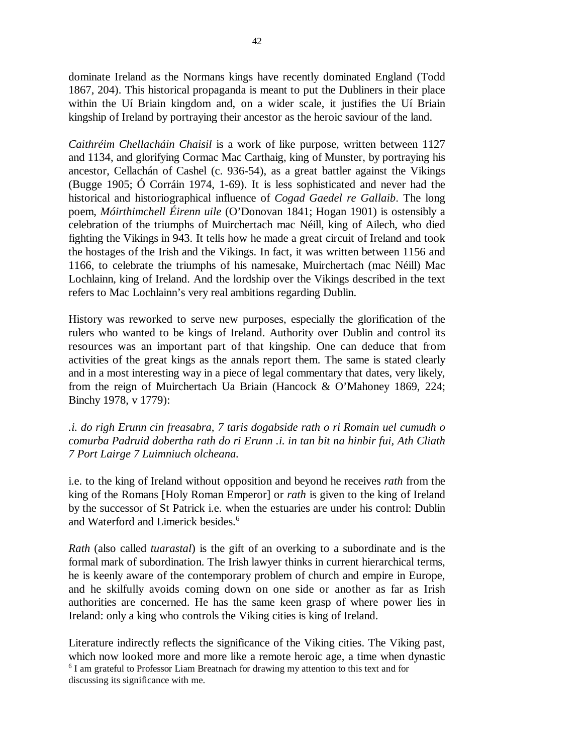dominate Ireland as the Normans kings have recently dominated England (Todd 1867, 204). This historical propaganda is meant to put the Dubliners in their place within the Uí Briain kingdom and, on a wider scale, it justifies the Uí Briain kingship of Ireland by portraying their ancestor as the heroic saviour of the land.

*Caithréim Chellacháin Chaisil* is a work of like purpose, written between 1127 and 1134, and glorifying Cormac Mac Carthaig, king of Munster, by portraying his ancestor, Cellachán of Cashel (c. 936-54), as a great battler against the Vikings (Bugge 1905; Ó Corráin 1974, 1-69). It is less sophisticated and never had the historical and historiographical influence of *Cogad Gaedel re Gallaib*. The long poem, *Móirthimchell Éirenn uile* (O'Donovan 1841; Hogan 1901) is ostensibly a celebration of the triumphs of Muirchertach mac Néill, king of Ailech, who died fighting the Vikings in 943. It tells how he made a great circuit of Ireland and took the hostages of the Irish and the Vikings. In fact, it was written between 1156 and 1166, to celebrate the triumphs of his namesake, Muirchertach (mac Néill) Mac Lochlainn, king of Ireland. And the lordship over the Vikings described in the text refers to Mac Lochlainn's very real ambitions regarding Dublin.

History was reworked to serve new purposes, especially the glorification of the rulers who wanted to be kings of Ireland. Authority over Dublin and control its resources was an important part of that kingship. One can deduce that from activities of the great kings as the annals report them. The same is stated clearly and in a most interesting way in a piece of legal commentary that dates, very likely, from the reign of Muirchertach Ua Briain (Hancock & O'Mahoney 1869, 224; Binchy 1978, v 1779):

*.i. do righ Erunn cin freasabra, 7 taris dogabside rath o ri Romain uel cumudh o comurba Padruid dobertha rath do ri Erunn .i. in tan bit na hinbir fui, Ath Cliath 7 Port Lairge 7 Luimniuch olcheana.*

i.e. to the king of Ireland without opposition and beyond he receives *rath* from the king of the Romans [Holy Roman Emperor] or *rath* is given to the king of Ireland by the successor of St Patrick i.e. when the estuaries are under his control: Dublin and Waterford and Limerick besides.<sup>6</sup>

*Rath* (also called *tuarastal*) is the gift of an overking to a subordinate and is the formal mark of subordination. The Irish lawyer thinks in current hierarchical terms, he is keenly aware of the contemporary problem of church and empire in Europe, and he skilfully avoids coming down on one side or another as far as Irish authorities are concerned. He has the same keen grasp of where power lies in Ireland: only a king who controls the Viking cities is king of Ireland.

Literature indirectly reflects the significance of the Viking cities. The Viking past, which now looked more and more like a remote heroic age, a time when dynastic <sup>6</sup> I am grateful to Professor Liam Breatnach for drawing my attention to this text and for discussing its significance with me.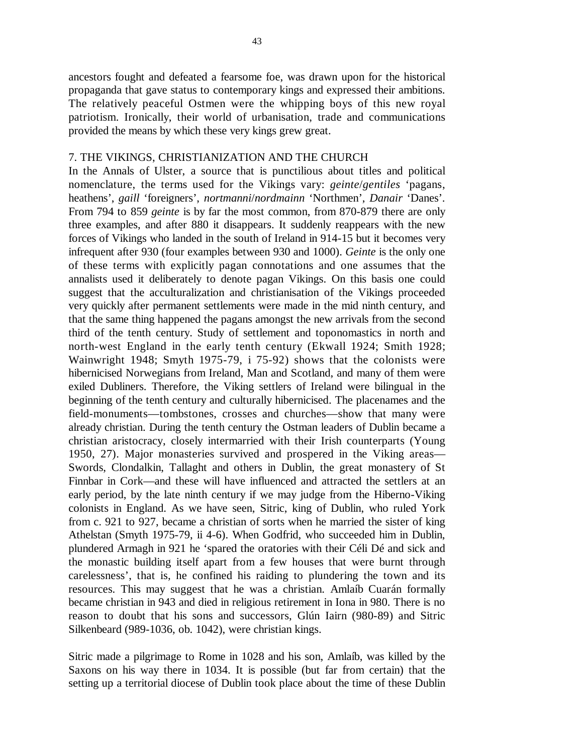ancestors fought and defeated a fearsome foe, was drawn upon for the historical propaganda that gave status to contemporary kings and expressed their ambitions. The relatively peaceful Ostmen were the whipping boys of this new royal patriotism. Ironically, their world of urbanisation, trade and communications provided the means by which these very kings grew great.

## 7. THE VIKINGS, CHRISTIANIZATION AND THE CHURCH

In the Annals of Ulster, a source that is punctilious about titles and political nomenclature, the terms used for the Vikings vary: *geinte*/*gentiles* 'pagans, heathens', *gaill* 'foreigners', *nortmanni*/*nordmainn* 'Northmen', *Danair* 'Danes'. From 794 to 859 *geinte* is by far the most common, from 870-879 there are only three examples, and after 880 it disappears. It suddenly reappears with the new forces of Vikings who landed in the south of Ireland in 914-15 but it becomes very infrequent after 930 (four examples between 930 and 1000). *Geinte* is the only one of these terms with explicitly pagan connotations and one assumes that the annalists used it deliberately to denote pagan Vikings. On this basis one could suggest that the acculturalization and christianisation of the Vikings proceeded very quickly after permanent settlements were made in the mid ninth century, and that the same thing happened the pagans amongst the new arrivals from the second third of the tenth century. Study of settlement and toponomastics in north and north-west England in the early tenth century (Ekwall 1924; Smith 1928; Wainwright 1948; Smyth 1975-79, i 75-92) shows that the colonists were hibernicised Norwegians from Ireland, Man and Scotland, and many of them were exiled Dubliners. Therefore, the Viking settlers of Ireland were bilingual in the beginning of the tenth century and culturally hibernicised. The placenames and the field-monuments—tombstones, crosses and churches—show that many were already christian. During the tenth century the Ostman leaders of Dublin became a christian aristocracy, closely intermarried with their Irish counterparts (Young 1950, 27). Major monasteries survived and prospered in the Viking areas— Swords, Clondalkin, Tallaght and others in Dublin, the great monastery of St Finnbar in Cork—and these will have influenced and attracted the settlers at an early period, by the late ninth century if we may judge from the Hiberno-Viking colonists in England. As we have seen, Sitric, king of Dublin, who ruled York from c. 921 to 927, became a christian of sorts when he married the sister of king Athelstan (Smyth 1975-79, ii 4-6). When Godfrid, who succeeded him in Dublin, plundered Armagh in 921 he 'spared the oratories with their Céli Dé and sick and the monastic building itself apart from a few houses that were burnt through carelessness', that is, he confined his raiding to plundering the town and its resources. This may suggest that he was a christian. Amlaíb Cuarán formally became christian in 943 and died in religious retirement in Iona in 980. There is no reason to doubt that his sons and successors, Glún Iairn (980-89) and Sitric Silkenbeard (989-1036, ob. 1042), were christian kings.

Sitric made a pilgrimage to Rome in 1028 and his son, Amlaíb, was killed by the Saxons on his way there in 1034. It is possible (but far from certain) that the setting up a territorial diocese of Dublin took place about the time of these Dublin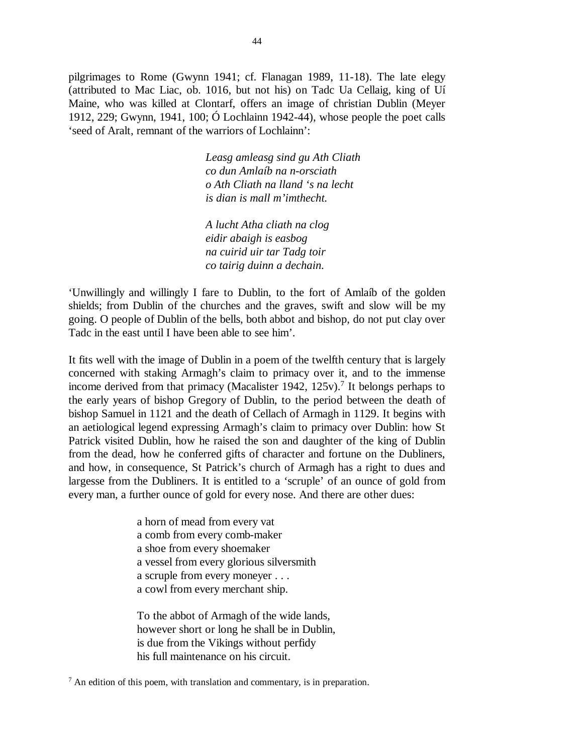pilgrimages to Rome (Gwynn 1941; cf. Flanagan 1989, 11-18). The late elegy (attributed to Mac Liac, ob. 1016, but not his) on Tadc Ua Cellaig, king of Uí Maine, who was killed at Clontarf, offers an image of christian Dublin (Meyer 1912, 229; Gwynn, 1941, 100; Ó Lochlainn 1942-44), whose people the poet calls 'seed of Aralt, remnant of the warriors of Lochlainn':

> *Leasg amleasg sind gu Ath Cliath co dun Amlaíb na n-orsciath o Ath Cliath na lland 's na lecht is dian is mall m'imthecht.*

*A lucht Atha cliath na clog eidir abaigh is easbog na cuirid uir tar Tadg toir co tairig duinn a dechain.*

'Unwillingly and willingly I fare to Dublin, to the fort of Amlaíb of the golden shields; from Dublin of the churches and the graves, swift and slow will be my going. O people of Dublin of the bells, both abbot and bishop, do not put clay over Tadc in the east until I have been able to see him'.

It fits well with the image of Dublin in a poem of the twelfth century that is largely concerned with staking Armagh's claim to primacy over it, and to the immense income derived from that primacy (Macalister 1942,  $125v$ ).<sup>7</sup> It belongs perhaps to the early years of bishop Gregory of Dublin, to the period between the death of bishop Samuel in 1121 and the death of Cellach of Armagh in 1129. It begins with an aetiological legend expressing Armagh's claim to primacy over Dublin: how St Patrick visited Dublin, how he raised the son and daughter of the king of Dublin from the dead, how he conferred gifts of character and fortune on the Dubliners, and how, in consequence, St Patrick's church of Armagh has a right to dues and largesse from the Dubliners. It is entitled to a 'scruple' of an ounce of gold from every man, a further ounce of gold for every nose. And there are other dues:

> a horn of mead from every vat a comb from every comb-maker a shoe from every shoemaker a vessel from every glorious silversmith a scruple from every moneyer . . . a cowl from every merchant ship.

To the abbot of Armagh of the wide lands, however short or long he shall be in Dublin, is due from the Vikings without perfidy his full maintenance on his circuit.

 $<sup>7</sup>$  An edition of this poem, with translation and commentary, is in preparation.</sup>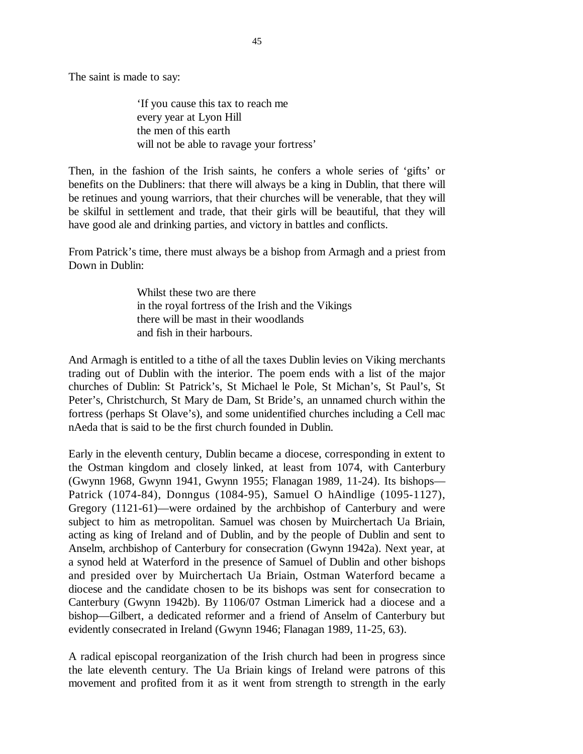The saint is made to say:

'If you cause this tax to reach me every year at Lyon Hill the men of this earth will not be able to ravage your fortress'

Then, in the fashion of the Irish saints, he confers a whole series of 'gifts' or benefits on the Dubliners: that there will always be a king in Dublin, that there will be retinues and young warriors, that their churches will be venerable, that they will be skilful in settlement and trade, that their girls will be beautiful, that they will have good ale and drinking parties, and victory in battles and conflicts.

From Patrick's time, there must always be a bishop from Armagh and a priest from Down in Dublin:

> Whilst these two are there in the royal fortress of the Irish and the Vikings there will be mast in their woodlands and fish in their harbours.

And Armagh is entitled to a tithe of all the taxes Dublin levies on Viking merchants trading out of Dublin with the interior. The poem ends with a list of the major churches of Dublin: St Patrick's, St Michael le Pole, St Michan's, St Paul's, St Peter's, Christchurch, St Mary de Dam, St Bride's, an unnamed church within the fortress (perhaps St Olave's), and some unidentified churches including a Cell mac nAeda that is said to be the first church founded in Dublin.

Early in the eleventh century, Dublin became a diocese, corresponding in extent to the Ostman kingdom and closely linked, at least from 1074, with Canterbury (Gwynn 1968, Gwynn 1941, Gwynn 1955; Flanagan 1989, 11-24). Its bishops— Patrick (1074-84), Donngus (1084-95), Samuel O hAindlige (1095-1127), Gregory (1121-61)—were ordained by the archbishop of Canterbury and were subject to him as metropolitan. Samuel was chosen by Muirchertach Ua Briain, acting as king of Ireland and of Dublin, and by the people of Dublin and sent to Anselm, archbishop of Canterbury for consecration (Gwynn 1942a). Next year, at a synod held at Waterford in the presence of Samuel of Dublin and other bishops and presided over by Muirchertach Ua Briain, Ostman Waterford became a diocese and the candidate chosen to be its bishops was sent for consecration to Canterbury (Gwynn 1942b). By 1106/07 Ostman Limerick had a diocese and a bishop—Gilbert, a dedicated reformer and a friend of Anselm of Canterbury but evidently consecrated in Ireland (Gwynn 1946; Flanagan 1989, 11-25, 63).

A radical episcopal reorganization of the Irish church had been in progress since the late eleventh century. The Ua Briain kings of Ireland were patrons of this movement and profited from it as it went from strength to strength in the early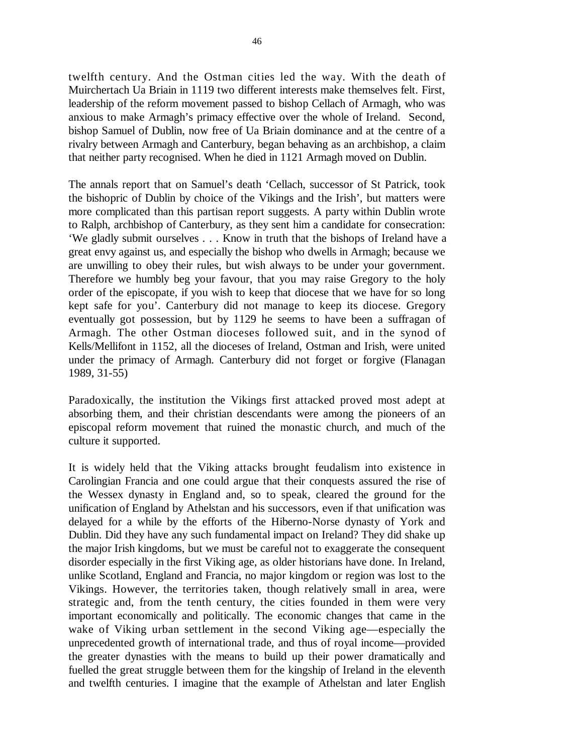twelfth century. And the Ostman cities led the way. With the death of Muirchertach Ua Briain in 1119 two different interests make themselves felt. First, leadership of the reform movement passed to bishop Cellach of Armagh, who was anxious to make Armagh's primacy effective over the whole of Ireland. Second, bishop Samuel of Dublin, now free of Ua Briain dominance and at the centre of a rivalry between Armagh and Canterbury, began behaving as an archbishop, a claim that neither party recognised. When he died in 1121 Armagh moved on Dublin.

The annals report that on Samuel's death 'Cellach, successor of St Patrick, took the bishopric of Dublin by choice of the Vikings and the Irish', but matters were more complicated than this partisan report suggests. A party within Dublin wrote to Ralph, archbishop of Canterbury, as they sent him a candidate for consecration: 'We gladly submit ourselves . . . Know in truth that the bishops of Ireland have a great envy against us, and especially the bishop who dwells in Armagh; because we are unwilling to obey their rules, but wish always to be under your government. Therefore we humbly beg your favour, that you may raise Gregory to the holy order of the episcopate, if you wish to keep that diocese that we have for so long kept safe for you'. Canterbury did not manage to keep its diocese. Gregory eventually got possession, but by 1129 he seems to have been a suffragan of Armagh. The other Ostman dioceses followed suit, and in the synod of Kells/Mellifont in 1152, all the dioceses of Ireland, Ostman and Irish, were united under the primacy of Armagh. Canterbury did not forget or forgive (Flanagan 1989, 31-55)

Paradoxically, the institution the Vikings first attacked proved most adept at absorbing them, and their christian descendants were among the pioneers of an episcopal reform movement that ruined the monastic church, and much of the culture it supported.

It is widely held that the Viking attacks brought feudalism into existence in Carolingian Francia and one could argue that their conquests assured the rise of the Wessex dynasty in England and, so to speak, cleared the ground for the unification of England by Athelstan and his successors, even if that unification was delayed for a while by the efforts of the Hiberno-Norse dynasty of York and Dublin. Did they have any such fundamental impact on Ireland? They did shake up the major Irish kingdoms, but we must be careful not to exaggerate the consequent disorder especially in the first Viking age, as older historians have done. In Ireland, unlike Scotland, England and Francia, no major kingdom or region was lost to the Vikings. However, the territories taken, though relatively small in area, were strategic and, from the tenth century, the cities founded in them were very important economically and politically. The economic changes that came in the wake of Viking urban settlement in the second Viking age—especially the unprecedented growth of international trade, and thus of royal income—provided the greater dynasties with the means to build up their power dramatically and fuelled the great struggle between them for the kingship of Ireland in the eleventh and twelfth centuries. I imagine that the example of Athelstan and later English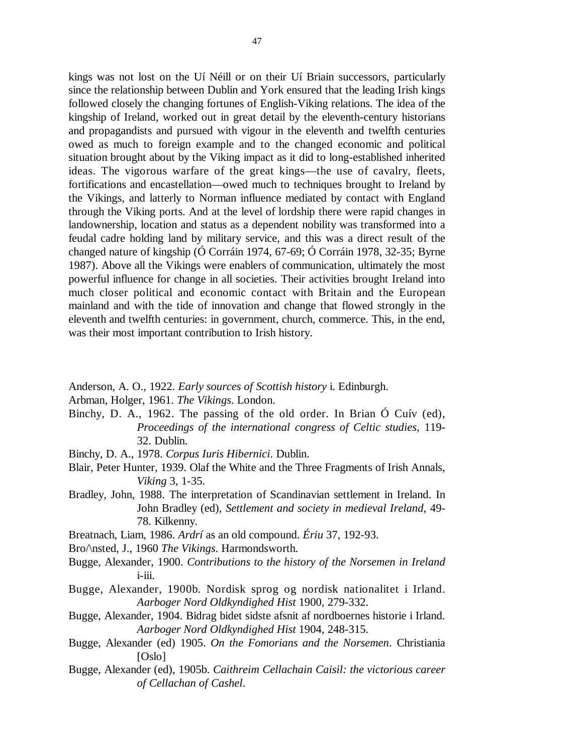kings was not lost on the Uí Néill or on their Uí Briain successors, particularly since the relationship between Dublin and York ensured that the leading Irish kings followed closely the changing fortunes of English-Viking relations. The idea of the kingship of Ireland, worked out in great detail by the eleventh-century historians and propagandists and pursued with vigour in the eleventh and twelfth centuries owed as much to foreign example and to the changed economic and political situation brought about by the Viking impact as it did to long-established inherited ideas. The vigorous warfare of the great kings—the use of cavalry, fleets, fortifications and encastellation—owed much to techniques brought to Ireland by the Vikings, and latterly to Norman influence mediated by contact with England through the Viking ports. And at the level of lordship there were rapid changes in landownership, location and status as a dependent nobility was transformed into a feudal cadre holding land by military service, and this was a direct result of the changed nature of kingship (Ó Corráin 1974, 67-69; Ó Corráin 1978, 32-35; Byrne 1987). Above all the Vikings were enablers of communication, ultimately the most powerful influence for change in all societies. Their activities brought Ireland into much closer political and economic contact with Britain and the European mainland and with the tide of innovation and change that flowed strongly in the eleventh and twelfth centuries: in government, church, commerce. This, in the end, was their most important contribution to Irish history.

- Anderson, A. O., 1922. *Early sources of Scottish history* i. Edinburgh.
- Arbman, Holger, 1961. *The Vikings*. London.
- Binchy, D. A., 1962. The passing of the old order. In Brian Ó Cuív (ed), *Proceedings of the international congress of Celtic studies*, 119- 32. Dublin.
- Binchy, D. A., 1978. *Corpus Iuris Hibernici*. Dublin.
- Blair, Peter Hunter, 1939. Olaf the White and the Three Fragments of Irish Annals, *Viking* 3, 1-35.
- Bradley, John, 1988. The interpretation of Scandinavian settlement in Ireland. In John Bradley (ed), *Settlement and society in medieval Ireland*, 49- 78. Kilkenny.
- Breatnach, Liam, 1986. *Ardrí* as an old compound. *Ériu* 37, 192-93.
- Bro/\nsted, J., 1960 *The Vikings*. Harmondsworth.
- Bugge, Alexander, 1900. *Contributions to the history of the Norsemen in Ireland* i-iii.
- Bugge, Alexander, 1900b. Nordisk sprog og nordisk nationalitet i Irland. *Aarboger Nord Oldkyndighed Hist* 1900, 279-332.
- Bugge, Alexander, 1904. Bidrag bidet sidste afsnit af nordboernes historie i Irland. *Aarboger Nord Oldkyndighed Hist* 1904, 248-315.
- Bugge, Alexander (ed) 1905. *On the Fomorians and the Norsemen*. Christiania [Oslo]
- Bugge, Alexander (ed), 1905b. *Caithreim Cellachain Caisil: the victorious career of Cellachan of Cashel*.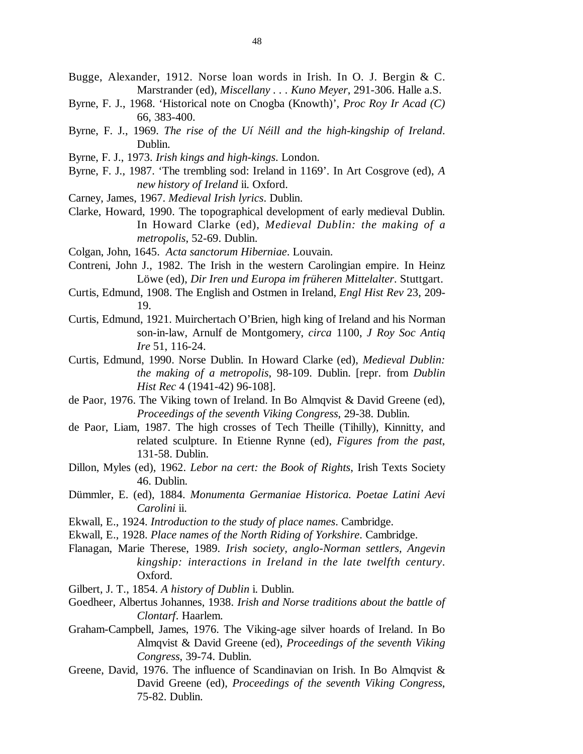- Bugge, Alexander, 1912. Norse loan words in Irish. In O. J. Bergin & C. Marstrander (ed), *Miscellany . . . Kuno Meyer*, 291-306. Halle a.S.
- Byrne, F. J., 1968. 'Historical note on Cnogba (Knowth)', *Proc Roy Ir Acad (C)* 66, 383-400.
- Byrne, F. J., 1969. *The rise of the Uí Néill and the high-kingship of Ireland*. Dublin.
- Byrne, F. J., 1973. *Irish kings and high-kings*. London.
- Byrne, F. J., 1987. 'The trembling sod: Ireland in 1169'. In Art Cosgrove (ed), *A new history of Ireland* ii. Oxford.
- Carney, James, 1967. *Medieval Irish lyrics*. Dublin.
- Clarke, Howard, 1990. The topographical development of early medieval Dublin. In Howard Clarke (ed), *Medieval Dublin: the making of a metropolis*, 52-69. Dublin.
- Colgan, John, 1645. *Acta sanctorum Hiberniae*. Louvain.
- Contreni, John J., 1982. The Irish in the western Carolingian empire. In Heinz Löwe (ed), *Dir Iren und Europa im früheren Mittelalter*. Stuttgart.
- Curtis, Edmund, 1908. The English and Ostmen in Ireland, *Engl Hist Rev* 23, 209- 19.
- Curtis, Edmund, 1921. Muirchertach O'Brien, high king of Ireland and his Norman son-in-law, Arnulf de Montgomery, *circa* 1100, *J Roy Soc Antiq Ire* 51, 116-24.
- Curtis, Edmund, 1990. Norse Dublin. In Howard Clarke (ed), *Medieval Dublin: the making of a metropolis*, 98-109. Dublin. [repr. from *Dublin Hist Rec* 4 (1941-42) 96-108].
- de Paor, 1976. The Viking town of Ireland. In Bo Almqvist & David Greene (ed), *Proceedings of the seventh Viking Congress*, 29-38. Dublin.
- de Paor, Liam, 1987. The high crosses of Tech Theille (Tihilly), Kinnitty, and related sculpture. In Etienne Rynne (ed), *Figures from the past*, 131-58. Dublin.
- Dillon, Myles (ed), 1962. *Lebor na cert: the Book of Rights*, Irish Texts Society 46. Dublin.
- Dümmler, E. (ed), 1884. *Monumenta Germaniae Historica. Poetae Latini Aevi Carolini* ii.
- Ekwall, E., 1924. *Introduction to the study of place names*. Cambridge.
- Ekwall, E., 1928. *Place names of the North Riding of Yorkshire*. Cambridge.
- Flanagan, Marie Therese, 1989. *Irish society, anglo-Norman settlers, Angevin kingship: interactions in Ireland in the late twelfth century*. Oxford.
- Gilbert, J. T., 1854. *A history of Dublin* i. Dublin.
- Goedheer, Albertus Johannes, 1938. *Irish and Norse traditions about the battle of Clontarf*. Haarlem.
- Graham-Campbell, James, 1976. The Viking-age silver hoards of Ireland. In Bo Almqvist & David Greene (ed), *Proceedings of the seventh Viking Congress*, 39-74. Dublin.
- Greene, David, 1976. The influence of Scandinavian on Irish. In Bo Almqvist & David Greene (ed), *Proceedings of the seventh Viking Congress*, 75-82. Dublin.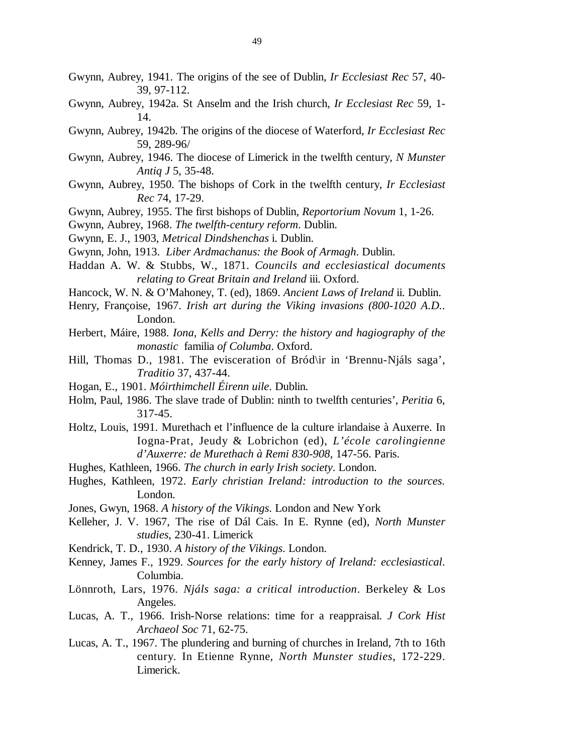- Gwynn, Aubrey, 1941. The origins of the see of Dublin, *Ir Ecclesiast Rec* 57, 40- 39, 97-112.
- Gwynn, Aubrey, 1942a. St Anselm and the Irish church, *Ir Ecclesiast Rec* 59, 1- 14.
- Gwynn, Aubrey, 1942b. The origins of the diocese of Waterford, *Ir Ecclesiast Rec* 59, 289-96/
- Gwynn, Aubrey, 1946. The diocese of Limerick in the twelfth century, *N Munster Antiq J* 5, 35-48.
- Gwynn, Aubrey, 1950. The bishops of Cork in the twelfth century, *Ir Ecclesiast Rec* 74, 17-29.
- Gwynn, Aubrey, 1955. The first bishops of Dublin, *Reportorium Novum* 1, 1-26.

Gwynn, Aubrey, 1968. *The twelfth-century reform*. Dublin.

- Gwynn, E. J., 1903, *Metrical Dindshenchas* i. Dublin.
- Gwynn, John, 1913. *Liber Ardmachanus: the Book of Armagh*. Dublin.
- Haddan A. W. & Stubbs, W., 1871. *Councils and ecclesiastical documents relating to Great Britain and Ireland* iii. Oxford.
- Hancock, W. N. & O'Mahoney, T. (ed), 1869. *Ancient Laws of Ireland* ii. Dublin.
- Henry, Françoise, 1967. *Irish art during the Viking invasions (800-1020 A.D.*. London.
- Herbert, Máire, 1988. *Iona, Kells and Derry: the history and hagiography of the monastic* familia *of Columba*. Oxford.
- Hill, Thomas D., 1981. The evisceration of Bród\ir in 'Brennu-Njáls saga', *Traditio* 37, 437-44.
- Hogan, E., 1901. *Móirthimchell Éirenn uile*. Dublin.
- Holm, Paul, 1986. The slave trade of Dublin: ninth to twelfth centuries', *Peritia* 6, 317-45.
- Holtz, Louis, 1991. Murethach et l'influence de la culture irlandaise à Auxerre. In Iogna-Prat, Jeudy & Lobrichon (ed), *L'école carolingienne d'Auxerre: de Murethach à Remi 830-908*, 147-56. Paris.
- Hughes, Kathleen, 1966. *The church in early Irish society*. London.
- Hughes, Kathleen, 1972. *Early christian Ireland: introduction to the sources.* London.
- Jones, Gwyn, 1968. *A history of the Vikings*. London and New York
- Kelleher, J. V. 1967, The rise of Dál Cais. In E. Rynne (ed), *North Munster studies*, 230-41. Limerick
- Kendrick, T. D., 1930. *A history of the Vikings*. London.
- Kenney, James F., 1929. *Sources for the early history of Ireland: ecclesiastical*. Columbia.
- Lönnroth, Lars, 1976. *Njáls saga: a critical introduction*. Berkeley & Los Angeles.
- Lucas, A. T., 1966. Irish-Norse relations: time for a reappraisal. *J Cork Hist Archaeol Soc* 71, 62-75.
- Lucas, A. T., 1967. The plundering and burning of churches in Ireland, 7th to 16th century. In Etienne Rynne, *North Munster studies*, 172-229. Limerick.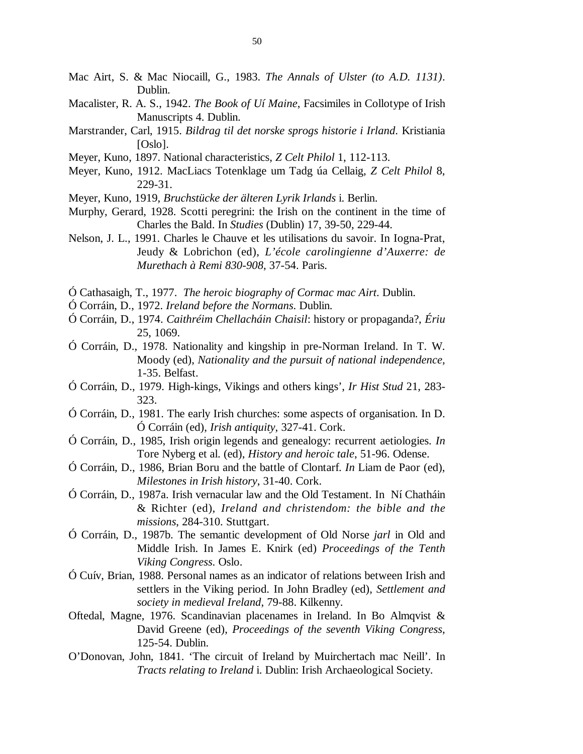- Mac Airt, S. & Mac Niocaill, G., 1983. *The Annals of Ulster (to A.D. 1131)*. Dublin.
- Macalister, R. A. S., 1942. *The Book of Uí Maine*, Facsimiles in Collotype of Irish Manuscripts 4. Dublin.
- Marstrander, Carl, 1915. *Bildrag til det norske sprogs historie i Irland*. Kristiania [Oslo].
- Meyer, Kuno, 1897. National characteristics, *Z Celt Philol* 1, 112-113.
- Meyer, Kuno, 1912. MacLiacs Totenklage um Tadg úa Cellaig, *Z Celt Philol* 8, 229-31.
- Meyer, Kuno, 1919, *Bruchstücke der älteren Lyrik Irlands* i. Berlin.
- Murphy, Gerard, 1928. Scotti peregrini: the Irish on the continent in the time of Charles the Bald. In *Studies* (Dublin) 17, 39-50, 229-44.
- Nelson, J. L., 1991. Charles le Chauve et les utilisations du savoir. In Iogna-Prat, Jeudy & Lobrichon (ed), *L'école carolingienne d'Auxerre: de Murethach à Remi 830-908*, 37-54. Paris.
- Ó Cathasaigh, T., 1977. *The heroic biography of Cormac mac Airt*. Dublin.
- Ó Corráin, D., 1972. *Ireland before the Normans*. Dublin.
- Ó Corráin, D., 1974. *Caithréim Chellacháin Chaisil*: history or propaganda?, *Ériu* 25, 1069.
- Ó Corráin, D., 1978. Nationality and kingship in pre-Norman Ireland. In T. W. Moody (ed), *Nationality and the pursuit of national independence*, 1-35. Belfast.
- Ó Corráin, D., 1979. High-kings, Vikings and others kings', *Ir Hist Stud* 21, 283- 323.
- Ó Corráin, D., 1981. The early Irish churches: some aspects of organisation. In D. Ó Corráin (ed), *Irish antiquity*, 327-41. Cork.
- Ó Corráin, D., 1985, Irish origin legends and genealogy: recurrent aetiologies. *In* Tore Nyberg et al. (ed), *History and heroic tale*, 51-96. Odense.
- Ó Corráin, D., 1986, Brian Boru and the battle of Clontarf. *In* Liam de Paor (ed), *Milestones in Irish history*, 31-40. Cork.
- Ó Corráin, D., 1987a. Irish vernacular law and the Old Testament. In Ní Chatháin & Richter (ed), *Ireland and christendom: the bible and the missions*, 284-310. Stuttgart.
- Ó Corráin, D., 1987b. The semantic development of Old Norse *jarl* in Old and Middle Irish. In James E. Knirk (ed) *Proceedings of the Tenth Viking Congress*. Oslo.
- Ó Cuív, Brian, 1988. Personal names as an indicator of relations between Irish and settlers in the Viking period. In John Bradley (ed), *Settlement and society in medieval Ireland*, 79-88. Kilkenny.
- Oftedal, Magne, 1976. Scandinavian placenames in Ireland. In Bo Almqvist & David Greene (ed), *Proceedings of the seventh Viking Congress*, 125-54. Dublin.
- O'Donovan, John, 1841. 'The circuit of Ireland by Muirchertach mac Neill'. In *Tracts relating to Ireland* i. Dublin: Irish Archaeological Society.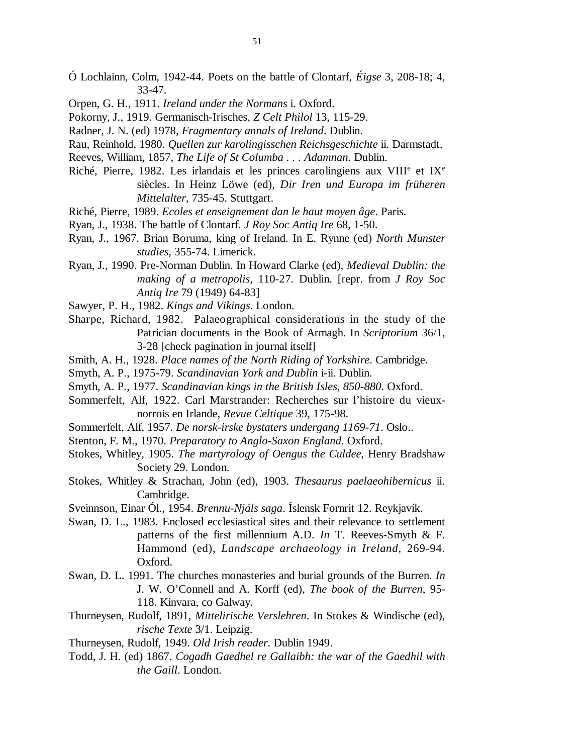- Ó Lochlainn, Colm, 1942-44. Poets on the battle of Clontarf, *Éigse* 3, 208-18; 4, 33-47.
- Orpen, G. H., 1911. *Ireland under the Normans* i. Oxford.
- Pokorny, J., 1919. Germanisch-Irisches, *Z Celt Philol* 13, 115-29.
- Radner, J. N. (ed) 1978, *Fragmentary annals of Ireland*. Dublin.
- Rau, Reinhold, 1980. *Quellen zur karolingisschen Reichsgeschichte* ii. Darmstadt.
- Reeves, William, 1857, *The Life of St Columba . . . Adamnan*. Dublin.
- Riché, Pierre, 1982. Les irlandais et les princes carolingiens aux VIII<sup>e</sup> et IX<sup>e</sup> siècles. In Heinz Löwe (ed), *Dir Iren und Europa im früheren Mittelalter*, 735-45. Stuttgart.
- Riché, Pierre, 1989. *Ecoles et enseignement dan le haut moyen âge*. Paris.
- Ryan, J., 1938. The battle of Clontarf. *J Roy Soc Antiq Ire* 68, 1-50.
- Ryan, J., 1967. Brian Boruma, king of Ireland. In E. Rynne (ed) *North Munster studies*, 355-74. Limerick.
- Ryan, J., 1990. Pre-Norman Dublin. In Howard Clarke (ed), *Medieval Dublin: the making of a metropolis*, 110-27. Dublin. [repr. from *J Roy Soc Antiq Ire* 79 (1949) 64-83]
- Sawyer, P. H., 1982. *Kings and Vikings*. London.
- Sharpe, Richard, 1982. Palaeographical considerations in the study of the Patrician documents in the Book of Armagh. In *Scriptorium* 36/1, 3-28 [check pagination in journal itself]
- Smith, A. H., 1928. *Place names of the North Riding of Yorkshire*. Cambridge.
- Smyth, A. P., 1975-79. *Scandinavian York and Dublin* i-ii. Dublin.
- Smyth, A. P., 1977. *Scandinavian kings in the British Isles, 850-880*. Oxford.
- Sommerfelt, Alf, 1922. Carl Marstrander: Recherches sur l'histoire du vieuxnorrois en Irlande, *Revue Celtique* 39, 175-98.
- Sommerfelt, Alf, 1957. *De norsk-irske bystaters undergang 1169-71*. Oslo..
- Stenton, F. M., 1970. *Preparatory to Anglo-Saxon England*. Oxford.
- Stokes, Whitley, 1905. *The martyrology of Oengus the Culdee*, Henry Bradshaw Society 29. London.
- Stokes, Whitley & Strachan, John (ed), 1903. *Thesaurus paelaeohibernicus* ii. Cambridge.
- Sveinnson, Einar Ól., 1954. *Brennu-Njáls saga*. Íslensk Fornrit 12. Reykjavík.
- Swan, D. L., 1983. Enclosed ecclesiastical sites and their relevance to settlement patterns of the first millennium A.D. *In* T. Reeves-Smyth & F. Hammond (ed), *Landscape archaeology in Ireland*, 269-94. Oxford.
- Swan, D. L. 1991. The churches monasteries and burial grounds of the Burren. *In* J. W. O'Connell and A. Korff (ed), *The book of the Burren*, 95- 118. Kinvara, co Galway.
- Thurneysen, Rudolf, 1891, *Mittelirische Verslehren*. In Stokes & Windische (ed), *rische Texte* 3/1. Leipzig.
- Thurneysen, Rudolf, 1949. *Old Irish reader*. Dublin 1949.
- Todd, J. H. (ed) 1867. *Cogadh Gaedhel re Gallaibh: the war of the Gaedhil with the Gaill*. London.